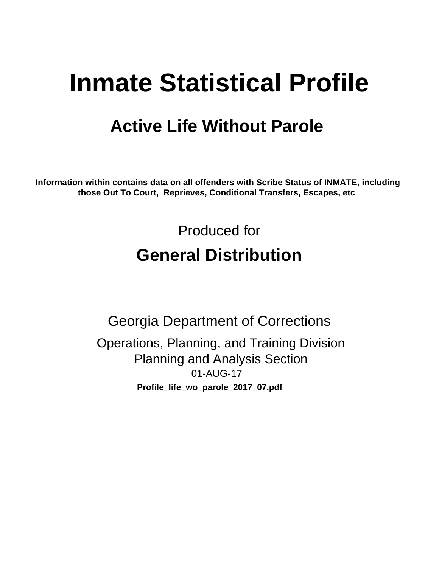# **Inmate Statistical Profile**

## **Active Life Without Parole**

Information within contains data on all offenders with Scribe Status of INMATE, including those Out To Court, Reprieves, Conditional Transfers, Escapes, etc

> Produced for **General Distribution**

**Georgia Department of Corrections** Operations, Planning, and Training Division **Planning and Analysis Section** 01-AUG-17 Profile\_life\_wo\_parole\_2017\_07.pdf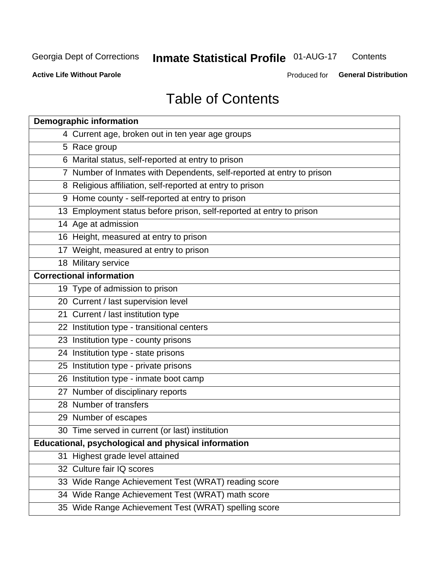#### **Inmate Statistical Profile 01-AUG-17** Contents

**Active Life Without Parole** 

Produced for General Distribution

## **Table of Contents**

|    | <b>Demographic information</b>                                        |
|----|-----------------------------------------------------------------------|
|    | 4 Current age, broken out in ten year age groups                      |
|    | 5 Race group                                                          |
|    | 6 Marital status, self-reported at entry to prison                    |
|    | 7 Number of Inmates with Dependents, self-reported at entry to prison |
|    | 8 Religious affiliation, self-reported at entry to prison             |
|    | 9 Home county - self-reported at entry to prison                      |
|    | 13 Employment status before prison, self-reported at entry to prison  |
|    | 14 Age at admission                                                   |
|    | 16 Height, measured at entry to prison                                |
|    | 17 Weight, measured at entry to prison                                |
|    | 18 Military service                                                   |
|    | <b>Correctional information</b>                                       |
|    | 19 Type of admission to prison                                        |
|    | 20 Current / last supervision level                                   |
|    | 21 Current / last institution type                                    |
|    | 22 Institution type - transitional centers                            |
|    | 23 Institution type - county prisons                                  |
|    | 24 Institution type - state prisons                                   |
|    | 25 Institution type - private prisons                                 |
|    | 26 Institution type - inmate boot camp                                |
|    | 27 Number of disciplinary reports                                     |
|    | 28 Number of transfers                                                |
|    | 29 Number of escapes                                                  |
|    | 30 Time served in current (or last) institution                       |
|    | Educational, psychological and physical information                   |
| 31 | Highest grade level attained                                          |
|    | 32 Culture fair IQ scores                                             |
|    | 33 Wide Range Achievement Test (WRAT) reading score                   |
|    | 34 Wide Range Achievement Test (WRAT) math score                      |
|    | 35 Wide Range Achievement Test (WRAT) spelling score                  |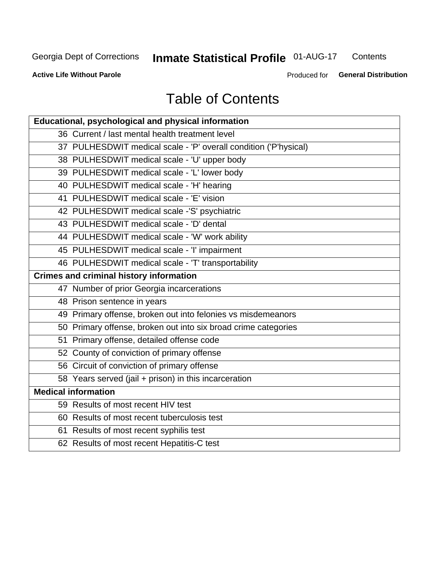## **Inmate Statistical Profile 01-AUG-17**

Contents

**Active Life Without Parole** 

Produced for General Distribution

## **Table of Contents**

| Educational, psychological and physical information              |
|------------------------------------------------------------------|
| 36 Current / last mental health treatment level                  |
| 37 PULHESDWIT medical scale - 'P' overall condition ('P'hysical) |
| 38 PULHESDWIT medical scale - 'U' upper body                     |
| 39 PULHESDWIT medical scale - 'L' lower body                     |
| 40 PULHESDWIT medical scale - 'H' hearing                        |
| 41 PULHESDWIT medical scale - 'E' vision                         |
| 42 PULHESDWIT medical scale -'S' psychiatric                     |
| 43 PULHESDWIT medical scale - 'D' dental                         |
| 44 PULHESDWIT medical scale - 'W' work ability                   |
| 45 PULHESDWIT medical scale - 'I' impairment                     |
| 46 PULHESDWIT medical scale - 'T' transportability               |
| <b>Crimes and criminal history information</b>                   |
| 47 Number of prior Georgia incarcerations                        |
| 48 Prison sentence in years                                      |
| 49 Primary offense, broken out into felonies vs misdemeanors     |
| 50 Primary offense, broken out into six broad crime categories   |
| 51 Primary offense, detailed offense code                        |
| 52 County of conviction of primary offense                       |
| 56 Circuit of conviction of primary offense                      |
| 58 Years served (jail + prison) in this incarceration            |
| <b>Medical information</b>                                       |
| 59 Results of most recent HIV test                               |
| 60 Results of most recent tuberculosis test                      |
| 61 Results of most recent syphilis test                          |
| 62 Results of most recent Hepatitis-C test                       |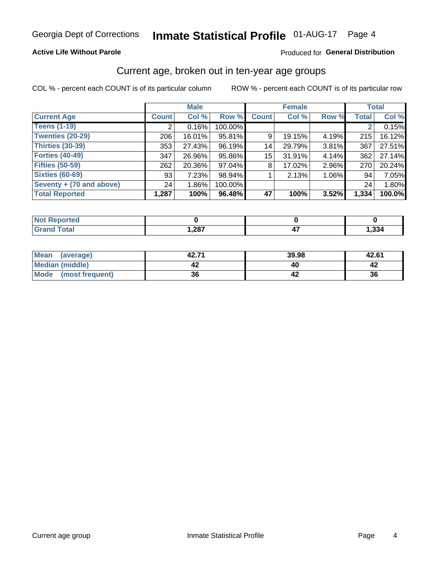#### **Active Life Without Parole**

#### Produced for General Distribution

#### Current age, broken out in ten-year age groups

COL % - percent each COUNT is of its particular column

|                          | <b>Male</b>  |          |         | <b>Female</b> |        |       | <b>Total</b> |        |
|--------------------------|--------------|----------|---------|---------------|--------|-------|--------------|--------|
| <b>Current Age</b>       | <b>Count</b> | Col %    | Row %   | <b>Count</b>  | Col %  | Row % | <b>Total</b> | Col %  |
| <b>Teens (1-19)</b>      | ◠            | 0.16%    | 100.00% |               |        |       | 2            | 0.15%  |
| <b>Twenties (20-29)</b>  | 206          | 16.01%   | 95.81%  | 9             | 19.15% | 4.19% | 215          | 16.12% |
| Thirties (30-39)         | 353          | 27.43%   | 96.19%  | 14            | 29.79% | 3.81% | 367          | 27.51% |
| <b>Forties (40-49)</b>   | 347          | 26.96%   | 95.86%  | 15            | 31.91% | 4.14% | 362          | 27.14% |
| <b>Fifties (50-59)</b>   | 262          | 20.36%   | 97.04%  | 8             | 17.02% | 2.96% | 270          | 20.24% |
| <b>Sixties (60-69)</b>   | 93           | 7.23%    | 98.94%  |               | 2.13%  | 1.06% | 94           | 7.05%  |
| Seventy + (70 and above) | 24           | $1.86\%$ | 100.00% |               |        |       | 24           | 1.80%  |
| <b>Total Reported</b>    | 1,287        | 100%     | 96.48%  | 47            | 100%   | 3.52% | 1,334        | 100.0% |

| <b>Continued State</b> |      |      |
|------------------------|------|------|
| $C = 4$                | ,287 | ,334 |

| <b>Mean</b><br>(average) | 42.71 | 39.98 | 42.61 |
|--------------------------|-------|-------|-------|
| Median (middle)          |       |       |       |
| Mode<br>(most frequent)  | 36    |       | 36    |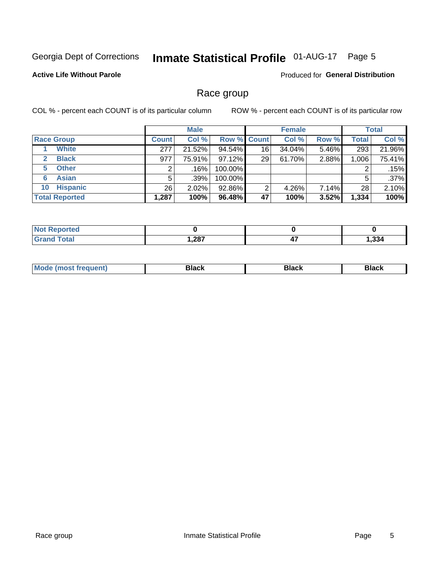### Inmate Statistical Profile 01-AUG-17 Page 5

#### **Active Life Without Parole**

Produced for General Distribution

#### Race group

COL % - percent each COUNT is of its particular column

|                              |              | <b>Male</b> |                    |    | <b>Female</b> |       |              | <b>Total</b> |  |
|------------------------------|--------------|-------------|--------------------|----|---------------|-------|--------------|--------------|--|
| <b>Race Group</b>            | <b>Count</b> | Col %       | <b>Row % Count</b> |    | Col %         | Row % | <b>Total</b> | Col %        |  |
| <b>White</b>                 | 277          | 21.52%      | 94.54%             | 16 | 34.04%        | 5.46% | 293          | 21.96%       |  |
| <b>Black</b><br>$\mathbf{2}$ | 977          | 75.91%      | 97.12%             | 29 | 61.70%        | 2.88% | 1,006        | 75.41%       |  |
| <b>Other</b><br>5.           |              | .16%        | 100.00%            |    |               |       | 2            | .15%         |  |
| <b>Asian</b><br>6            | 5            | .39%        | 100.00%            |    |               |       | 5            | .37%         |  |
| <b>Hispanic</b><br>10        | 26           | $2.02\%$    | 92.86%             | 2  | 4.26%         | 7.14% | 28           | 2.10%        |  |
| <b>Total Reported</b>        | 1,287        | 100%        | 96.48%             | 47 | 100%          | 3.52% | 1,334        | 100%         |  |

| тео |      |          |      |
|-----|------|----------|------|
|     | ,287 | ,,<br>−. | .334 |

| маст |  | M |  |  |  |
|------|--|---|--|--|--|
|------|--|---|--|--|--|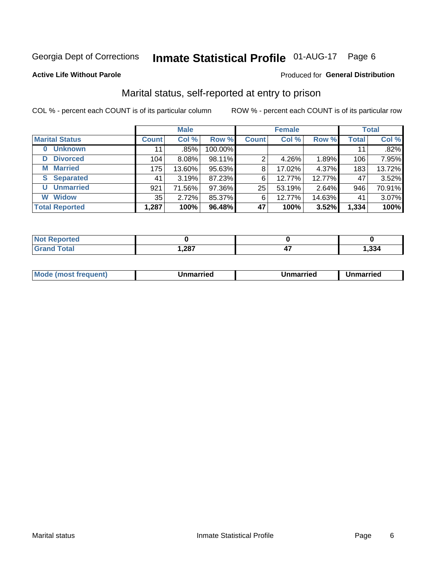### Inmate Statistical Profile 01-AUG-17 Page 6

#### **Active Life Without Parole**

#### Produced for General Distribution

### Marital status, self-reported at entry to prison

COL % - percent each COUNT is of its particular column

|                            | <b>Male</b>  |        |         | <b>Female</b> |        |        | <b>Total</b> |        |
|----------------------------|--------------|--------|---------|---------------|--------|--------|--------------|--------|
| <b>Marital Status</b>      | <b>Count</b> | Col %  | Row %   | <b>Count</b>  | Col %  | Row %  | <b>Total</b> | Col %  |
| <b>Unknown</b><br>$\bf{0}$ | 11           | .85%   | 100.00% |               |        |        | 11           | .82%   |
| <b>Divorced</b><br>D       | 104          | 8.08%  | 98.11%  | 2             | 4.26%  | 1.89%  | 106          | 7.95%  |
| <b>Married</b><br>М        | 175          | 13.60% | 95.63%  | 8             | 17.02% | 4.37%  | 183          | 13.72% |
| <b>Separated</b><br>S.     | 41           | 3.19%  | 87.23%  | 6             | 12.77% | 12.77% | 47           | 3.52%  |
| <b>Unmarried</b><br>U      | 921          | 71.56% | 97.36%  | 25            | 53.19% | 2.64%  | 946          | 70.91% |
| <b>Widow</b><br>W          | 35           | 2.72%  | 85.37%  | 6             | 12.77% | 14.63% | 41           | 3.07%  |
| <b>Total Reported</b>      | 1,287        | 100%   | 96.48%  | 47            | 100%   | 3.52%  | 1,334        | 100%   |

| <b>orted</b><br>INOT F |      |       |
|------------------------|------|-------|
| <b>Total</b>           | ,287 | 1,334 |

|--|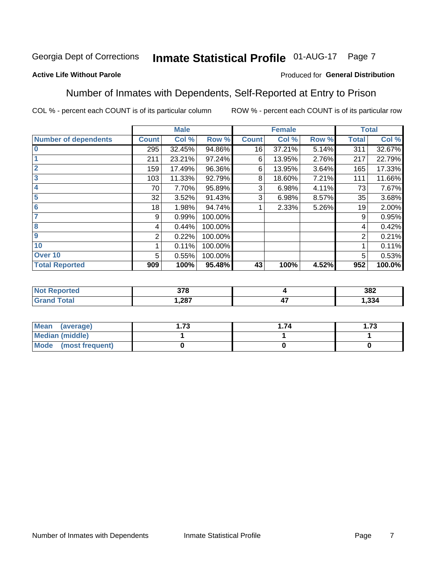#### Inmate Statistical Profile 01-AUG-17 Page 7

#### **Active Life Without Parole**

#### Produced for General Distribution

#### Number of Inmates with Dependents, Self-Reported at Entry to Prison

COL % - percent each COUNT is of its particular column

|                             |              | <b>Male</b> |         |              | <b>Female</b> |       |              | <b>Total</b> |
|-----------------------------|--------------|-------------|---------|--------------|---------------|-------|--------------|--------------|
| <b>Number of dependents</b> | <b>Count</b> | Col %       | Row %   | <b>Count</b> | Col %         | Row % | <b>Total</b> | Col %        |
| $\bf{0}$                    | 295          | 32.45%      | 94.86%  | 16           | 37.21%        | 5.14% | 311          | 32.67%       |
|                             | 211          | 23.21%      | 97.24%  | 6            | 13.95%        | 2.76% | 217          | 22.79%       |
| $\overline{2}$              | 159          | 17.49%      | 96.36%  | 6            | 13.95%        | 3.64% | 165          | 17.33%       |
| 3                           | 103          | 11.33%      | 92.79%  | 8            | 18.60%        | 7.21% | 111          | 11.66%       |
| 4                           | 70           | 7.70%       | 95.89%  | 3            | 6.98%         | 4.11% | 73           | 7.67%        |
| 5                           | 32           | 3.52%       | 91.43%  | 3            | 6.98%         | 8.57% | 35           | 3.68%        |
| $6\phantom{1}6$             | 18           | 1.98%       | 94.74%  |              | 2.33%         | 5.26% | 19           | 2.00%        |
| 7                           | 9            | 0.99%       | 100.00% |              |               |       | 9            | 0.95%        |
| $\overline{\mathbf{8}}$     | 4            | 0.44%       | 100.00% |              |               |       | 4            | 0.42%        |
| $\boldsymbol{9}$            | 2            | 0.22%       | 100.00% |              |               |       | 2            | 0.21%        |
| 10                          |              | 0.11%       | 100.00% |              |               |       |              | 0.11%        |
| Over 10                     | 5            | 0.55%       | 100.00% |              |               |       | 5            | 0.53%        |
| <b>Total Reported</b>       | 909          | 100%        | 95.48%  | 43           | 100%          | 4.52% | 952          | 100.0%       |

| w | 270  |                   | 382  |
|---|------|-------------------|------|
|   | .287 | $\mathbf{r}$<br>- | .334 |

| Mean (average)          | 70 | . 74 | 72<br>I . / J |
|-------------------------|----|------|---------------|
| Median (middle)         |    |      |               |
| Mode<br>(most frequent) |    |      |               |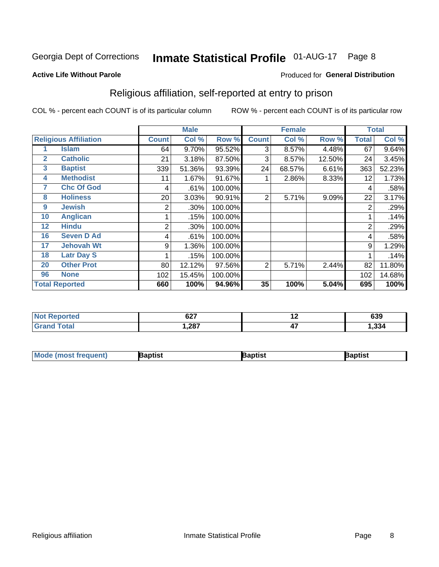#### **Inmate Statistical Profile 01-AUG-17** Page 8

#### **Active Life Without Parole**

#### Produced for General Distribution

### Religious affiliation, self-reported at entry to prison

COL % - percent each COUNT is of its particular column

|              |                              |              | <b>Male</b> |         | <b>Female</b>  |        |        | <b>Total</b> |        |
|--------------|------------------------------|--------------|-------------|---------|----------------|--------|--------|--------------|--------|
|              | <b>Religious Affiliation</b> | <b>Count</b> | Col %       | Row %   | <b>Count</b>   | Col %  | Row %  | Total        | Col %  |
|              | <b>Islam</b>                 | 64           | 9.70%       | 95.52%  | 3              | 8.57%  | 4.48%  | 67           | 9.64%  |
| $\mathbf{2}$ | <b>Catholic</b>              | 21           | 3.18%       | 87.50%  | 3              | 8.57%  | 12.50% | 24           | 3.45%  |
| 3            | <b>Baptist</b>               | 339          | 51.36%      | 93.39%  | 24             | 68.57% | 6.61%  | 363          | 52.23% |
| 4            | <b>Methodist</b>             | 11           | 1.67%       | 91.67%  |                | 2.86%  | 8.33%  | 12           | 1.73%  |
| 7            | <b>Chc Of God</b>            | 4            | .61%        | 100.00% |                |        |        | 4            | .58%   |
| 8            | <b>Holiness</b>              | 20           | 3.03%       | 90.91%  | $\overline{2}$ | 5.71%  | 9.09%  | 22           | 3.17%  |
| 9            | <b>Jewish</b>                | 2            | .30%        | 100.00% |                |        |        | 2            | .29%   |
| 10           | <b>Anglican</b>              |              | .15%        | 100.00% |                |        |        |              | .14%   |
| 12           | <b>Hindu</b>                 | 2            | .30%        | 100.00% |                |        |        | 2            | .29%   |
| 16           | <b>Seven D Ad</b>            | 4            | .61%        | 100.00% |                |        |        | 4            | .58%   |
| 17           | <b>Jehovah Wt</b>            | 9            | 1.36%       | 100.00% |                |        |        | 9            | 1.29%  |
| 18           | <b>Latr Day S</b>            |              | .15%        | 100.00% |                |        |        |              | .14%   |
| 20           | <b>Other Prot</b>            | 80           | 12.12%      | 97.56%  | 2              | 5.71%  | 2.44%  | 82           | 11.80% |
| 96           | <b>None</b>                  | 102          | 15.45%      | 100.00% |                |        |        | 102          | 14.68% |
|              | <b>Total Reported</b>        | 660          | 100%        | 94.96%  | 35             | 100%   | 5.04%  | 695          | 100%   |

| <b>NOT Reported</b> | 0.27<br><b>VZ</b> | . .<br>. . | 639  |
|---------------------|-------------------|------------|------|
| $f$ $of$ $g'$       | 1,287             | --         | .334 |

| <b>Mode</b><br>'most frequent) | aptist | 3aptist | 3aptist |
|--------------------------------|--------|---------|---------|
|                                |        |         |         |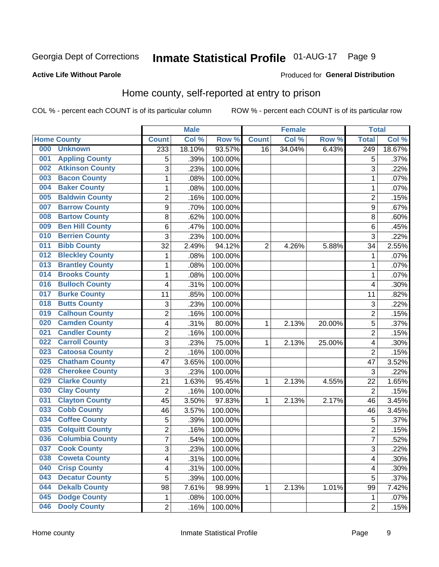## Inmate Statistical Profile 01-AUG-17 Page 9

#### **Active Life Without Parole**

#### Produced for General Distribution

### Home county, self-reported at entry to prison

COL % - percent each COUNT is of its particular column

|     |                        |                         | <b>Male</b> |         |                | <b>Female</b> |        | <b>Total</b>            |        |
|-----|------------------------|-------------------------|-------------|---------|----------------|---------------|--------|-------------------------|--------|
|     | <b>Home County</b>     | <b>Count</b>            | Col %       | Row %   | <b>Count</b>   | Col %         | Row %  | <b>Total</b>            | Col %  |
| 000 | <b>Unknown</b>         | 233                     | 18.10%      | 93.57%  | 16             | 34.04%        | 6.43%  | $\overline{249}$        | 18.67% |
| 001 | <b>Appling County</b>  | 5                       | .39%        | 100.00% |                |               |        | 5                       | .37%   |
| 002 | <b>Atkinson County</b> | 3                       | .23%        | 100.00% |                |               |        | 3                       | .22%   |
| 003 | <b>Bacon County</b>    | $\mathbf 1$             | .08%        | 100.00% |                |               |        | 1                       | .07%   |
| 004 | <b>Baker County</b>    | $\mathbf 1$             | .08%        | 100.00% |                |               |        | 1                       | .07%   |
| 005 | <b>Baldwin County</b>  | $\overline{c}$          | .16%        | 100.00% |                |               |        | $\overline{c}$          | .15%   |
| 007 | <b>Barrow County</b>   | $\overline{9}$          | .70%        | 100.00% |                |               |        | 9                       | .67%   |
| 008 | <b>Bartow County</b>   | 8                       | .62%        | 100.00% |                |               |        | 8                       | .60%   |
| 009 | <b>Ben Hill County</b> | 6                       | .47%        | 100.00% |                |               |        | 6                       | .45%   |
| 010 | <b>Berrien County</b>  | 3                       | .23%        | 100.00% |                |               |        | 3                       | .22%   |
| 011 | <b>Bibb County</b>     | 32                      | 2.49%       | 94.12%  | $\overline{2}$ | 4.26%         | 5.88%  | 34                      | 2.55%  |
| 012 | <b>Bleckley County</b> | $\mathbf 1$             | .08%        | 100.00% |                |               |        | 1                       | .07%   |
| 013 | <b>Brantley County</b> | $\mathbf 1$             | .08%        | 100.00% |                |               |        | 1                       | .07%   |
| 014 | <b>Brooks County</b>   | $\mathbf 1$             | .08%        | 100.00% |                |               |        | 1                       | .07%   |
| 016 | <b>Bulloch County</b>  | 4                       | .31%        | 100.00% |                |               |        | $\overline{4}$          | .30%   |
| 017 | <b>Burke County</b>    | 11                      | .85%        | 100.00% |                |               |        | 11                      | .82%   |
| 018 | <b>Butts County</b>    | 3                       | .23%        | 100.00% |                |               |        | 3                       | .22%   |
| 019 | <b>Calhoun County</b>  | $\overline{c}$          | .16%        | 100.00% |                |               |        | $\overline{c}$          | .15%   |
| 020 | <b>Camden County</b>   | 4                       | .31%        | 80.00%  | 1              | 2.13%         | 20.00% | 5                       | .37%   |
| 021 | <b>Candler County</b>  | $\overline{c}$          | .16%        | 100.00% |                |               |        | $\overline{2}$          | .15%   |
| 022 | <b>Carroll County</b>  | 3                       | .23%        | 75.00%  | 1              | 2.13%         | 25.00% | $\overline{\mathbf{4}}$ | .30%   |
| 023 | <b>Catoosa County</b>  | $\overline{2}$          | .16%        | 100.00% |                |               |        | $\overline{2}$          | .15%   |
| 025 | <b>Chatham County</b>  | 47                      | 3.65%       | 100.00% |                |               |        | 47                      | 3.52%  |
| 028 | <b>Cherokee County</b> | 3                       | .23%        | 100.00% |                |               |        | 3                       | .22%   |
| 029 | <b>Clarke County</b>   | 21                      | 1.63%       | 95.45%  | 1              | 2.13%         | 4.55%  | 22                      | 1.65%  |
| 030 | <b>Clay County</b>     | $\overline{2}$          | .16%        | 100.00% |                |               |        | $\overline{2}$          | .15%   |
| 031 | <b>Clayton County</b>  | 45                      | 3.50%       | 97.83%  | 1              | 2.13%         | 2.17%  | 46                      | 3.45%  |
| 033 | <b>Cobb County</b>     | 46                      | 3.57%       | 100.00% |                |               |        | 46                      | 3.45%  |
| 034 | <b>Coffee County</b>   | 5                       | .39%        | 100.00% |                |               |        | 5                       | .37%   |
| 035 | <b>Colquitt County</b> | $\overline{c}$          | .16%        | 100.00% |                |               |        | $\overline{2}$          | .15%   |
| 036 | <b>Columbia County</b> | $\overline{7}$          | .54%        | 100.00% |                |               |        | 7                       | .52%   |
| 037 | <b>Cook County</b>     | 3                       | .23%        | 100.00% |                |               |        | 3                       | .22%   |
| 038 | <b>Coweta County</b>   | 4                       | .31%        | 100.00% |                |               |        | 4                       | .30%   |
| 040 | <b>Crisp County</b>    | $\overline{\mathbf{4}}$ | .31%        | 100.00% |                |               |        | 4                       | .30%   |
| 043 | <b>Decatur County</b>  | 5                       | .39%        | 100.00% |                |               |        | 5                       | .37%   |
| 044 | <b>Dekalb County</b>   | 98                      | 7.61%       | 98.99%  | 1              | 2.13%         | 1.01%  | 99                      | 7.42%  |
| 045 | <b>Dodge County</b>    | 1                       | .08%        | 100.00% |                |               |        | 1                       | .07%   |
| 046 | <b>Dooly County</b>    | $\overline{2}$          | .16%        | 100.00% |                |               |        | $\overline{2}$          | .15%   |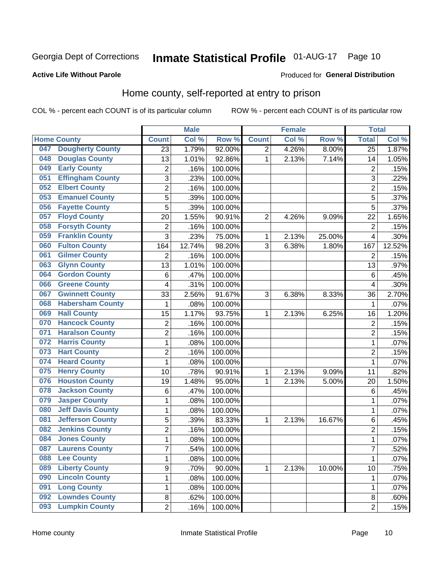## Inmate Statistical Profile 01-AUG-17 Page 10

#### **Active Life Without Parole**

#### Produced for General Distribution

### Home county, self-reported at entry to prison

COL % - percent each COUNT is of its particular column

|     |                          |                         | <b>Male</b> |         |                | <b>Female</b> |          | <b>Total</b>    |        |
|-----|--------------------------|-------------------------|-------------|---------|----------------|---------------|----------|-----------------|--------|
|     | <b>Home County</b>       | <b>Count</b>            | Col %       | Row %   | <b>Count</b>   | Col %         | Row %    | <b>Total</b>    | Col %  |
| 047 | <b>Dougherty County</b>  | 23                      | 1.79%       | 92.00%  | $\overline{2}$ | 4.26%         | $8.00\%$ | $\overline{25}$ | 1.87%  |
| 048 | <b>Douglas County</b>    | 13                      | 1.01%       | 92.86%  | 1              | 2.13%         | 7.14%    | 14              | 1.05%  |
| 049 | <b>Early County</b>      | 2                       | .16%        | 100.00% |                |               |          | $\overline{2}$  | .15%   |
| 051 | <b>Effingham County</b>  | 3                       | .23%        | 100.00% |                |               |          | 3               | .22%   |
| 052 | <b>Elbert County</b>     | $\overline{c}$          | .16%        | 100.00% |                |               |          | $\overline{2}$  | .15%   |
| 053 | <b>Emanuel County</b>    | 5                       | .39%        | 100.00% |                |               |          | 5               | .37%   |
| 056 | <b>Fayette County</b>    | 5                       | .39%        | 100.00% |                |               |          | 5               | .37%   |
| 057 | <b>Floyd County</b>      | 20                      | 1.55%       | 90.91%  | $\overline{2}$ | 4.26%         | 9.09%    | 22              | 1.65%  |
| 058 | <b>Forsyth County</b>    | $\overline{\mathbf{c}}$ | .16%        | 100.00% |                |               |          | $\overline{2}$  | .15%   |
| 059 | <b>Franklin County</b>   | 3                       | .23%        | 75.00%  | 1              | 2.13%         | 25.00%   | $\overline{4}$  | .30%   |
| 060 | <b>Fulton County</b>     | 164                     | 12.74%      | 98.20%  | 3              | 6.38%         | 1.80%    | 167             | 12.52% |
| 061 | <b>Gilmer County</b>     | $\overline{2}$          | .16%        | 100.00% |                |               |          | $\overline{2}$  | .15%   |
| 063 | <b>Glynn County</b>      | 13                      | 1.01%       | 100.00% |                |               |          | 13              | .97%   |
| 064 | <b>Gordon County</b>     | $\,6$                   | .47%        | 100.00% |                |               |          | 6               | .45%   |
| 066 | <b>Greene County</b>     | 4                       | .31%        | 100.00% |                |               |          | $\overline{4}$  | .30%   |
| 067 | <b>Gwinnett County</b>   | 33                      | 2.56%       | 91.67%  | 3              | 6.38%         | 8.33%    | 36              | 2.70%  |
| 068 | <b>Habersham County</b>  | 1                       | .08%        | 100.00% |                |               |          | 1               | .07%   |
| 069 | <b>Hall County</b>       | 15                      | 1.17%       | 93.75%  | 1              | 2.13%         | 6.25%    | 16              | 1.20%  |
| 070 | <b>Hancock County</b>    | $\overline{\mathbf{c}}$ | .16%        | 100.00% |                |               |          | $\overline{2}$  | .15%   |
| 071 | <b>Haralson County</b>   | $\overline{2}$          | .16%        | 100.00% |                |               |          | $\overline{2}$  | .15%   |
| 072 | <b>Harris County</b>     | $\mathbf{1}$            | .08%        | 100.00% |                |               |          | 1               | .07%   |
| 073 | <b>Hart County</b>       | $\overline{2}$          | .16%        | 100.00% |                |               |          | $\overline{2}$  | .15%   |
| 074 | <b>Heard County</b>      | $\mathbf{1}$            | .08%        | 100.00% |                |               |          | 1               | .07%   |
| 075 | <b>Henry County</b>      | 10                      | .78%        | 90.91%  | 1              | 2.13%         | 9.09%    | 11              | .82%   |
| 076 | <b>Houston County</b>    | 19                      | 1.48%       | 95.00%  | 1              | 2.13%         | 5.00%    | 20              | 1.50%  |
| 078 | <b>Jackson County</b>    | 6                       | .47%        | 100.00% |                |               |          | 6               | .45%   |
| 079 | <b>Jasper County</b>     | $\mathbf 1$             | .08%        | 100.00% |                |               |          | 1               | .07%   |
| 080 | <b>Jeff Davis County</b> | $\mathbf 1$             | .08%        | 100.00% |                |               |          | 1               | .07%   |
| 081 | <b>Jefferson County</b>  | 5                       | .39%        | 83.33%  | 1              | 2.13%         | 16.67%   | 6               | .45%   |
| 082 | <b>Jenkins County</b>    | $\overline{c}$          | .16%        | 100.00% |                |               |          | $\overline{2}$  | .15%   |
| 084 | <b>Jones County</b>      | 1                       | .08%        | 100.00% |                |               |          | 1               | .07%   |
| 087 | <b>Laurens County</b>    | 7                       | .54%        | 100.00% |                |               |          | $\overline{7}$  | .52%   |
| 088 | <b>Lee County</b>        | $\mathbf{1}$            | .08%        | 100.00% |                |               |          | 1               | .07%   |
| 089 | <b>Liberty County</b>    | 9                       | .70%        | 90.00%  | 1              | 2.13%         | 10.00%   | 10              | .75%   |
| 090 | <b>Lincoln County</b>    | $\mathbf{1}$            | .08%        | 100.00% |                |               |          | 1               | .07%   |
| 091 | <b>Long County</b>       | $\mathbf 1$             | .08%        | 100.00% |                |               |          | 1               | .07%   |
| 092 | <b>Lowndes County</b>    | 8                       | .62%        | 100.00% |                |               |          | 8               | .60%   |
| 093 | <b>Lumpkin County</b>    | $\overline{2}$          | .16%        | 100.00% |                |               |          | $\overline{2}$  | .15%   |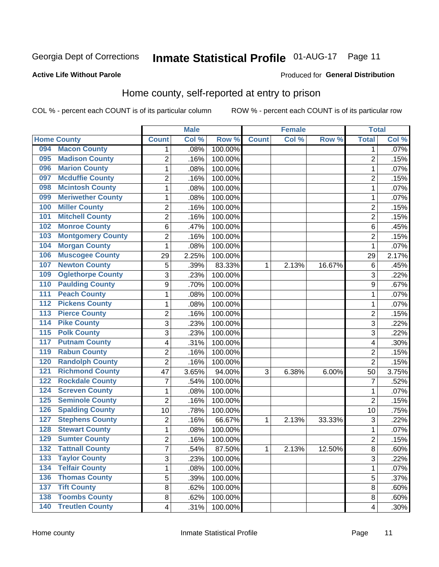## Inmate Statistical Profile 01-AUG-17 Page 11

#### **Active Life Without Parole**

#### Produced for General Distribution

### Home county, self-reported at entry to prison

COL % - percent each COUNT is of its particular column

|                                        |                          |                         | <b>Male</b> |         |              | <b>Female</b> |        | <b>Total</b>   |       |
|----------------------------------------|--------------------------|-------------------------|-------------|---------|--------------|---------------|--------|----------------|-------|
| <b>Home County</b>                     |                          | <b>Count</b>            | Col %       | Row %   | <b>Count</b> | Col %         | Row %  | <b>Total</b>   | Col % |
| 094                                    | <b>Macon County</b>      | 1                       | .08%        | 100.00% |              |               |        | 1              | .07%  |
| 095                                    | <b>Madison County</b>    | $\overline{2}$          | .16%        | 100.00% |              |               |        | $\overline{2}$ | .15%  |
| 096                                    | <b>Marion County</b>     | $\mathbf 1$             | .08%        | 100.00% |              |               |        | 1              | .07%  |
| 097                                    | <b>Mcduffie County</b>   | $\mathbf 2$             | .16%        | 100.00% |              |               |        | 2              | .15%  |
| 098                                    | <b>Mcintosh County</b>   | $\mathbf 1$             | .08%        | 100.00% |              |               |        | 1              | .07%  |
| 099                                    | <b>Meriwether County</b> | 1                       | .08%        | 100.00% |              |               |        | 1              | .07%  |
| 100                                    | <b>Miller County</b>     | $\overline{2}$          | .16%        | 100.00% |              |               |        | $\overline{2}$ | .15%  |
| 101                                    | <b>Mitchell County</b>   | $\overline{2}$          | .16%        | 100.00% |              |               |        | $\overline{2}$ | .15%  |
| 102                                    | <b>Monroe County</b>     | 6                       | .47%        | 100.00% |              |               |        | 6              | .45%  |
| 103                                    | <b>Montgomery County</b> | $\mathbf 2$             | .16%        | 100.00% |              |               |        | 2              | .15%  |
| 104                                    | <b>Morgan County</b>     | $\mathbf{1}$            | .08%        | 100.00% |              |               |        | 1              | .07%  |
| 106                                    | <b>Muscogee County</b>   | 29                      | 2.25%       | 100.00% |              |               |        | 29             | 2.17% |
| 107                                    | <b>Newton County</b>     | 5                       | .39%        | 83.33%  | 1            | 2.13%         | 16.67% | 6              | .45%  |
| 109                                    | <b>Oglethorpe County</b> | 3                       | .23%        | 100.00% |              |               |        | 3              | .22%  |
| 110                                    | <b>Paulding County</b>   | 9                       | .70%        | 100.00% |              |               |        | 9              | .67%  |
| 111                                    | <b>Peach County</b>      | 1                       | .08%        | 100.00% |              |               |        | 1              | .07%  |
| $\overline{112}$                       | <b>Pickens County</b>    | $\mathbf 1$             | .08%        | 100.00% |              |               |        | 1              | .07%  |
| $\overline{113}$                       | <b>Pierce County</b>     | $\overline{2}$          | .16%        | 100.00% |              |               |        | $\overline{c}$ | .15%  |
| <b>Pike County</b><br>$\overline{114}$ |                          | 3                       | .23%        | 100.00% |              |               |        | 3              | .22%  |
| <b>Polk County</b><br>115              |                          | 3                       | .23%        | 100.00% |              |               |        | 3              | .22%  |
| 117                                    | <b>Putnam County</b>     | $\overline{\mathbf{4}}$ | .31%        | 100.00% |              |               |        | 4              | .30%  |
| 119                                    | <b>Rabun County</b>      | $\overline{2}$          | .16%        | 100.00% |              |               |        | $\overline{2}$ | .15%  |
| 120                                    | <b>Randolph County</b>   | $\overline{2}$          | .16%        | 100.00% |              |               |        | $\overline{2}$ | .15%  |
| 121                                    | <b>Richmond County</b>   | 47                      | 3.65%       | 94.00%  | 3            | 6.38%         | 6.00%  | 50             | 3.75% |
| 122                                    | <b>Rockdale County</b>   | 7                       | .54%        | 100.00% |              |               |        | 7              | .52%  |
| 124                                    | <b>Screven County</b>    | 1                       | .08%        | 100.00% |              |               |        | 1              | .07%  |
| 125                                    | <b>Seminole County</b>   | $\overline{2}$          | .16%        | 100.00% |              |               |        | $\overline{2}$ | .15%  |
| 126                                    | <b>Spalding County</b>   | 10                      | .78%        | 100.00% |              |               |        | 10             | .75%  |
| 127                                    | <b>Stephens County</b>   | $\overline{2}$          | .16%        | 66.67%  | 1            | 2.13%         | 33.33% | 3              | .22%  |
| 128                                    | <b>Stewart County</b>    | 1                       | .08%        | 100.00% |              |               |        | 1              | .07%  |
| 129                                    | <b>Sumter County</b>     | $\overline{2}$          | .16%        | 100.00% |              |               |        | $\overline{2}$ | .15%  |
| 132                                    | <b>Tattnall County</b>   | 7                       | .54%        | 87.50%  | 1            | 2.13%         | 12.50% | 8              | .60%  |
| 133                                    | <b>Taylor County</b>     | 3                       | .23%        | 100.00% |              |               |        | 3              | .22%  |
| 134                                    | <b>Telfair County</b>    | 1                       | .08%        | 100.00% |              |               |        | 1              | .07%  |
| 136                                    | <b>Thomas County</b>     | 5                       | .39%        | 100.00% |              |               |        | 5              | .37%  |
| <b>Tift County</b><br>137              |                          | 8                       | .62%        | 100.00% |              |               |        | 8              | .60%  |
| 138                                    | <b>Toombs County</b>     | 8                       | .62%        | 100.00% |              |               |        | 8              | .60%  |
| $\overline{140}$                       | <b>Treutlen County</b>   | $\overline{4}$          | .31%        | 100.00% |              |               |        | 4              | .30%  |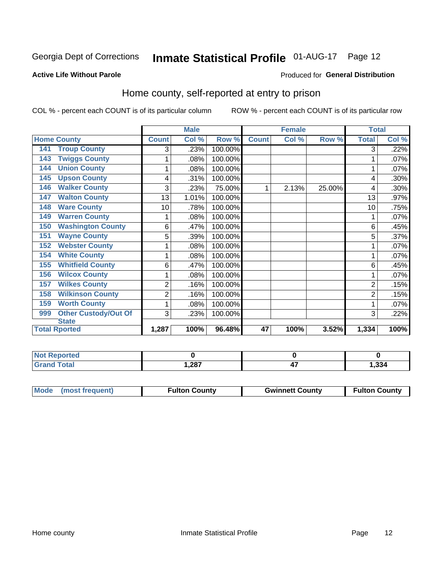### Inmate Statistical Profile 01-AUG-17 Page 12

#### **Active Life Without Parole**

#### Produced for General Distribution

### Home county, self-reported at entry to prison

COL % - percent each COUNT is of its particular column

|                                    |                | <b>Male</b> |         |              | <b>Female</b> |        | <b>Total</b>   |       |
|------------------------------------|----------------|-------------|---------|--------------|---------------|--------|----------------|-------|
| <b>Home County</b>                 | <b>Count</b>   | Col %       | Row %   | <b>Count</b> | Col %         | Row %  | <b>Total</b>   | Col % |
| <b>Troup County</b><br>141         | 3              | .23%        | 100.00% |              |               |        | 3              | .22%  |
| <b>Twiggs County</b><br>143        | 1              | .08%        | 100.00% |              |               |        |                | .07%  |
| <b>Union County</b><br>144         | 1              | .08%        | 100.00% |              |               |        |                | .07%  |
| <b>Upson County</b><br>145         | 4              | .31%        | 100.00% |              |               |        | 4              | .30%  |
| <b>Walker County</b><br>146        | 3              | .23%        | 75.00%  | 1            | 2.13%         | 25.00% | 4              | .30%  |
| <b>Walton County</b><br>147        | 13             | 1.01%       | 100.00% |              |               |        | 13             | .97%  |
| <b>Ware County</b><br>148          | 10             | .78%        | 100.00% |              |               |        | 10             | .75%  |
| <b>Warren County</b><br>149        | 1              | .08%        | 100.00% |              |               |        | 1              | .07%  |
| <b>Washington County</b><br>150    | 6              | .47%        | 100.00% |              |               |        | 6              | .45%  |
| <b>Wayne County</b><br>151         | 5              | .39%        | 100.00% |              |               |        | 5              | .37%  |
| <b>Webster County</b><br>152       | 1              | .08%        | 100.00% |              |               |        |                | .07%  |
| <b>White County</b><br>154         | 1              | .08%        | 100.00% |              |               |        |                | .07%  |
| <b>Whitfield County</b><br>155     | 6              | .47%        | 100.00% |              |               |        | 6              | .45%  |
| <b>Wilcox County</b><br>156        | 1              | .08%        | 100.00% |              |               |        |                | .07%  |
| <b>Wilkes County</b><br>157        | 2              | .16%        | 100.00% |              |               |        | $\overline{2}$ | .15%  |
| <b>Wilkinson County</b><br>158     | $\overline{c}$ | .16%        | 100.00% |              |               |        | $\overline{2}$ | .15%  |
| <b>Worth County</b><br>159         | 1              | .08%        | 100.00% |              |               |        |                | .07%  |
| <b>Other Custody/Out Of</b><br>999 | 3              | .23%        | 100.00% |              |               |        | 3              | .22%  |
| <b>State</b>                       |                |             |         |              |               |        |                |       |
| <b>Total Rported</b>               | 1,287          | 100%        | 96.48%  | 47           | 100%          | 3.52%  | 1,334          | 100%  |

| <b>Not Reported</b> |      |     |       |
|---------------------|------|-----|-------|
| <b>Grand Total</b>  | ,287 | . . | 1,334 |

| Mode (most frequent) | <b>Fulton County</b> | <b>Gwinnett County</b> | <b>Fulton County</b> |
|----------------------|----------------------|------------------------|----------------------|
|                      |                      |                        |                      |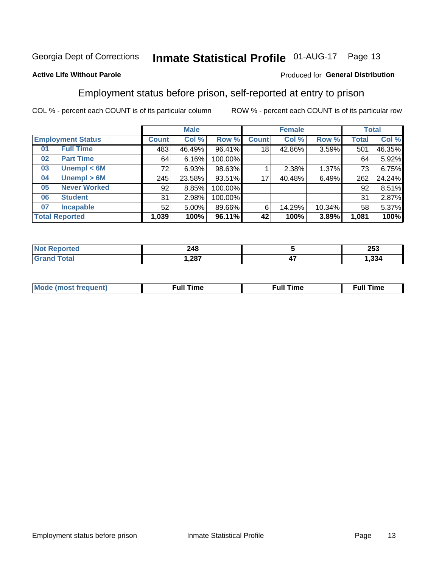## Inmate Statistical Profile 01-AUG-17 Page 13

#### **Active Life Without Parole**

#### Produced for General Distribution

#### Employment status before prison, self-reported at entry to prison

COL % - percent each COUNT is of its particular column

|                           | <b>Male</b>  |          |         | <b>Female</b> |        |        | <b>Total</b> |        |
|---------------------------|--------------|----------|---------|---------------|--------|--------|--------------|--------|
| <b>Employment Status</b>  | <b>Count</b> | Col %    | Row %   | <b>Count</b>  | Col %  | Row %  | Total        | Col %  |
| <b>Full Time</b><br>01    | 483          | 46.49%   | 96.41%  | 18            | 42.86% | 3.59%  | 501          | 46.35% |
| <b>Part Time</b><br>02    | 64           | 6.16%    | 100.00% |               |        |        | 64           | 5.92%  |
| Unempl $<$ 6M<br>03       | 72           | 6.93%    | 98.63%  |               | 2.38%  | 1.37%  | 73           | 6.75%  |
| Unempl > 6M<br>04         | 245          | 23.58%   | 93.51%  | 17            | 40.48% | 6.49%  | 262          | 24.24% |
| <b>Never Worked</b><br>05 | 92           | 8.85%    | 100.00% |               |        |        | 92           | 8.51%  |
| <b>Student</b><br>06      | 31           | 2.98%    | 100.00% |               |        |        | 31           | 2.87%  |
| <b>Incapable</b><br>07    | 52           | $5.00\%$ | 89.66%  | 6             | 14.29% | 10.34% | 58           | 5.37%  |
| <b>Total Reported</b>     | 1,039        | 100%     | 96.11%  | 42            | 100%   | 3.89%  | 1,081        | 100%   |

| 248<br>$\sim$ |     | 253   |
|---------------|-----|-------|
| 1,287         | - 1 | 1,334 |

| Mc | ----<br>me<br>ш | nc<br>. |
|----|-----------------|---------|
|    |                 |         |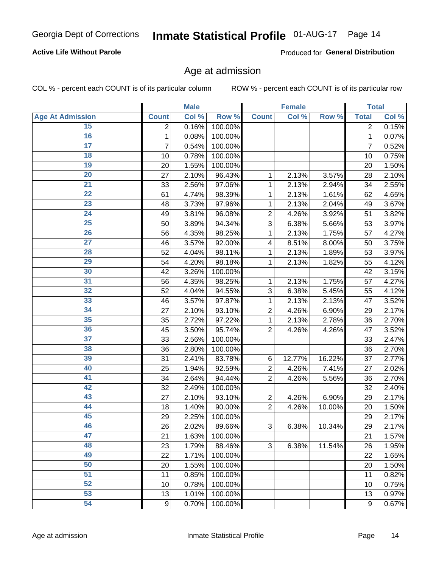#### **Active Life Without Parole**

Produced for General Distribution

#### Age at admission

COL % - percent each COUNT is of its particular column

|                         |                | <b>Male</b> |         |                         | <b>Female</b> |        |              | <b>Total</b> |
|-------------------------|----------------|-------------|---------|-------------------------|---------------|--------|--------------|--------------|
| <b>Age At Admission</b> | <b>Count</b>   | Col %       | Row %   | <b>Count</b>            | Col %         | Row %  | <b>Total</b> | Col %        |
| 15                      | $\overline{2}$ | 0.16%       | 100.00% |                         |               |        | 2            | 0.15%        |
| 16                      | 1              | 0.08%       | 100.00% |                         |               |        | $\mathbf{1}$ | 0.07%        |
| $\overline{17}$         | 7              | 0.54%       | 100.00% |                         |               |        | 7            | 0.52%        |
| 18                      | 10             | 0.78%       | 100.00% |                         |               |        | 10           | 0.75%        |
| 19                      | 20             | 1.55%       | 100.00% |                         |               |        | 20           | 1.50%        |
| $\overline{20}$         | 27             | 2.10%       | 96.43%  | 1                       | 2.13%         | 3.57%  | 28           | 2.10%        |
| 21                      | 33             | 2.56%       | 97.06%  | 1                       | 2.13%         | 2.94%  | 34           | 2.55%        |
| $\overline{22}$         | 61             | 4.74%       | 98.39%  | 1                       | 2.13%         | 1.61%  | 62           | 4.65%        |
| 23                      | 48             | 3.73%       | 97.96%  | 1                       | 2.13%         | 2.04%  | 49           | 3.67%        |
| 24                      | 49             | 3.81%       | 96.08%  | $\overline{2}$          | 4.26%         | 3.92%  | 51           | 3.82%        |
| $\overline{25}$         | 50             | 3.89%       | 94.34%  | 3                       | 6.38%         | 5.66%  | 53           | 3.97%        |
| 26                      | 56             | 4.35%       | 98.25%  | 1                       | 2.13%         | 1.75%  | 57           | 4.27%        |
| $\overline{27}$         | 46             | 3.57%       | 92.00%  | $\overline{\mathbf{4}}$ | 8.51%         | 8.00%  | 50           | 3.75%        |
| 28                      | 52             | 4.04%       | 98.11%  | 1                       | 2.13%         | 1.89%  | 53           | 3.97%        |
| 29                      | 54             | 4.20%       | 98.18%  | 1                       | 2.13%         | 1.82%  | 55           | 4.12%        |
| 30                      | 42             | 3.26%       | 100.00% |                         |               |        | 42           | 3.15%        |
| 31                      | 56             | 4.35%       | 98.25%  | 1                       | 2.13%         | 1.75%  | 57           | 4.27%        |
| $\overline{32}$         | 52             | 4.04%       | 94.55%  | 3                       | 6.38%         | 5.45%  | 55           | 4.12%        |
| 33                      | 46             | 3.57%       | 97.87%  | 1                       | 2.13%         | 2.13%  | 47           | 3.52%        |
| 34                      | 27             | 2.10%       | 93.10%  | $\overline{2}$          | 4.26%         | 6.90%  | 29           | 2.17%        |
| 35                      | 35             | 2.72%       | 97.22%  | 1                       | 2.13%         | 2.78%  | 36           | 2.70%        |
| 36                      | 45             | 3.50%       | 95.74%  | $\overline{2}$          | 4.26%         | 4.26%  | 47           | 3.52%        |
| $\overline{37}$         | 33             | 2.56%       | 100.00% |                         |               |        | 33           | 2.47%        |
| 38                      | 36             | 2.80%       | 100.00% |                         |               |        | 36           | 2.70%        |
| 39                      | 31             | 2.41%       | 83.78%  | 6                       | 12.77%        | 16.22% | 37           | 2.77%        |
| 40                      | 25             | 1.94%       | 92.59%  | 2                       | 4.26%         | 7.41%  | 27           | 2.02%        |
| 41                      | 34             | 2.64%       | 94.44%  | $\overline{2}$          | 4.26%         | 5.56%  | 36           | 2.70%        |
| 42                      | 32             | 2.49%       | 100.00% |                         |               |        | 32           | 2.40%        |
| 43                      | 27             | 2.10%       | 93.10%  | $\mathbf 2$             | 4.26%         | 6.90%  | 29           | 2.17%        |
| 44                      | 18             | 1.40%       | 90.00%  | $\overline{2}$          | 4.26%         | 10.00% | 20           | 1.50%        |
| 45                      | 29             | 2.25%       | 100.00% |                         |               |        | 29           | 2.17%        |
| 46                      | 26             | 2.02%       | 89.66%  | $\sqrt{3}$              | 6.38%         | 10.34% | 29           | 2.17%        |
| 47                      | 21             | 1.63%       | 100.00% |                         |               |        | 21           | 1.57%        |
| 48                      | 23             | 1.79%       | 88.46%  | 3                       | 6.38%         | 11.54% | 26           | 1.95%        |
| 49                      | 22             | 1.71%       | 100.00% |                         |               |        | 22           | 1.65%        |
| 50                      | 20             | 1.55%       | 100.00% |                         |               |        | 20           | 1.50%        |
| $\overline{51}$         | 11             | 0.85%       | 100.00% |                         |               |        | 11           | 0.82%        |
| 52                      | 10             | 0.78%       | 100.00% |                         |               |        | 10           | 0.75%        |
| 53                      | 13             | 1.01%       | 100.00% |                         |               |        | 13           | 0.97%        |
| 54                      | $9\,$          | 0.70%       | 100.00% |                         |               |        | 9            | 0.67%        |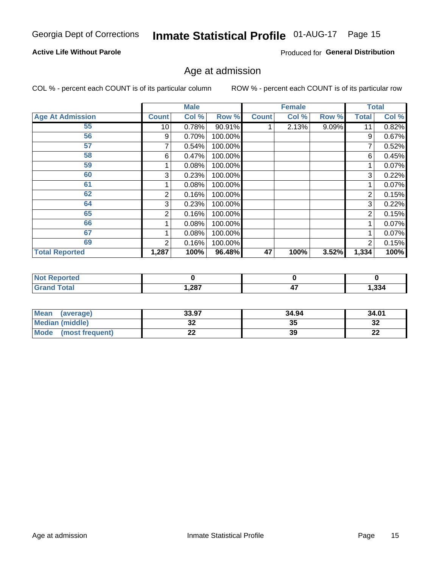#### **Active Life Without Parole**

Produced for General Distribution

#### Age at admission

COL % - percent each COUNT is of its particular column

|                         |                 | <b>Male</b> |         |              | <b>Female</b> |       |              | <b>Total</b> |
|-------------------------|-----------------|-------------|---------|--------------|---------------|-------|--------------|--------------|
| <b>Age At Admission</b> | <b>Count</b>    | Col %       | Row %   | <b>Count</b> | Col %         | Row % | <b>Total</b> | Col %        |
| 55                      | 10 <sup>1</sup> | 0.78%       | 90.91%  |              | 2.13%         | 9.09% | 11           | 0.82%        |
| 56                      | 9               | 0.70%       | 100.00% |              |               |       | 9            | 0.67%        |
| 57                      |                 | 0.54%       | 100.00% |              |               |       | 7            | 0.52%        |
| 58                      | 6               | 0.47%       | 100.00% |              |               |       | 6            | 0.45%        |
| 59                      |                 | 0.08%       | 100.00% |              |               |       |              | 0.07%        |
| 60                      | 3               | 0.23%       | 100.00% |              |               |       | 3            | 0.22%        |
| 61                      |                 | 0.08%       | 100.00% |              |               |       |              | 0.07%        |
| 62                      | 2               | 0.16%       | 100.00% |              |               |       | 2            | 0.15%        |
| 64                      | 3               | 0.23%       | 100.00% |              |               |       | 3            | 0.22%        |
| 65                      | 2               | 0.16%       | 100.00% |              |               |       | 2            | 0.15%        |
| 66                      |                 | 0.08%       | 100.00% |              |               |       |              | 0.07%        |
| 67                      |                 | 0.08%       | 100.00% |              |               |       |              | 0.07%        |
| 69                      | 2               | 0.16%       | 100.00% |              |               |       | 2            | 0.15%        |
| <b>Total Reported</b>   | 1,287           | 100%        | 96.48%  | 47           | 100%          | 3.52% | 1,334        | 100%         |

| <b>Not Reported</b> |      |     |       |
|---------------------|------|-----|-------|
| <b>Grand Total</b>  | ,287 | . . | 1,334 |

| <b>Mean</b><br>(average) | 33.97 | 34.94 | 34.01    |
|--------------------------|-------|-------|----------|
| <b>Median (middle)</b>   | JZ    | 35    | 32       |
| Mode<br>(most frequent)  | --    | 39    | n.<br>LL |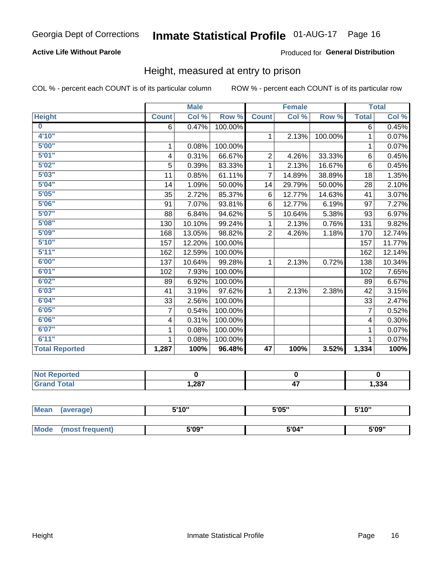#### **Active Life Without Parole**

#### Produced for General Distribution

#### Height, measured at entry to prison

COL % - percent each COUNT is of its particular column

|                       |                | <b>Male</b> |         |                | <b>Female</b> |         |                | <b>Total</b> |
|-----------------------|----------------|-------------|---------|----------------|---------------|---------|----------------|--------------|
| <b>Height</b>         | <b>Count</b>   | Col %       | Row %   | <b>Count</b>   | Col %         | Row %   | <b>Total</b>   | Col %        |
| $\bf{0}$              | 6              | 0.47%       | 100.00% |                |               |         | 6              | 0.45%        |
| 4'10''                |                |             |         | $\mathbf{1}$   | 2.13%         | 100.00% | 1              | 0.07%        |
| 5'00''                | 1              | 0.08%       | 100.00% |                |               |         | 1              | 0.07%        |
| 5'01"                 | 4              | 0.31%       | 66.67%  | $\overline{2}$ | 4.26%         | 33.33%  | 6              | 0.45%        |
| 5'02"                 | 5              | 0.39%       | 83.33%  | 1              | 2.13%         | 16.67%  | $6\phantom{1}$ | 0.45%        |
| 5'03''                | 11             | 0.85%       | 61.11%  | $\overline{7}$ | 14.89%        | 38.89%  | 18             | 1.35%        |
| 5'04"                 | 14             | 1.09%       | 50.00%  | 14             | 29.79%        | 50.00%  | 28             | 2.10%        |
| 5'05"                 | 35             | 2.72%       | 85.37%  | 6              | 12.77%        | 14.63%  | 41             | 3.07%        |
| 5'06''                | 91             | 7.07%       | 93.81%  | 6              | 12.77%        | 6.19%   | 97             | 7.27%        |
| 5'07"                 | 88             | 6.84%       | 94.62%  | 5              | 10.64%        | 5.38%   | 93             | 6.97%        |
| 5'08''                | 130            | 10.10%      | 99.24%  | 1              | 2.13%         | 0.76%   | 131            | 9.82%        |
| 5'09''                | 168            | 13.05%      | 98.82%  | $\overline{2}$ | 4.26%         | 1.18%   | 170            | 12.74%       |
| 5'10''                | 157            | 12.20%      | 100.00% |                |               |         | 157            | 11.77%       |
| 5'11"                 | 162            | 12.59%      | 100.00% |                |               |         | 162            | 12.14%       |
| 6'00''                | 137            | 10.64%      | 99.28%  | 1.             | 2.13%         | 0.72%   | 138            | 10.34%       |
| 6'01''                | 102            | 7.93%       | 100.00% |                |               |         | 102            | 7.65%        |
| 6'02"                 | 89             | 6.92%       | 100.00% |                |               |         | 89             | 6.67%        |
| 6'03''                | 41             | 3.19%       | 97.62%  | $\mathbf{1}$   | 2.13%         | 2.38%   | 42             | 3.15%        |
| 6'04"                 | 33             | 2.56%       | 100.00% |                |               |         | 33             | 2.47%        |
| 6'05"                 | $\overline{7}$ | 0.54%       | 100.00% |                |               |         | $\overline{7}$ | 0.52%        |
| 6'06''                | 4              | 0.31%       | 100.00% |                |               |         | 4              | 0.30%        |
| 6'07''                | 1              | 0.08%       | 100.00% |                |               |         | 1              | 0.07%        |
| 6'11''                | 1              | 0.08%       | 100.00% |                |               |         | 1              | 0.07%        |
| <b>Total Reported</b> | 1,287          | 100%        | 96.48%  | 47             | 100%          | 3.52%   | 1,334          | 100%         |

| <b>eported</b><br>. |      |            |       |
|---------------------|------|------------|-------|
| _____               | 287, | . .<br>T 1 | 1,334 |

| <b>Mean</b> | (average)       | 5'10" | 5'05" | 5'10'' |  |
|-------------|-----------------|-------|-------|--------|--|
|             |                 |       |       |        |  |
| <b>Mode</b> | (most frequent) | 5'09" | 5'04" | 5'09"  |  |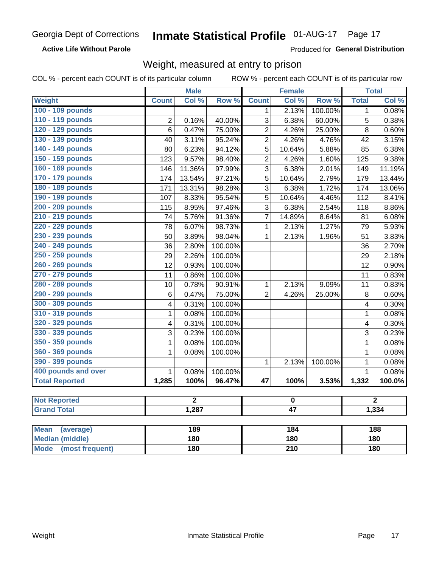**Active Life Without Parole** 

Produced for General Distribution

#### Weight, measured at entry to prison

COL % - percent each COUNT is of its particular column

ROW % - percent each COUNT is of its particular row

|                          |                         | <b>Male</b>    |         |                 | <b>Female</b> |         |              | <b>Total</b>   |
|--------------------------|-------------------------|----------------|---------|-----------------|---------------|---------|--------------|----------------|
| Weight                   | <b>Count</b>            | Col %          | Row %   | <b>Count</b>    | Col %         | Row %   | <b>Total</b> | Col %          |
| 100 - 109 pounds         |                         |                |         | 1               | 2.13%         | 100.00% | 1            | 0.08%          |
| 110 - 119 pounds         | $\overline{2}$          | 0.16%          | 40.00%  | $\overline{3}$  | 6.38%         | 60.00%  | 5            | 0.38%          |
| 120 - 129 pounds         | $\overline{6}$          | 0.47%          | 75.00%  | $\overline{2}$  | 4.26%         | 25.00%  | 8            | 0.60%          |
| 130 - 139 pounds         | 40                      | 3.11%          | 95.24%  | $\overline{2}$  | 4.26%         | 4.76%   | 42           | 3.15%          |
| 140 - 149 pounds         | 80                      | 6.23%          | 94.12%  | 5               | 10.64%        | 5.88%   | 85           | 6.38%          |
| 150 - 159 pounds         | 123                     | 9.57%          | 98.40%  | $\overline{2}$  | 4.26%         | 1.60%   | 125          | 9.38%          |
| 160 - 169 pounds         | 146                     | 11.36%         | 97.99%  | 3               | 6.38%         | 2.01%   | 149          | 11.19%         |
| 170 - 179 pounds         | 174                     | 13.54%         | 97.21%  | 5               | 10.64%        | 2.79%   | 179          | 13.44%         |
| 180 - 189 pounds         | 171                     | 13.31%         | 98.28%  | 3               | 6.38%         | 1.72%   | 174          | 13.06%         |
| 190 - 199 pounds         | 107                     | 8.33%          | 95.54%  | 5               | 10.64%        | 4.46%   | 112          | 8.41%          |
| 200 - 209 pounds         | 115                     | 8.95%          | 97.46%  | 3               | 6.38%         | 2.54%   | 118          | 8.86%          |
| 210 - 219 pounds         | 74                      | 5.76%          | 91.36%  | $\overline{7}$  | 14.89%        | 8.64%   | 81           | 6.08%          |
| 220 - 229 pounds         | 78                      | 6.07%          | 98.73%  | $\mathbf{1}$    | 2.13%         | 1.27%   | 79           | 5.93%          |
| 230 - 239 pounds         | 50                      | 3.89%          | 98.04%  | $\mathbf{1}$    | 2.13%         | 1.96%   | 51           | 3.83%          |
| 240 - 249 pounds         | 36                      | 2.80%          | 100.00% |                 |               |         | 36           | 2.70%          |
| 250 - 259 pounds         | 29                      | 2.26%          | 100.00% |                 |               |         | 29           | 2.18%          |
| 260 - 269 pounds         | 12                      | 0.93%          | 100.00% |                 |               |         | 12           | 0.90%          |
| 270 - 279 pounds         | 11                      | 0.86%          | 100.00% |                 |               |         | 11           | 0.83%          |
| 280 - 289 pounds         | 10                      | 0.78%          | 90.91%  | $\mathbf 1$     | 2.13%         | 9.09%   | 11           | 0.83%          |
| 290 - 299 pounds         | $6\phantom{1}6$         | 0.47%          | 75.00%  | $\overline{2}$  | 4.26%         | 25.00%  | 8            | 0.60%          |
| 300 - 309 pounds         | $\overline{\mathbf{4}}$ | 0.31%          | 100.00% |                 |               |         | 4            | 0.30%          |
| 310 - 319 pounds         | $\mathbf{1}$            | 0.08%          | 100.00% |                 |               |         | $\mathbf{1}$ | 0.08%          |
| 320 - 329 pounds         | 4                       | 0.31%          | 100.00% |                 |               |         | 4            | 0.30%          |
| 330 - 339 pounds         | $\overline{3}$          | 0.23%          | 100.00% |                 |               |         | 3            | 0.23%          |
| 350 - 359 pounds         | 1                       | 0.08%          | 100.00% |                 |               |         | $\mathbf{1}$ | 0.08%          |
| 360 - 369 pounds         | 1                       | 0.08%          | 100.00% |                 |               |         | $\mathbf{1}$ | 0.08%          |
| 390 - 399 pounds         |                         |                |         | $\mathbf{1}$    | 2.13%         | 100.00% | $\mathbf 1$  | 0.08%          |
| 400 pounds and over      | $\mathbf{1}$            | 0.08%          | 100.00% |                 |               |         | $\mathbf{1}$ | 0.08%          |
| <b>Total Reported</b>    | 1,285                   | 100%           | 96.47%  | $\overline{47}$ | 100%          | 3.53%   | 1,332        | 100.0%         |
|                          |                         |                |         |                 |               |         |              |                |
| <b>Not Reported</b>      |                         | $\overline{2}$ |         | $\pmb{0}$       |               |         |              | $\overline{2}$ |
| <b>Grand Total</b>       |                         | 1,287          |         | $\overline{47}$ |               |         |              | 1,334          |
|                          |                         |                |         |                 |               |         |              |                |
| <b>Mean</b><br>(average) |                         | 189            |         |                 | 184           |         |              | 188            |
| <b>Median (middle)</b>   |                         | <b>180</b>     |         |                 | 180           |         |              | 180            |

**Mode** 

(most frequent)

 $\overline{210}$ 

 $\overline{180}$ 

 $180$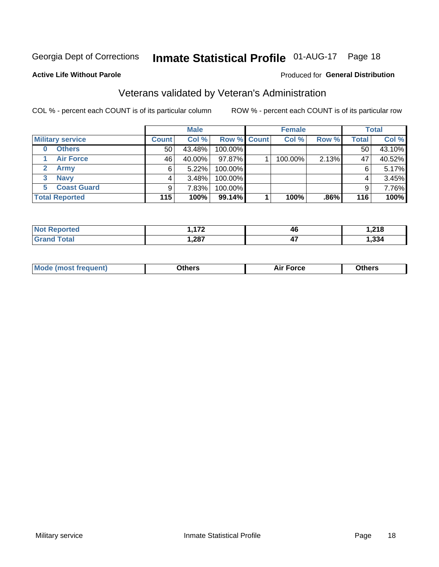### Inmate Statistical Profile 01-AUG-17 Page 18

#### **Active Life Without Parole**

#### Produced for General Distribution

### Veterans validated by Veteran's Administration

COL % - percent each COUNT is of its particular column

|                           |                 | <b>Male</b> |         |                    | <b>Female</b> |       |              | <b>Total</b> |
|---------------------------|-----------------|-------------|---------|--------------------|---------------|-------|--------------|--------------|
| <b>Military service</b>   | <b>Count</b>    | Col %       |         | <b>Row % Count</b> | Col %         | Row % | <b>Total</b> | Col %        |
| <b>Others</b><br>$\bf{0}$ | 50 <sub>1</sub> | 43.48%      | 100.00% |                    |               |       | 50           | 43.10%       |
| <b>Air Force</b>          | 46              | 40.00%      | 97.87%  |                    | 100.00%       | 2.13% | 47           | 40.52%       |
| Army                      | 6               | $5.22\%$    | 100.00% |                    |               |       | 6            | 5.17%        |
| <b>Navy</b><br>3          | 4               | 3.48%       | 100.00% |                    |               |       | 4            | 3.45%        |
| <b>Coast Guard</b><br>5.  | 9               | 7.83%       | 100.00% |                    |               |       | 9            | 7.76%        |
| <b>Total Reported</b>     | 115             | 100%        | 99.14%  |                    | 100%          | .86%  | 116          | 100%         |

| тес   | $\overline{1}$ | 46         | <b>040</b> |
|-------|----------------|------------|------------|
| Гоtal | ,287           | . .<br>T 1 | ,334       |

| <b>Moo.</b> |
|-------------|
|-------------|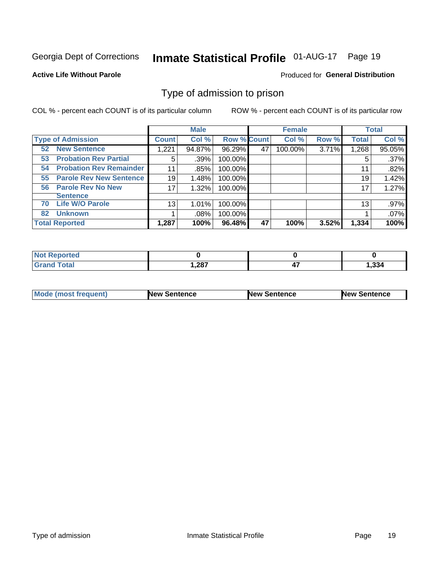## Inmate Statistical Profile 01-AUG-17 Page 19

#### **Active Life Without Parole**

#### Produced for General Distribution

#### Type of admission to prison

COL % - percent each COUNT is of its particular column

|                                      |              | <b>Male</b> |                    |    | <b>Female</b> |       |              | <b>Total</b> |
|--------------------------------------|--------------|-------------|--------------------|----|---------------|-------|--------------|--------------|
| <b>Type of Admission</b>             | <b>Count</b> | Col %       | <b>Row % Count</b> |    | Col %         | Row % | <b>Total</b> | Col %        |
| <b>New Sentence</b><br>52            | 1,221        | 94.87%      | 96.29%             | 47 | 100.00%       | 3.71% | 1,268        | 95.05%       |
| <b>Probation Rev Partial</b><br>53   | 5            | $.39\%$     | 100.00%            |    |               |       | 5            | .37%         |
| <b>Probation Rev Remainder</b><br>54 | 11           | .85%        | 100.00%            |    |               |       | 11           | .82%         |
| <b>Parole Rev New Sentence</b><br>55 | 19           | 1.48%       | 100.00%            |    |               |       | 19           | 1.42%        |
| <b>Parole Rev No New</b><br>56       | 17           | 1.32%       | 100.00%            |    |               |       | 17           | 1.27%        |
| <b>Sentence</b>                      |              |             |                    |    |               |       |              |              |
| <b>Life W/O Parole</b><br>70         | 13           | 1.01%       | 100.00%            |    |               |       | 13           | .97%         |
| <b>Unknown</b><br>82                 |              | .08%        | 100.00%            |    |               |       |              | .07%         |
| <b>Total Reported</b>                | 1,287        | 100%        | 96.48%             | 47 | 100%          | 3.52% | 1,334        | 100%         |

| <b>Not Reported</b> |       |    |       |
|---------------------|-------|----|-------|
| <b>Grand Total</b>  | 1,287 | т. | 1,334 |

| <b>Mode (most frequent)</b> | <b>New Sentence</b> | <b>New Sentence</b> | <b>New Sentence</b> |
|-----------------------------|---------------------|---------------------|---------------------|
|                             |                     |                     |                     |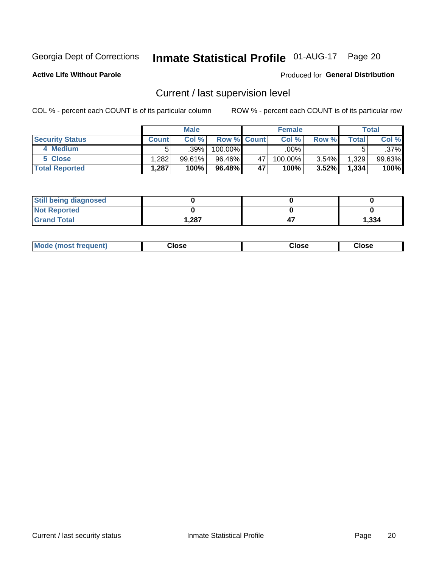### Inmate Statistical Profile 01-AUG-17 Page 20

**Active Life Without Parole** 

#### Produced for General Distribution

### Current / last supervision level

COL % - percent each COUNT is of its particular column

|                        |              | <b>Male</b> |                    |    | <b>Female</b> |       |       | <b>Total</b> |
|------------------------|--------------|-------------|--------------------|----|---------------|-------|-------|--------------|
| <b>Security Status</b> | <b>Count</b> | Col%        | <b>Row % Count</b> |    | Col %         | Row % | Total | Col %        |
| 4 Medium               |              | $.39\%$     | 100.00%            |    | .00%          |       |       | .37%         |
| 5 Close                | .282         | 99.61%      | 96.46%             | 47 | 100.00%       | 3.54% | 1,329 | 99.63%       |
| <b>Total Reported</b>  | ˈ 287.،      | 100%        | 96.48%             | 47 | 100%          | 3.52% | 1,334 | 100%         |

| <b>Still being diagnosed</b> |       |       |
|------------------------------|-------|-------|
| <b>Not Reported</b>          |       |       |
| <b>Grand Total</b>           | 1,287 | 1,334 |

| <b>AhoM</b><br>rreauent) | <b>Close</b> | Close | Close |
|--------------------------|--------------|-------|-------|
|                          |              |       |       |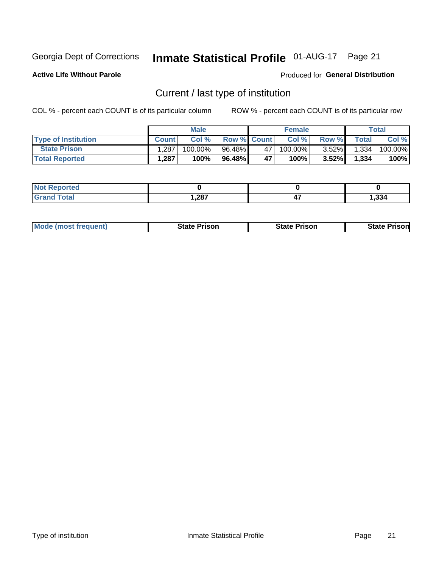### Inmate Statistical Profile 01-AUG-17 Page 21

**Active Life Without Parole** 

Produced for General Distribution

### Current / last type of institution

COL % - percent each COUNT is of its particular column

|                            |              | <b>Male</b> |                    |    | <b>Female</b> |          |                | <b>Total</b> |
|----------------------------|--------------|-------------|--------------------|----|---------------|----------|----------------|--------------|
| <b>Type of Institution</b> | <b>Count</b> | Col%        | <b>Row % Count</b> |    | Col %         | Row %    | <b>Total</b> I | Col %        |
| <b>State Prison</b>        | .287         | $100.00\%$  | 96.48%             | 47 | 100.00%       | $3.52\%$ | 1,334          | 100.00%      |
| <b>Total Reported</b>      | 1,287        | 100%        | 96.48%             | 47 | $100\%$       | $3.52\%$ | 1,334          | 100%         |

| rted<br>. |      |     |       |
|-----------|------|-----|-------|
|           | ,287 | . . | 1,334 |

|  | <b>Mode (most frequent)</b> | State Prison | <b>State Prison</b> | <b>State Prison</b> |
|--|-----------------------------|--------------|---------------------|---------------------|
|--|-----------------------------|--------------|---------------------|---------------------|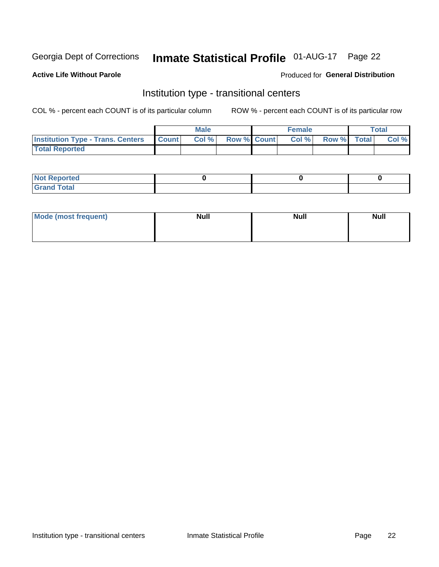### Inmate Statistical Profile 01-AUG-17 Page 22

#### **Active Life Without Parole**

#### Produced for General Distribution

### Institution type - transitional centers

COL % - percent each COUNT is of its particular column

|                                                  | <b>Male</b> |                    | <b>Female</b> |             | Total |
|--------------------------------------------------|-------------|--------------------|---------------|-------------|-------|
| <b>Institution Type - Trans. Centers Count  </b> | Col%        | <b>Row % Count</b> | Col %         | Row % Total | Col % |
| <b>Total Reported</b>                            |             |                    |               |             |       |

| <b>Not Reported</b>            |  |  |
|--------------------------------|--|--|
| <b>Total</b><br><b>COMMENT</b> |  |  |

| Mode (most frequent) | <b>Null</b> | <b>Null</b> | <b>Null</b> |
|----------------------|-------------|-------------|-------------|
|                      |             |             |             |
|                      |             |             |             |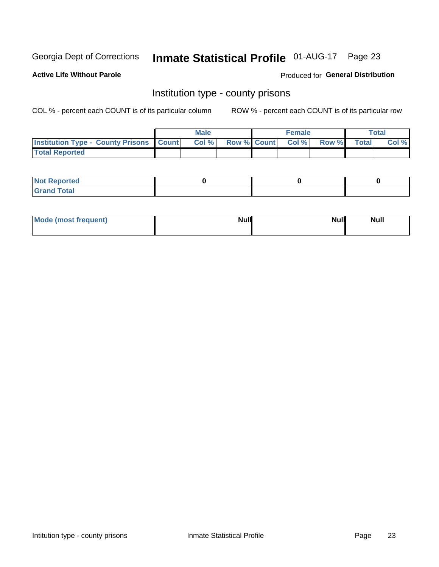### Inmate Statistical Profile 01-AUG-17 Page 23

**Active Life Without Parole** 

**Produced for General Distribution** 

#### Institution type - county prisons

COL % - percent each COUNT is of its particular column

|                                                    | <b>Male</b> |       |  | <b>Female</b> |                          |             | <b>Total</b> |       |
|----------------------------------------------------|-------------|-------|--|---------------|--------------------------|-------------|--------------|-------|
| <b>Institution Type - County Prisons   Count  </b> |             | Col % |  |               | <b>Row % Count Col %</b> | Row % Total |              | Col % |
| <b>Total Reported</b>                              |             |       |  |               |                          |             |              |       |

| <b>Not</b><br>: Reported<br> |  |  |
|------------------------------|--|--|
| <b>Total</b><br>---          |  |  |

| Mode (most frequent) | <b>Null</b> | <b>Null</b><br><b>Null</b> |
|----------------------|-------------|----------------------------|
|                      |             |                            |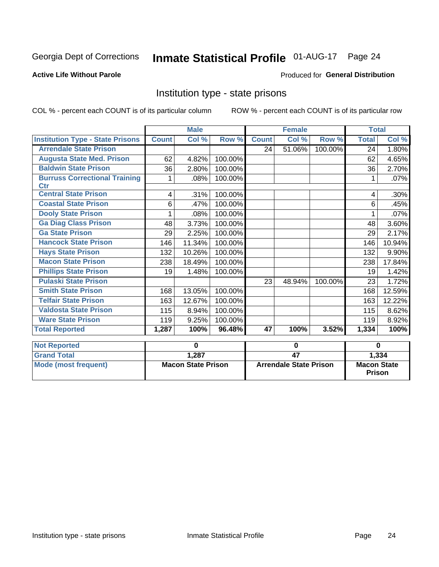## Inmate Statistical Profile 01-AUG-17 Page 24

#### **Active Life Without Parole**

#### Produced for General Distribution

#### Institution type - state prisons

COL % - percent each COUNT is of its particular column

|                                             | <b>Male</b>               |        |         |                               | <b>Female</b> |          | <b>Total</b>                        |         |
|---------------------------------------------|---------------------------|--------|---------|-------------------------------|---------------|----------|-------------------------------------|---------|
| <b>Institution Type - State Prisons</b>     | <b>Count</b>              | Col %  | Row %   | <b>Count</b>                  | Col %         | Row %    | <b>Total</b>                        | Col %   |
| <b>Arrendale State Prison</b>               |                           |        |         | 24                            | 51.06%        | 100.00%  | 24                                  | 1.80%   |
| <b>Augusta State Med. Prison</b>            | 62                        | 4.82%  | 100.00% |                               |               |          | 62                                  | 4.65%   |
| <b>Baldwin State Prison</b>                 | 36                        | 2.80%  | 100.00% |                               |               |          | 36                                  | 2.70%   |
| <b>Burruss Correctional Training</b><br>Ctr | 1                         | .08%   | 100.00% |                               |               |          |                                     | $.07\%$ |
| <b>Central State Prison</b>                 | 4                         | .31%   | 100.00% |                               |               |          | 4                                   | $.30\%$ |
| <b>Coastal State Prison</b>                 | 6                         | .47%   | 100.00% |                               |               |          | 6                                   | .45%    |
| <b>Dooly State Prison</b>                   |                           | .08%   | 100.00% |                               |               |          |                                     | .07%    |
| <b>Ga Diag Class Prison</b>                 | 48                        | 3.73%  | 100.00% |                               |               |          | 48                                  | 3.60%   |
| <b>Ga State Prison</b>                      | 29                        | 2.25%  | 100.00% |                               |               |          | 29                                  | 2.17%   |
| <b>Hancock State Prison</b>                 | 146                       | 11.34% | 100.00% |                               |               |          | 146                                 | 10.94%  |
| <b>Hays State Prison</b>                    | 132                       | 10.26% | 100.00% |                               |               |          | 132                                 | 9.90%   |
| <b>Macon State Prison</b>                   | 238                       | 18.49% | 100.00% |                               |               |          | 238                                 | 17.84%  |
| <b>Phillips State Prison</b>                | 19                        | 1.48%  | 100.00% |                               |               |          | 19                                  | 1.42%   |
| <b>Pulaski State Prison</b>                 |                           |        |         | 23                            | 48.94%        | 100.00%  | 23                                  | 1.72%   |
| <b>Smith State Prison</b>                   | 168                       | 13.05% | 100.00% |                               |               |          | 168                                 | 12.59%  |
| <b>Telfair State Prison</b>                 | 163                       | 12.67% | 100.00% |                               |               |          | 163                                 | 12.22%  |
| <b>Valdosta State Prison</b>                | 115                       | 8.94%  | 100.00% |                               |               |          | 115                                 | 8.62%   |
| <b>Ware State Prison</b>                    | 119                       | 9.25%  | 100.00% |                               |               |          | 119                                 | 8.92%   |
| <b>Total Reported</b>                       | 1,287                     | 100%   | 96.48%  | 47                            | 100%          | 3.52%    | 1,334                               | 100%    |
| <b>Not Reported</b>                         | 0                         |        | 0       |                               |               | $\bf{0}$ |                                     |         |
| <b>Grand Total</b>                          |                           | 1,287  |         | 47                            |               |          | 1,334                               |         |
| <b>Mode (most frequent)</b>                 | <b>Macon State Prison</b> |        |         | <b>Arrendale State Prison</b> |               |          | <b>Macon State</b><br><b>Prison</b> |         |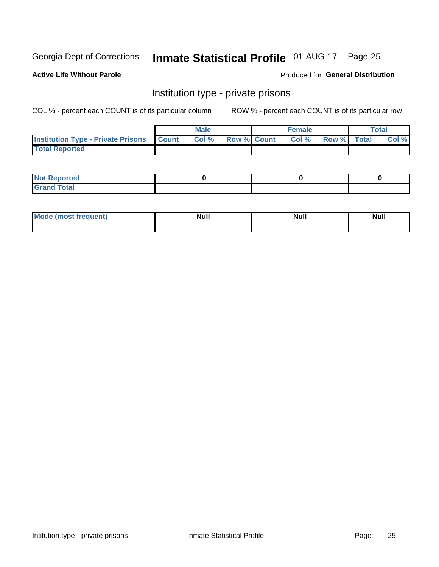### Inmate Statistical Profile 01-AUG-17 Page 25

**Active Life Without Parole** 

#### Produced for General Distribution

### Institution type - private prisons

COL % - percent each COUNT is of its particular column

|                                                     | <b>Male</b> |       |             | <b>Female</b> |       |             | <b>Total</b> |       |
|-----------------------------------------------------|-------------|-------|-------------|---------------|-------|-------------|--------------|-------|
| <b>Institution Type - Private Prisons   Count  </b> |             | Col % | Row % Count |               | Col % | Row % Total |              | Col % |
| <b>Total Reported</b>                               |             |       |             |               |       |             |              |       |

| Not Reported          |  |  |
|-----------------------|--|--|
| <b>Cotal</b><br>_____ |  |  |

| <b>Mo</b><br>frequent) | <b>Null</b> | <b>Null</b> | . . I *<br><b>IVUII</b> |
|------------------------|-------------|-------------|-------------------------|
|                        |             |             |                         |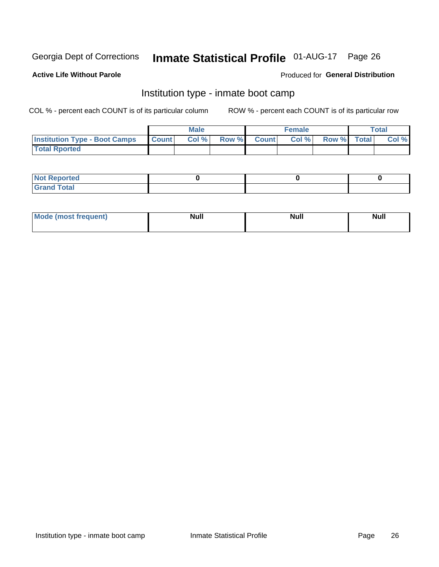## Inmate Statistical Profile 01-AUG-17 Page 26

#### **Active Life Without Parole**

#### Produced for General Distribution

### Institution type - inmate boot camp

COL % - percent each COUNT is of its particular column

|                                      | <b>Male</b>  |       |               |              | <b>Female</b> | <b>Total</b> |  |       |
|--------------------------------------|--------------|-------|---------------|--------------|---------------|--------------|--|-------|
| <b>Institution Type - Boot Camps</b> | <b>Count</b> | Col % | <b>Row %I</b> | <b>Count</b> | Col %         | Row % Total  |  | Col % |
| <b>Total Rported</b>                 |              |       |               |              |               |              |  |       |

| <b>Not Reported</b>            |  |  |
|--------------------------------|--|--|
| <b>Total</b><br>C <sub>r</sub> |  |  |

| Mod<br>uamo | Nul.<br>$- - - - - -$ | <b>Null</b> | . .<br>uu.<br>------ |
|-------------|-----------------------|-------------|----------------------|
|             |                       |             |                      |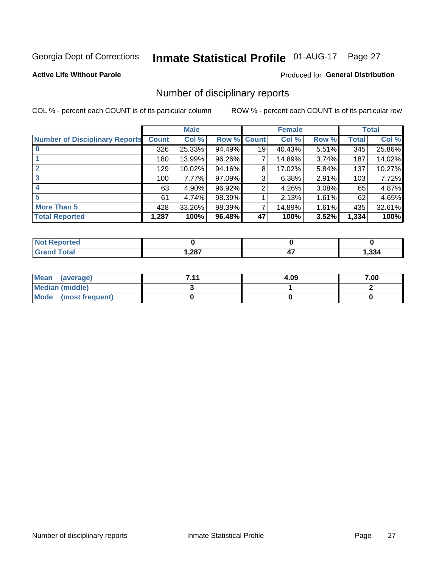### Inmate Statistical Profile 01-AUG-17 Page 27

#### **Active Life Without Parole**

#### Produced for General Distribution

#### Number of disciplinary reports

COL % - percent each COUNT is of its particular column

|                                       | <b>Male</b>  |          |        | <b>Female</b> |        |          | <b>Total</b> |        |
|---------------------------------------|--------------|----------|--------|---------------|--------|----------|--------------|--------|
| <b>Number of Disciplinary Reports</b> | <b>Count</b> | Col %    | Row %  | <b>Count</b>  | Col %  | Row %    | <b>Total</b> | Col %  |
|                                       | 326          | 25.33%   | 94.49% | 19            | 40.43% | 5.51%    | 345          | 25.86% |
|                                       | 180          | 13.99%   | 96.26% | 7             | 14.89% | 3.74%    | 187          | 14.02% |
|                                       | 129          | 10.02%   | 94.16% | 8             | 17.02% | 5.84%    | 137          | 10.27% |
| 3                                     | 100          | $7.77\%$ | 97.09% | 3             | 6.38%  | 2.91%    | 103          | 7.72%  |
|                                       | 63           | 4.90%    | 96.92% | 2             | 4.26%  | 3.08%    | 65           | 4.87%  |
| 5                                     | 61           | 4.74%    | 98.39% |               | 2.13%  | $1.61\%$ | 62           | 4.65%  |
| <b>More Than 5</b>                    | 428          | 33.26%   | 98.39% | 7             | 14.89% | 1.61%    | 435          | 32.61% |
| <b>Total Reported</b>                 | 1,287        | 100%     | 96.48% | 47            | 100%   | 3.52%    | 1,334        | 100%   |

| prted<br>NOT F    |      |     |       |
|-------------------|------|-----|-------|
| <sup>-</sup> otal | ,287 | . . | 1,334 |

| Mean (average)       | 7 1 1 | 4.09 | 7.00 |
|----------------------|-------|------|------|
| Median (middle)      |       |      |      |
| Mode (most frequent) |       |      |      |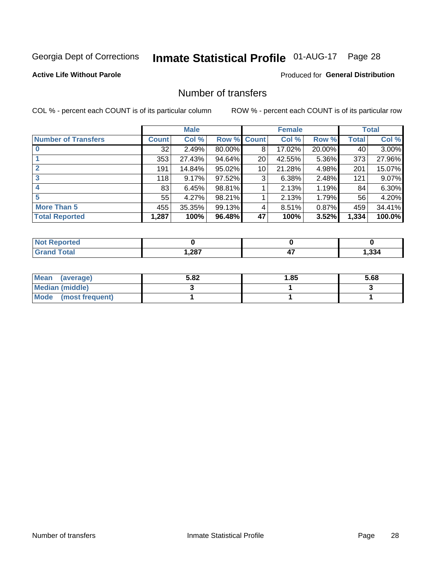### Inmate Statistical Profile 01-AUG-17 Page 28

#### **Active Life Without Parole**

#### **Produced for General Distribution**

### Number of transfers

COL % - percent each COUNT is of its particular column

|                            | <b>Male</b>  |        | <b>Female</b> |                 |        | <b>Total</b> |              |        |
|----------------------------|--------------|--------|---------------|-----------------|--------|--------------|--------------|--------|
| <b>Number of Transfers</b> | <b>Count</b> | Col %  | Row %         | <b>Count</b>    | Col %  | Row %        | <b>Total</b> | Col %  |
|                            | 32           | 2.49%  | 80.00%        | 8               | 17.02% | 20.00%       | 40           | 3.00%  |
|                            | 353          | 27.43% | 94.64%        | 20              | 42.55% | 5.36%        | 373          | 27.96% |
| $\mathbf{2}$               | 191          | 14.84% | 95.02%        | 10 <sup>1</sup> | 21.28% | 4.98%        | 201          | 15.07% |
| 3                          | 118          | 9.17%  | 97.52%        | 3               | 6.38%  | 2.48%        | 121          | 9.07%  |
|                            | 83           | 6.45%  | 98.81%        |                 | 2.13%  | 1.19%        | 84           | 6.30%  |
| 5                          | 55           | 4.27%  | 98.21%        |                 | 2.13%  | 1.79%        | 56           | 4.20%  |
| <b>More Than 5</b>         | 455          | 35.35% | 99.13%        | 4               | 8.51%  | 0.87%        | 459          | 34.41% |
| <b>Total Reported</b>      | 1,287        | 100%   | 96.48%        | 47              | 100%   | 3.52%        | 1,334        | 100.0% |

| prted<br>NOT F    |      |     |       |
|-------------------|------|-----|-------|
| <sup>-</sup> otal | ,287 | . . | 1,334 |

| Mean (average)       | 5.82 | <b>1.85</b> | 5.68 |
|----------------------|------|-------------|------|
| Median (middle)      |      |             |      |
| Mode (most frequent) |      |             |      |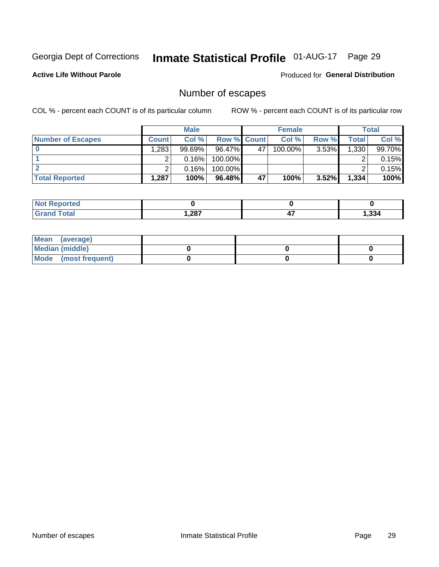### Inmate Statistical Profile 01-AUG-17 Page 29

**Active Life Without Parole** 

Produced for General Distribution

### Number of escapes

COL % - percent each COUNT is of its particular column

|                          |              | <b>Male</b> |                    |    | <b>Female</b> |          |       | <b>Total</b> |
|--------------------------|--------------|-------------|--------------------|----|---------------|----------|-------|--------------|
| <b>Number of Escapes</b> | <b>Count</b> | Col%        | <b>Row % Count</b> |    | Col %         | Row %    | Total | Col %        |
|                          | .283         | $99.69\%$   | 96.47%             | 47 | $100.00\%$    | $3.53\%$ | 1,330 | 99.70%       |
|                          |              | 0.16%       | 100.00%            |    |               |          |       | 0.15%        |
|                          |              | 0.16%       | 100.00%            |    |               |          |       | 0.15%        |
| <b>Total Reported</b>    | .287         | 100%        | 96.48%             | 47 | 100%          | 3.52%    | 1,334 | 100%         |

| <b>Not Reported</b> |       |            |       |
|---------------------|-------|------------|-------|
| <b>Grand Total</b>  | 1,287 | . .<br>− . | 1,334 |

| Mean (average)       |  |  |
|----------------------|--|--|
| Median (middle)      |  |  |
| Mode (most frequent) |  |  |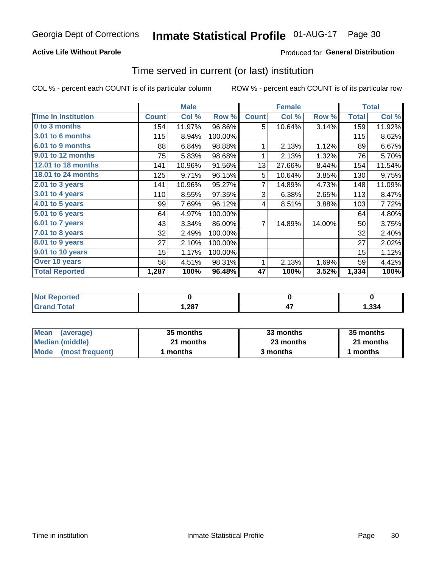#### **Active Life Without Parole**

#### Produced for General Distribution

#### Time served in current (or last) institution

COL % - percent each COUNT is of its particular column

|                            |              | <b>Male</b> |         |              | <b>Female</b> |        |              | <b>Total</b> |
|----------------------------|--------------|-------------|---------|--------------|---------------|--------|--------------|--------------|
| <b>Time In Institution</b> | <b>Count</b> | Col %       | Row %   | <b>Count</b> | Col %         | Row %  | <b>Total</b> | Col %        |
| 0 to 3 months              | 154          | 11.97%      | 96.86%  | 5            | 10.64%        | 3.14%  | 159          | 11.92%       |
| <b>3.01 to 6 months</b>    | 115          | 8.94%       | 100.00% |              |               |        | 115          | 8.62%        |
| 6.01 to 9 months           | 88           | 6.84%       | 98.88%  | 1            | 2.13%         | 1.12%  | 89           | 6.67%        |
| 9.01 to 12 months          | 75           | 5.83%       | 98.68%  | 1            | 2.13%         | 1.32%  | 76           | 5.70%        |
| <b>12.01 to 18 months</b>  | 141          | 10.96%      | 91.56%  | 13           | 27.66%        | 8.44%  | 154          | 11.54%       |
| <b>18.01 to 24 months</b>  | 125          | 9.71%       | 96.15%  | 5            | 10.64%        | 3.85%  | 130          | 9.75%        |
| $2.01$ to 3 years          | 141          | 10.96%      | 95.27%  | 7            | 14.89%        | 4.73%  | 148          | 11.09%       |
| 3.01 to 4 years            | 110          | 8.55%       | 97.35%  | 3            | 6.38%         | 2.65%  | 113          | 8.47%        |
| $4.01$ to 5 years          | 99           | 7.69%       | 96.12%  | 4            | 8.51%         | 3.88%  | 103          | 7.72%        |
| 5.01 to 6 years            | 64           | 4.97%       | 100.00% |              |               |        | 64           | 4.80%        |
| 6.01 to 7 years            | 43           | 3.34%       | 86.00%  | 7            | 14.89%        | 14.00% | 50           | 3.75%        |
| 7.01 to 8 years            | 32           | 2.49%       | 100.00% |              |               |        | 32           | 2.40%        |
| 8.01 to 9 years            | 27           | 2.10%       | 100.00% |              |               |        | 27           | 2.02%        |
| 9.01 to 10 years           | 15           | 1.17%       | 100.00% |              |               |        | 15           | 1.12%        |
| Over 10 years              | 58           | 4.51%       | 98.31%  | 1            | 2.13%         | 1.69%  | 59           | 4.42%        |
| <b>Total Reported</b>      | 1,287        | 100%        | 96.48%  | 47           | 100%          | 3.52%  | 1,334        | 100%         |

| Reported<br><b>Not</b> |      |       |
|------------------------|------|-------|
| <i>i</i> otal          | ,287 | 1,334 |

| <b>Mean</b><br>(average) | 35 months | 33 months | 35 months |
|--------------------------|-----------|-----------|-----------|
| Median (middle)          | 21 months | 23 months | 21 months |
| Mode (most frequent)     | months    | 3 months  | 1 months  |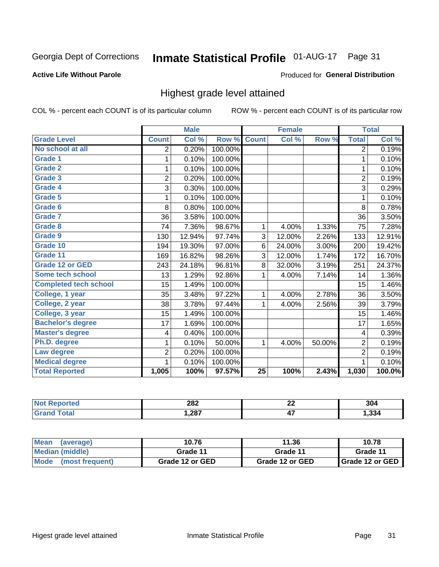### Inmate Statistical Profile 01-AUG-17 Page 31

#### **Active Life Without Parole**

#### Produced for General Distribution

#### Highest grade level attained

COL % - percent each COUNT is of its particular column

|                              |                         | <b>Male</b> |         |                 | <b>Female</b> |        |                         | <b>Total</b> |
|------------------------------|-------------------------|-------------|---------|-----------------|---------------|--------|-------------------------|--------------|
| <b>Grade Level</b>           | <b>Count</b>            | Col %       | Row %   | <b>Count</b>    | Col %         | Row %  | <b>Total</b>            | Col %        |
| No school at all             | 2                       | 0.20%       | 100.00% |                 |               |        | 2                       | 0.19%        |
| Grade 1                      | 1                       | 0.10%       | 100.00% |                 |               |        | 1                       | 0.10%        |
| <b>Grade 2</b>               | 1                       | 0.10%       | 100.00% |                 |               |        | $\mathbf 1$             | 0.10%        |
| Grade 3                      | $\overline{2}$          | 0.20%       | 100.00% |                 |               |        | $\overline{2}$          | 0.19%        |
| Grade 4                      | 3                       | 0.30%       | 100.00% |                 |               |        | 3                       | 0.29%        |
| Grade 5                      | 1                       | 0.10%       | 100.00% |                 |               |        | $\mathbf{1}$            | 0.10%        |
| Grade 6                      | 8                       | 0.80%       | 100.00% |                 |               |        | 8                       | 0.78%        |
| <b>Grade 7</b>               | 36                      | 3.58%       | 100.00% |                 |               |        | 36                      | 3.50%        |
| Grade 8                      | 74                      | 7.36%       | 98.67%  | 1               | 4.00%         | 1.33%  | 75                      | 7.28%        |
| Grade 9                      | 130                     | 12.94%      | 97.74%  | 3               | 12.00%        | 2.26%  | 133                     | 12.91%       |
| Grade 10                     | 194                     | 19.30%      | 97.00%  | 6               | 24.00%        | 3.00%  | 200                     | 19.42%       |
| Grade 11                     | 169                     | 16.82%      | 98.26%  | 3               | 12.00%        | 1.74%  | 172                     | 16.70%       |
| <b>Grade 12 or GED</b>       | 243                     | 24.18%      | 96.81%  | 8               | 32.00%        | 3.19%  | 251                     | 24.37%       |
| Some tech school             | 13                      | 1.29%       | 92.86%  | 1               | 4.00%         | 7.14%  | 14                      | 1.36%        |
| <b>Completed tech school</b> | 15                      | 1.49%       | 100.00% |                 |               |        | 15                      | 1.46%        |
| College, 1 year              | 35                      | 3.48%       | 97.22%  | 1               | 4.00%         | 2.78%  | 36                      | 3.50%        |
| College, 2 year              | 38                      | 3.78%       | 97.44%  | 1               | 4.00%         | 2.56%  | 39                      | 3.79%        |
| College, 3 year              | 15                      | 1.49%       | 100.00% |                 |               |        | 15                      | 1.46%        |
| <b>Bachelor's degree</b>     | 17                      | 1.69%       | 100.00% |                 |               |        | 17                      | 1.65%        |
| <b>Master's degree</b>       | $\overline{\mathbf{4}}$ | 0.40%       | 100.00% |                 |               |        | $\overline{\mathbf{4}}$ | 0.39%        |
| Ph.D. degree                 | 1                       | 0.10%       | 50.00%  | 1               | 4.00%         | 50.00% | $\overline{2}$          | 0.19%        |
| Law degree                   | $\overline{2}$          | 0.20%       | 100.00% |                 |               |        | $\overline{2}$          | 0.19%        |
| <b>Medical degree</b>        | 1                       | 0.10%       | 100.00% |                 |               |        | 1                       | 0.10%        |
| <b>Total Reported</b>        | 1,005                   | 100%        | 97.57%  | $\overline{25}$ | 100%          | 2.43%  | 1,030                   | 100.0%       |

| 1412101 | 282  | $\overline{\phantom{a}}$<br>" | 304  |
|---------|------|-------------------------------|------|
| .       | ,287 | . .<br>т.                     | ,334 |

| <b>Mean</b><br>(average) | 10.76           | 11.36           | 10.78             |
|--------------------------|-----------------|-----------------|-------------------|
| Median (middle)          | Grade 11        | Grade 11        | Grade 11          |
| Mode (most frequent)     | Grade 12 or GED | Grade 12 or GED | I Grade 12 or GED |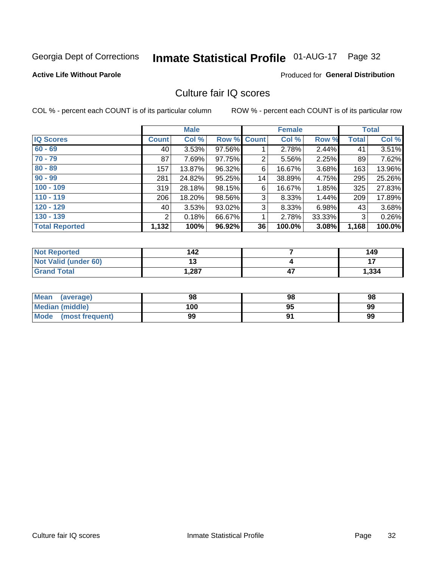### Inmate Statistical Profile 01-AUG-17 Page 32

#### **Active Life Without Parole**

#### **Produced for General Distribution**

### Culture fair IQ scores

COL % - percent each COUNT is of its particular column

|                       |                | <b>Male</b> |        |             | <b>Female</b> |        |              | <b>Total</b> |
|-----------------------|----------------|-------------|--------|-------------|---------------|--------|--------------|--------------|
| <b>IQ Scores</b>      | <b>Count</b>   | Col %       |        | Row % Count | Col %         | Row %  | <b>Total</b> | Col %        |
| $60 - 69$             | 40 l           | 3.53%       | 97.56% |             | 2.78%         | 2.44%  | 41           | 3.51%        |
| $70 - 79$             | 87             | 7.69%       | 97.75% | 2           | 5.56%         | 2.25%  | 89           | 7.62%        |
| $80 - 89$             | 157            | $13.87\%$   | 96.32% | 6           | 16.67%        | 3.68%  | 163          | 13.96%       |
| $90 - 99$             | 281            | 24.82%      | 95.25% | 14          | 38.89%        | 4.75%  | 295          | 25.26%       |
| $100 - 109$           | 319            | 28.18%      | 98.15% | 6           | 16.67%        | 1.85%  | 325          | 27.83%       |
| $110 - 119$           | 206            | 18.20%      | 98.56% | 3           | 8.33%         | 1.44%  | 209          | 17.89%       |
| $120 - 129$           | 40 l           | 3.53%       | 93.02% | 3           | 8.33%         | 6.98%  | 43           | 3.68%        |
| $130 - 139$           | $\overline{2}$ | 0.18%       | 66.67% | 1           | 2.78%         | 33.33% | 3            | 0.26%        |
| <b>Total Reported</b> | 1,132          | 100%        | 96.92% | 36          | 100.0%        | 3.08%  | 1,168        | 100.0%       |

| <b>Not Reported</b>         | 142  | 149   |
|-----------------------------|------|-------|
| <b>Not Valid (under 60)</b> | י י  |       |
| <b>Grand Total</b>          | .287 | 1,334 |

| <b>Mean</b><br>(average) | 98  | 98 | 98 |
|--------------------------|-----|----|----|
| Median (middle)          | 100 | 95 | 99 |
| Mode (most frequent)     | 99  |    | 99 |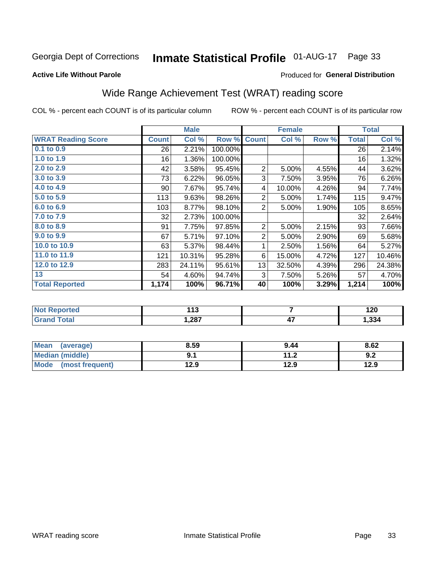## Inmate Statistical Profile 01-AUG-17 Page 33

#### **Active Life Without Parole**

#### Produced for General Distribution

### Wide Range Achievement Test (WRAT) reading score

COL % - percent each COUNT is of its particular column

|                           |              | <b>Male</b> |         |                | <b>Female</b> |       |              | <b>Total</b> |
|---------------------------|--------------|-------------|---------|----------------|---------------|-------|--------------|--------------|
| <b>WRAT Reading Score</b> | <b>Count</b> | Col %       | Row %   | <b>Count</b>   | Col %         | Row % | <b>Total</b> | Col %        |
| 0.1 to 0.9                | 26           | 2.21%       | 100.00% |                |               |       | 26           | 2.14%        |
| 1.0 to 1.9                | 16           | 1.36%       | 100.00% |                |               |       | 16           | 1.32%        |
| 2.0 to 2.9                | 42           | 3.58%       | 95.45%  | $\overline{2}$ | 5.00%         | 4.55% | 44           | 3.62%        |
| 3.0 to 3.9                | 73           | 6.22%       | 96.05%  | 3              | 7.50%         | 3.95% | 76           | 6.26%        |
| 4.0 to 4.9                | 90           | 7.67%       | 95.74%  | 4              | 10.00%        | 4.26% | 94           | 7.74%        |
| 5.0 t0 5.9                | 113          | 9.63%       | 98.26%  | $\overline{2}$ | 5.00%         | 1.74% | 115          | 9.47%        |
| 6.0 to 6.9                | 103          | 8.77%       | 98.10%  | $\overline{2}$ | 5.00%         | 1.90% | 105          | 8.65%        |
| 7.0 to 7.9                | 32           | 2.73%       | 100.00% |                |               |       | 32           | 2.64%        |
| 8.0 to 8.9                | 91           | 7.75%       | 97.85%  | $\overline{c}$ | 5.00%         | 2.15% | 93           | 7.66%        |
| 9.0 to 9.9                | 67           | 5.71%       | 97.10%  | $\overline{2}$ | 5.00%         | 2.90% | 69           | 5.68%        |
| 10.0 to 10.9              | 63           | 5.37%       | 98.44%  | 1              | 2.50%         | 1.56% | 64           | 5.27%        |
| 11.0 to 11.9              | 121          | 10.31%      | 95.28%  | 6              | 15.00%        | 4.72% | 127          | 10.46%       |
| 12.0 to 12.9              | 283          | 24.11%      | 95.61%  | 13             | 32.50%        | 4.39% | 296          | 24.38%       |
| 13                        | 54           | 4.60%       | 94.74%  | 3              | 7.50%         | 5.26% | 57           | 4.70%        |
| <b>Total Reported</b>     | 1,174        | 100%        | 96.71%  | 40             | 100%          | 3.29% | 1,214        | 100%         |
|                           |              |             |         |                |               |       |              |              |
| <b>Not Reported</b>       |              | 113         |         |                | 7             |       |              | 120          |
| <b>Grand Total</b>        |              | 1,287       |         |                | 47            |       |              | 1,334        |

| Mean<br>(average)    | 8.59 | 9.44          | 8.62 |
|----------------------|------|---------------|------|
| Median (middle)      |      | 11 つ<br>. . Z | 9.2  |
| Mode (most frequent) | 12.9 | 12.9          | 12.9 |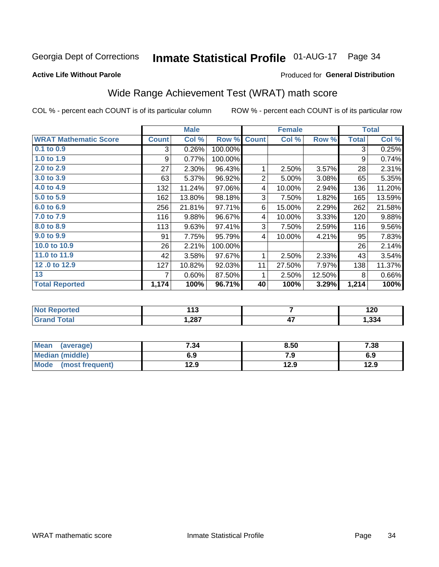#### Inmate Statistical Profile 01-AUG-17 Page 34

#### **Active Life Without Parole**

#### Produced for General Distribution

### Wide Range Achievement Test (WRAT) math score

COL % - percent each COUNT is of its particular column

ROW % - percent each COUNT is of its particular row

 $\overline{47}$ 

|                              |              | <b>Male</b> |         |                | <b>Female</b> |        |              | <b>Total</b> |
|------------------------------|--------------|-------------|---------|----------------|---------------|--------|--------------|--------------|
| <b>WRAT Mathematic Score</b> | <b>Count</b> | Col %       | Row %   | <b>Count</b>   | Col %         | Row %  | <b>Total</b> | Col %        |
| 0.1 to 0.9                   | 3            | 0.26%       | 100.00% |                |               |        | 3            | 0.25%        |
| 1.0 to 1.9                   | 9            | 0.77%       | 100.00% |                |               |        | 9            | 0.74%        |
| 2.0 to 2.9                   | 27           | 2.30%       | 96.43%  | 1              | 2.50%         | 3.57%  | 28           | 2.31%        |
| 3.0 to 3.9                   | 63           | 5.37%       | 96.92%  | $\overline{2}$ | 5.00%         | 3.08%  | 65           | 5.35%        |
| 4.0 to 4.9                   | 132          | 11.24%      | 97.06%  | 4              | 10.00%        | 2.94%  | 136          | 11.20%       |
| 5.0 to 5.9                   | 162          | 13.80%      | 98.18%  | 3              | 7.50%         | 1.82%  | 165          | 13.59%       |
| 6.0 to 6.9                   | 256          | 21.81%      | 97.71%  | 6              | 15.00%        | 2.29%  | 262          | 21.58%       |
| 7.0 to 7.9                   | 116          | 9.88%       | 96.67%  | 4              | 10.00%        | 3.33%  | 120          | 9.88%        |
| 8.0 to 8.9                   | 113          | 9.63%       | 97.41%  | 3              | 7.50%         | 2.59%  | 116          | 9.56%        |
| 9.0 to 9.9                   | 91           | 7.75%       | 95.79%  | 4              | 10.00%        | 4.21%  | 95           | 7.83%        |
| 10.0 to 10.9                 | 26           | 2.21%       | 100.00% |                |               |        | 26           | 2.14%        |
| 11.0 to 11.9                 | 42           | 3.58%       | 97.67%  | 1              | 2.50%         | 2.33%  | 43           | 3.54%        |
| 12.0 to 12.9                 | 127          | 10.82%      | 92.03%  | 11             | 27.50%        | 7.97%  | 138          | 11.37%       |
| 13                           | 7            | 0.60%       | 87.50%  | 1              | 2.50%         | 12.50% | 8            | 0.66%        |
| <b>Total Reported</b>        | 1,174        | 100%        | 96.71%  | 40             | 100%          | 3.29%  | 1,214        | 100%         |
|                              |              |             |         |                |               |        |              |              |
| <b>Not Reported</b>          |              | 113         |         |                | 7             |        |              | 120          |

| Mean<br>(average)              | 7.34 | 8.50 | 7.38 |
|--------------------------------|------|------|------|
| Median (middle)                | 6.9  | 7.9  | 6.9  |
| <b>Mode</b><br>(most frequent) | 12.9 | 12.9 | 12.9 |

 $1,287$ 

**Grand Total** 

 $1,334$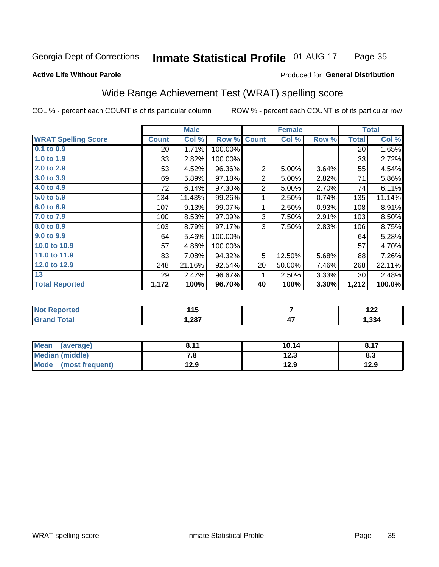#### Inmate Statistical Profile 01-AUG-17 Page 35

#### **Active Life Without Parole**

#### Produced for General Distribution

### Wide Range Achievement Test (WRAT) spelling score

COL % - percent each COUNT is of its particular column

ROW % - percent each COUNT is of its particular row

 $12.3$ 

 $12.9$ 

|                            |                 | <b>Male</b> |         |                | <b>Female</b>   | <b>Total</b> |              |        |
|----------------------------|-----------------|-------------|---------|----------------|-----------------|--------------|--------------|--------|
| <b>WRAT Spelling Score</b> | <b>Count</b>    | Col %       | Row %   | <b>Count</b>   | Col %           | Row %        | <b>Total</b> | Col %  |
| $0.1$ to $0.9$             | 20 <sup>2</sup> | 1.71%       | 100.00% |                |                 |              | 20           | 1.65%  |
| 1.0 to 1.9                 | 33              | 2.82%       | 100.00% |                |                 |              | 33           | 2.72%  |
| 2.0 to 2.9                 | 53              | 4.52%       | 96.36%  | $\overline{2}$ | 5.00%           | 3.64%        | 55           | 4.54%  |
| 3.0 to 3.9                 | 69              | 5.89%       | 97.18%  | $\overline{c}$ | 5.00%           | 2.82%        | 71           | 5.86%  |
| 4.0 to 4.9                 | 72              | 6.14%       | 97.30%  | 2              | 5.00%           | 2.70%        | 74           | 6.11%  |
| 5.0 to 5.9                 | 134             | 11.43%      | 99.26%  | 1              | 2.50%           | 0.74%        | 135          | 11.14% |
| 6.0 to 6.9                 | 107             | 9.13%       | 99.07%  | 1              | 2.50%           | 0.93%        | 108          | 8.91%  |
| 7.0 to 7.9                 | 100             | 8.53%       | 97.09%  | 3              | 7.50%           | 2.91%        | 103          | 8.50%  |
| 8.0 to 8.9                 | 103             | 8.79%       | 97.17%  | 3              | 7.50%           | 2.83%        | 106          | 8.75%  |
| 9.0 t0 9.9                 | 64              | 5.46%       | 100.00% |                |                 |              | 64           | 5.28%  |
| 10.0 to 10.9               | 57              | 4.86%       | 100.00% |                |                 |              | 57           | 4.70%  |
| 11.0 to 11.9               | 83              | 7.08%       | 94.32%  | 5              | 12.50%          | 5.68%        | 88           | 7.26%  |
| 12.0 to 12.9               | 248             | 21.16%      | 92.54%  | 20             | 50.00%          | 7.46%        | 268          | 22.11% |
| 13                         | 29              | 2.47%       | 96.67%  | 1              | 2.50%           | 3.33%        | 30           | 2.48%  |
| <b>Total Reported</b>      | 1,172           | 100%        | 96.70%  | 40             | 100%            | 3.30%        | 1,212        | 100.0% |
|                            |                 |             |         |                |                 |              |              |        |
| <b>Not Reported</b>        |                 | 115         |         |                | $\overline{7}$  |              |              | 122    |
| <b>Grand Total</b>         |                 | 1,287       |         |                | $\overline{47}$ |              |              | 1,334  |
|                            |                 |             |         |                |                 |              |              |        |
| <b>Mean</b><br>(average)   |                 | 8.11        |         |                | 10.14           |              |              | 8.17   |

 $\overline{7.8}$ 

 $12.9$ 

**Median (middle)** 

(most frequent)

**Mode** 

 $8.3$ 

 $12.9$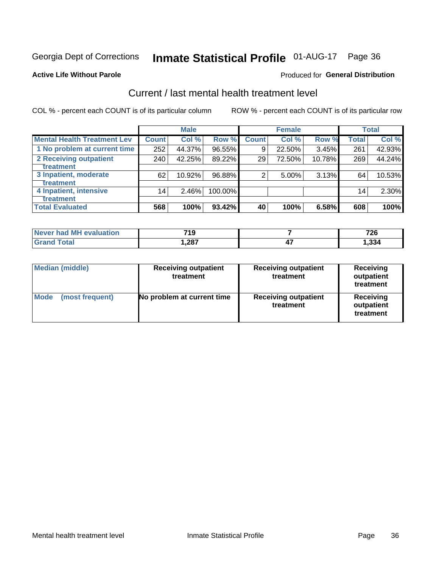### Inmate Statistical Profile 01-AUG-17 Page 36

#### **Active Life Without Parole**

#### Produced for General Distribution

### Current / last mental health treatment level

COL % - percent each COUNT is of its particular column

|                                    |                 | <b>Male</b> |           |              | <b>Female</b> |        |                 | <b>Total</b> |
|------------------------------------|-----------------|-------------|-----------|--------------|---------------|--------|-----------------|--------------|
| <b>Mental Health Treatment Lev</b> | <b>Count</b>    | Col %       | Row %     | <b>Count</b> | Col %         | Row %  | <b>Total</b>    | Col %        |
| 1 No problem at current time       | 252             | 44.37%      | $96.55\%$ | 9            | 22.50%        | 3.45%  | 261             | 42.93%       |
| 2 Receiving outpatient             | 240             | 42.25%      | 89.22%    | 29           | 72.50%        | 10.78% | 269             | 44.24%       |
| <b>Treatment</b>                   |                 |             |           |              |               |        |                 |              |
| 3 Inpatient, moderate              | 62              | 10.92%      | 96.88%    | 2            | 5.00%         | 3.13%  | 64              | 10.53%       |
| <b>Treatment</b>                   |                 |             |           |              |               |        |                 |              |
| 4 Inpatient, intensive             | 14 <sub>1</sub> | 2.46%       | 100.00%   |              |               |        | 14 <sub>1</sub> | 2.30%        |
| Treatment                          |                 |             |           |              |               |        |                 |              |
| <b>Total Evaluated</b>             | 568             | 100%        | 93.42%    | 40           | 100%          | 6.58%  | 608             | 100%         |

| Never had MH evaluation | 719   | 726   |
|-------------------------|-------|-------|
| Total                   | 1,287 | 334,ا |

| <b>Median (middle)</b>         | <b>Receiving outpatient</b><br>treatment | <b>Receiving outpatient</b><br>treatment | <b>Receiving</b><br>outpatient<br>treatment |  |
|--------------------------------|------------------------------------------|------------------------------------------|---------------------------------------------|--|
| <b>Mode</b><br>(most frequent) | No problem at current time               | <b>Receiving outpatient</b><br>treatment | <b>Receiving</b><br>outpatient<br>treatment |  |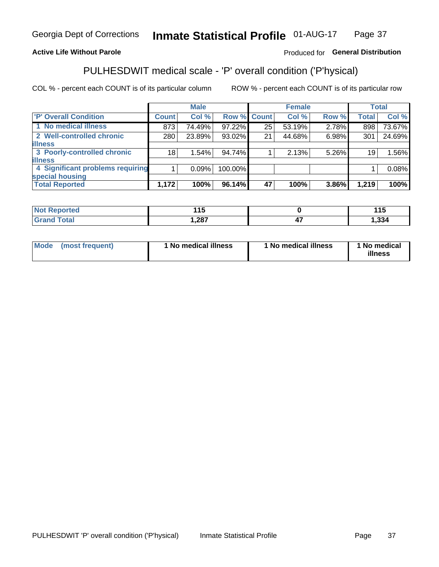#### Inmate Statistical Profile 01-AUG-17 Page 37

#### **Active Life Without Parole**

#### Produced for General Distribution

### PULHESDWIT medical scale - 'P' overall condition ('P'hysical)

COL % - percent each COUNT is of its particular column

|                                  |         | <b>Male</b> |             |    | <b>Female</b> |       |              | <b>Total</b> |
|----------------------------------|---------|-------------|-------------|----|---------------|-------|--------------|--------------|
| 'P' Overall Condition            | Count l | Col %       | Row % Count |    | Col %         | Row % | <b>Total</b> | Col %        |
| 1 No medical illness             | 873     | 74.49%      | 97.22%      | 25 | 53.19%        | 2.78% | 898          | 73.67%       |
| 2 Well-controlled chronic        | 280     | 23.89%      | 93.02%      | 21 | 44.68%        | 6.98% | 301          | 24.69%       |
| <b>illness</b>                   |         |             |             |    |               |       |              |              |
| 3 Poorly-controlled chronic      | 18      | 1.54%       | 94.74%      |    | 2.13%         | 5.26% | 19           | 1.56%        |
| <b>illness</b>                   |         |             |             |    |               |       |              |              |
| 4 Significant problems requiring |         | 0.09%       | 100.00%     |    |               |       |              | 0.08%        |
| special housing                  |         |             |             |    |               |       |              |              |
| <b>Total Reported</b>            | 1,172   | 100%        | $96.14\%$   | 47 | 100%          | 3.86% | 1,219        | 100%         |

|        | . .  |                    | 14 E<br>. I J |
|--------|------|--------------------|---------------|
| ______ | ,287 | $\mathbf{r}$<br>−. | <br>334ء ا    |

| <b>Mode</b> | (most frequent) | ' No medical illness | 1 No medical illness | 1 No medical<br>illness |
|-------------|-----------------|----------------------|----------------------|-------------------------|
|-------------|-----------------|----------------------|----------------------|-------------------------|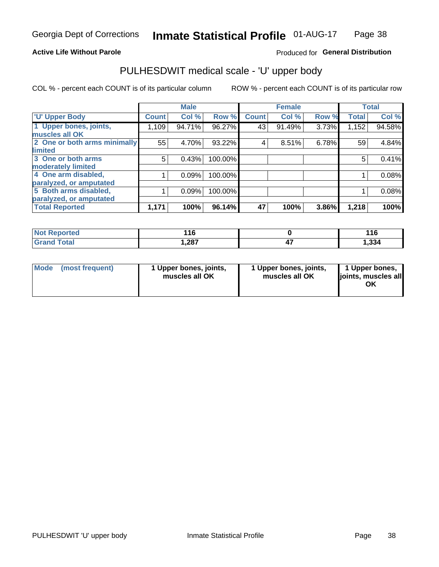#### **Active Life Without Parole**

#### Produced for General Distribution

### PULHESDWIT medical scale - 'U' upper body

COL % - percent each COUNT is of its particular column

|                              |               | <b>Male</b> |         |              | <b>Female</b> |       |              | <b>Total</b> |
|------------------------------|---------------|-------------|---------|--------------|---------------|-------|--------------|--------------|
| <b>U' Upper Body</b>         | <b>Count!</b> | Col %       | Row %   | <b>Count</b> | Col %         | Row % | <b>Total</b> | Col %        |
| 1 Upper bones, joints,       | 1,109         | 94.71%      | 96.27%  | 43           | 91.49%        | 3.73% | 1,152        | 94.58%       |
| muscles all OK               |               |             |         |              |               |       |              |              |
| 2 One or both arms minimally | 55            | 4.70%       | 93.22%  | 4            | 8.51%         | 6.78% | 59           | 4.84%        |
| limited                      |               |             |         |              |               |       |              |              |
| 3 One or both arms           | 5             | 0.43%       | 100.00% |              |               |       | 5            | 0.41%        |
| <b>moderately limited</b>    |               |             |         |              |               |       |              |              |
| 4 One arm disabled,          |               | 0.09%       | 100.00% |              |               |       |              | 0.08%        |
| paralyzed, or amputated      |               |             |         |              |               |       |              |              |
| 5 Both arms disabled,        |               | 0.09%       | 100.00% |              |               |       |              | 0.08%        |
| paralyzed, or amputated      |               |             |         |              |               |       |              |              |
| <b>Total Reported</b>        | 1,171         | 100%        | 96.14%  | 47           | 100%          | 3.86% | 1,218        | 100%         |

| <b>Not Reported</b> | 14C<br>. | 44C<br>. |
|---------------------|----------|----------|
| <b>Grand Total</b>  | 1,287    | 1,334    |

| Mode<br>(most frequent) | 1 Upper bones, joints,<br>muscles all OK | 1 Upper bones, joints,<br>muscles all OK | 1 Upper bones,<br>joints, muscles all<br>ΟK |
|-------------------------|------------------------------------------|------------------------------------------|---------------------------------------------|
|-------------------------|------------------------------------------|------------------------------------------|---------------------------------------------|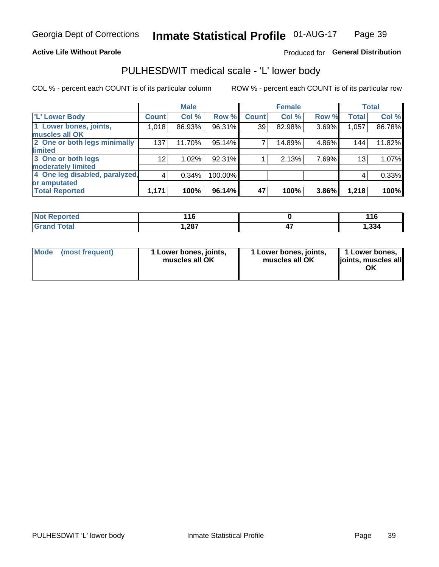#### **Active Life Without Parole**

#### Produced for General Distribution

### PULHESDWIT medical scale - 'L' lower body

COL % - percent each COUNT is of its particular column

|                                |                 | <b>Male</b> |         |              | <b>Female</b> |       |                 | <b>Total</b> |
|--------------------------------|-----------------|-------------|---------|--------------|---------------|-------|-----------------|--------------|
| 'L' Lower Body                 | <b>Count</b>    | Col %       | Row %   | <b>Count</b> | Col %         | Row % | <b>Total</b>    | Col %        |
| 1 Lower bones, joints,         | 1,018           | 86.93%      | 96.31%  | 39           | 82.98%        | 3.69% | 1,057           | 86.78%       |
| muscles all OK                 |                 |             |         |              |               |       |                 |              |
| 2 One or both legs minimally   | 137             | 11.70%      | 95.14%  | 7            | 14.89%        | 4.86% | 144             | 11.82%       |
| limited                        |                 |             |         |              |               |       |                 |              |
| 3 One or both legs             | 12 <sub>2</sub> | 1.02%       | 92.31%  |              | 2.13%         | 7.69% | 13 <sub>1</sub> | 1.07%        |
| moderately limited             |                 |             |         |              |               |       |                 |              |
| 4 One leg disabled, paralyzed, | 4               | 0.34%       | 100.00% |              |               |       | 4               | 0.33%        |
| or amputated                   |                 |             |         |              |               |       |                 |              |
| <b>Total Reported</b>          | 1,171           | 100%        | 96.14%  | 47           | 100%          | 3.86% | 1,218           | 100%         |

| <b>Not Reported</b> | 11C<br>. ש | 11C   |
|---------------------|------------|-------|
| <b>Grand Total</b>  | .287       | 1,334 |

| Mode | (most frequent) | 1 Lower bones, joints,<br>muscles all OK | 1 Lower bones, joints,<br>muscles all OK | 1 Lower bones,<br>ljoints, muscles all<br>ОK |
|------|-----------------|------------------------------------------|------------------------------------------|----------------------------------------------|
|------|-----------------|------------------------------------------|------------------------------------------|----------------------------------------------|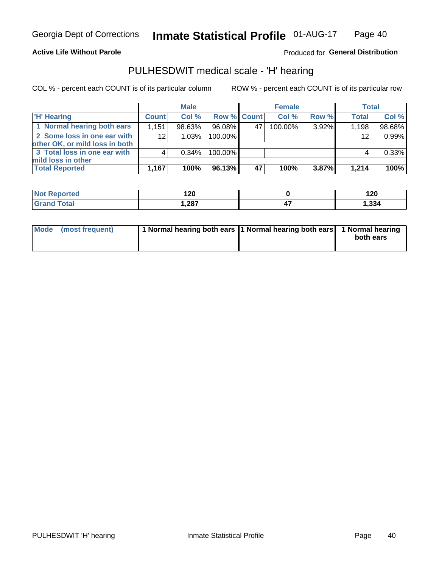#### **Active Life Without Parole**

Produced for General Distribution

#### PULHESDWIT medical scale - 'H' hearing

COL % - percent each COUNT is of its particular column

|                                                               |              | <b>Male</b> |             |    | <b>Female</b> |       | <b>Total</b> |        |
|---------------------------------------------------------------|--------------|-------------|-------------|----|---------------|-------|--------------|--------|
| <b>H'</b> Hearing                                             | <b>Count</b> | Col %       | Row % Count |    | Col%          | Row % | <b>Total</b> | Col %  |
| 1 Normal hearing both ears                                    | 1,151        | 98.63%      | 96.08%      | 47 | 100.00%       | 3.92% | 1,198        | 98.68% |
| 2 Some loss in one ear with<br>other OK, or mild loss in both | 12           | 1.03%       | 100.00%     |    |               |       | 12           | 0.99%  |
| 3 Total loss in one ear with<br>mild loss in other            |              | 0.34%       | 100.00%     |    |               |       |              | 0.33%  |
| <b>Total Reported</b>                                         | 1,167        | 100%        | 96.13%      | 47 | 100%          | 3.87% | 1,214        | 100%   |

| Reported     | 120          | ィ つの  |
|--------------|--------------|-------|
| <b>Not</b>   | $\sim$       | 14V   |
| <b>Total</b> | າວ<br>،⊿0ء ا | 1,334 |

| Mode (most frequent) | 1 Normal hearing both ears 1 Normal hearing both ears 1 Normal hearing | both ears |
|----------------------|------------------------------------------------------------------------|-----------|
|                      |                                                                        |           |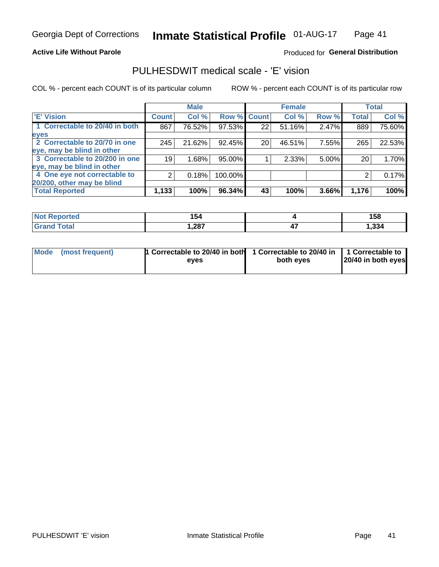#### **Active Life Without Parole**

#### Produced for General Distribution

### PULHESDWIT medical scale - 'E' vision

COL % - percent each COUNT is of its particular column

|                                |              | <b>Male</b> |         |              | <b>Female</b> |          |              | <b>Total</b> |
|--------------------------------|--------------|-------------|---------|--------------|---------------|----------|--------------|--------------|
| <b>E' Vision</b>               | <b>Count</b> | Col %       | Row %   | <b>Count</b> | Col %         | Row %    | <b>Total</b> | Col %        |
| 1 Correctable to 20/40 in both | 867          | 76.52%      | 97.53%  | 22           | 51.16%        | 2.47%    | 889          | 75.60%       |
| eyes                           |              |             |         |              |               |          |              |              |
| 2 Correctable to 20/70 in one  | 245          | 21.62%      | 92.45%  | 20           | 46.51%        | 7.55%    | 265          | 22.53%       |
| eye, may be blind in other     |              |             |         |              |               |          |              |              |
| 3 Correctable to 20/200 in one | 19           | 1.68%       | 95.00%  |              | 2.33%         | $5.00\%$ | 20           | 1.70%        |
| eye, may be blind in other     |              |             |         |              |               |          |              |              |
| 4 One eye not correctable to   | 2            | 0.18%       | 100.00% |              |               |          | 2            | 0.17%        |
| 20/200, other may be blind     |              |             |         |              |               |          |              |              |
| <b>Total Reported</b>          | 1,133        | 100%        | 96.34%  | 43           | 100%          | 3.66%    | 1,176        | 100%         |

| <b>Not Reported</b> | 154   |          | 158  |
|---------------------|-------|----------|------|
| Total               | 1,287 | "<br>- 1 | ,334 |

| Mode (most frequent) | <sup>1</sup> Correctable to 20/40 in both 1 Correctable to 20/40 in 1 Correctable to<br>eves | both eyes | 20/40 in both eyes |
|----------------------|----------------------------------------------------------------------------------------------|-----------|--------------------|
|                      |                                                                                              |           |                    |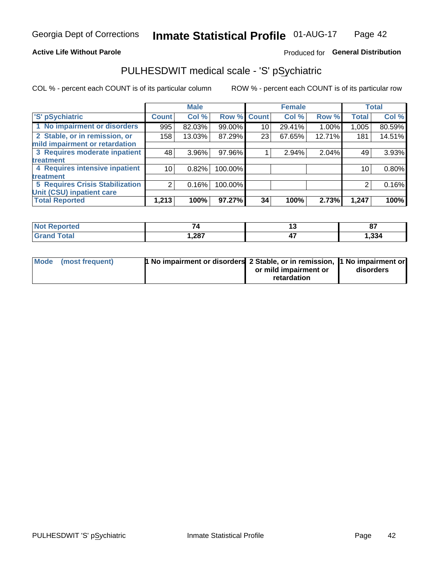#### **Active Life Without Parole**

#### Produced for General Distribution

### PULHESDWIT medical scale - 'S' pSychiatric

COL % - percent each COUNT is of its particular column

|                                        |              | <b>Male</b> |         |             | <b>Female</b> |        |              | <b>Total</b> |
|----------------------------------------|--------------|-------------|---------|-------------|---------------|--------|--------------|--------------|
| 'S' pSychiatric                        | <b>Count</b> | Col %       |         | Row % Count | Col %         | Row %  | <b>Total</b> | Col %        |
| 1 No impairment or disorders           | 995          | 82.03%      | 99.00%  | 10          | 29.41%        | 1.00%  | 1,005        | 80.59%       |
| 2 Stable, or in remission, or          | 158          | 13.03%      | 87.29%  | 23          | 67.65%        | 12.71% | 181          | 14.51%       |
| mild impairment or retardation         |              |             |         |             |               |        |              |              |
| 3 Requires moderate inpatient          | 48           | $3.96\%$    | 97.96%  |             | 2.94%         | 2.04%  | 49           | 3.93%        |
| <b>treatment</b>                       |              |             |         |             |               |        |              |              |
| 4 Requires intensive inpatient         | 10           | 0.82%       | 100.00% |             |               |        | 10           | 0.80%        |
| treatment                              |              |             |         |             |               |        |              |              |
| <b>5 Requires Crisis Stabilization</b> | ⌒            | 0.16%       | 100.00% |             |               |        | 2            | 0.16%        |
| Unit (CSU) inpatient care              |              |             |         |             |               |        |              |              |
| <b>Total Reported</b>                  | 1,213        | 100%        | 97.27%  | 34          | 100%          | 2.73%  | 1,247        | 100%         |

| <b>Not Reported</b> | $-$  | 07    |
|---------------------|------|-------|
| <b>Grand Total</b>  | ,287 | 1,334 |

| Mode (most frequent) | <b>1 No impairment or disorders 2 Stable, or in remission, 1 No impairment or</b> |                       |           |
|----------------------|-----------------------------------------------------------------------------------|-----------------------|-----------|
|                      |                                                                                   | or mild impairment or | disorders |
|                      |                                                                                   | retardation           |           |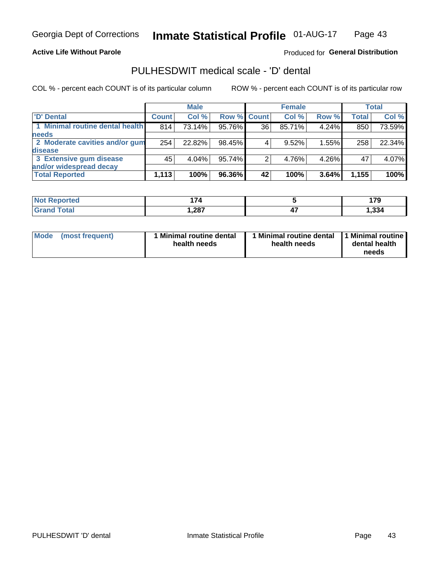#### **Active Life Without Parole**

#### Produced for General Distribution

### PULHESDWIT medical scale - 'D' dental

COL % - percent each COUNT is of its particular column

|                                 |              | <b>Male</b> |                    |    | <b>Female</b> |       |              | Total  |
|---------------------------------|--------------|-------------|--------------------|----|---------------|-------|--------------|--------|
| 'D' Dental                      | <b>Count</b> | Col %       | <b>Row % Count</b> |    | Col %         | Row % | <b>Total</b> | Col %  |
| 1 Minimal routine dental health | 814          | 73.14%      | 95.76%             | 36 | 85.71%        | 4.24% | 850          | 73.59% |
| <b>needs</b>                    |              |             |                    |    |               |       |              |        |
| 2 Moderate cavities and/or gum  | 254          | 22.82%      | 98.45%             |    | 9.52%         | 1.55% | 258          | 22.34% |
| disease                         |              |             |                    |    |               |       |              |        |
| 3 Extensive gum disease         | 45           | 4.04%       | 95.74%             |    | 4.76%         | 4.26% | 47           | 4.07%  |
| and/or widespread decay         |              |             |                    |    |               |       |              |        |
| <b>Total Reported</b>           | 1,113        | 100%        | 96.36%             | 42 | 100%          | 3.64% | 1,155        | 100%   |

| <b>NOT REDORTED</b><br> | . .   |           | $\bar{\ }$<br>. |
|-------------------------|-------|-----------|-----------------|
| <b>Total</b>            | 1,287 | . .<br>47 | 1,334           |

| <b>Mode</b>     | Minimal routine dental | 1 Minimal routine dental 1 Minimal routine | dental health |
|-----------------|------------------------|--------------------------------------------|---------------|
| (most frequent) | health needs           | health needs                               | needs         |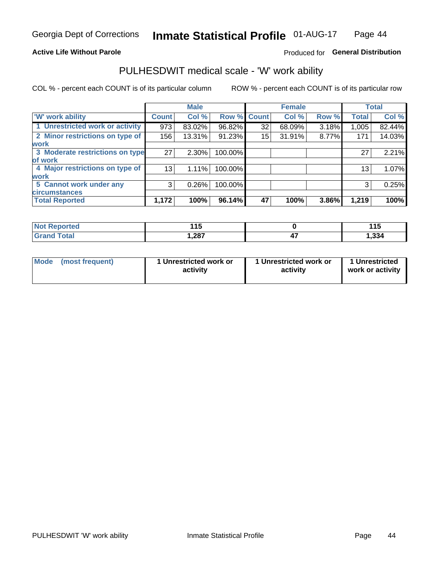#### **Active Life Without Parole**

#### Produced for General Distribution

#### PULHESDWIT medical scale - 'W' work ability

COL % - percent each COUNT is of its particular column

|                                 |              | <b>Male</b> |         |             | <b>Female</b> |       |              | <b>Total</b> |
|---------------------------------|--------------|-------------|---------|-------------|---------------|-------|--------------|--------------|
| <b>W' work ability</b>          | <b>Count</b> | Col %       |         | Row % Count | Col %         | Row % | <b>Total</b> | Col %        |
| 1 Unrestricted work or activity | 973          | 83.02%      | 96.82%  | 32          | 68.09%        | 3.18% | 1,005        | 82.44%       |
| 2 Minor restrictions on type of | 156          | 13.31%      | 91.23%  | 15          | 31.91%        | 8.77% | 171          | 14.03%       |
| <b>work</b>                     |              |             |         |             |               |       |              |              |
| 3 Moderate restrictions on type | 27           | $2.30\%$    | 100.00% |             |               |       | 27           | 2.21%        |
| lof work                        |              |             |         |             |               |       |              |              |
| 4 Major restrictions on type of | 13           | 1.11%       | 100.00% |             |               |       | 13           | 1.07%        |
| <b>work</b>                     |              |             |         |             |               |       |              |              |
| 5 Cannot work under any         | 3            | 0.26%       | 100.00% |             |               |       | 3            | 0.25%        |
| <b>circumstances</b>            |              |             |         |             |               |       |              |              |
| <b>Total Reported</b>           | 1,172        | 100%        | 96.14%  | 47          | 100%          | 3.86% | 1,219        | 100%         |

| <b>Not Reported</b>  | 44 F  | .<br>. |
|----------------------|-------|--------|
| <b>Total</b><br>Cron | 1,287 | ,334   |

| Mode (most frequent) | 1 Unrestricted work or | 1 Unrestricted work or | 1 Unrestricted   |
|----------------------|------------------------|------------------------|------------------|
|                      | activity               | activity               | work or activity |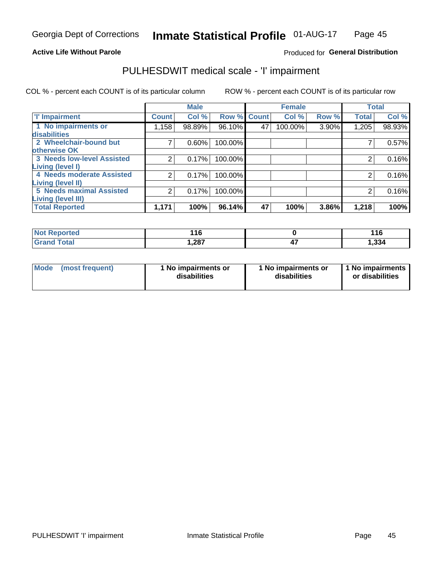#### **Active Life Without Parole**

#### Produced for General Distribution

### PULHESDWIT medical scale - 'I' impairment

COL % - percent each COUNT is of its particular column ROW % - percent each COUNT is of its particular row

|                                                       |              | <b>Male</b> |             | <b>Female</b> |         |       | <b>Total</b> |        |
|-------------------------------------------------------|--------------|-------------|-------------|---------------|---------|-------|--------------|--------|
| <b>T' Impairment</b>                                  | <b>Count</b> | Col %       | Row % Count |               | Col %   | Row % | <b>Total</b> | Col %  |
| 1 No impairments or<br>disabilities                   | 1,158        | 98.89%      | 96.10%      | 47            | 100.00% | 3.90% | 1,205        | 98.93% |
| 2 Wheelchair-bound but<br>otherwise OK                |              | 0.60%       | 100.00%     |               |         |       |              | 0.57%  |
| <b>3 Needs low-level Assisted</b><br>Living (level I) | 2            | 0.17%       | 100.00%     |               |         |       |              | 0.16%  |
| 4 Needs moderate Assisted<br>Living (level II)        | ⌒            | 0.17%       | 100.00%     |               |         |       |              | 0.16%  |
| <b>5 Needs maximal Assisted</b><br>Living (level III) | 2            | 0.17%       | 100.00%     |               |         |       | 2            | 0.16%  |
| <b>Total Reported</b>                                 | 1,171        | 100%        | 96.14%      | 47            | 100%    | 3.86% | 1,218        | 100%   |

| eported     | 11C<br>. . u<br>$\sim$ | 116   |
|-------------|------------------------|-------|
| <b>otal</b> | ,287                   | 1,334 |

| <b>Mode</b> | (most frequent) | <b>No impairments or</b><br>disabilities | 1 No impairments or<br>disabilities | 1 No impairments<br>or disabilities |
|-------------|-----------------|------------------------------------------|-------------------------------------|-------------------------------------|
|-------------|-----------------|------------------------------------------|-------------------------------------|-------------------------------------|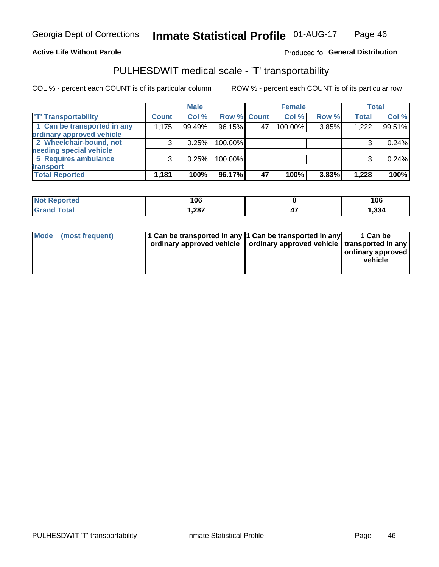#### **Active Life Without Parole**

#### Produced fo General Distribution

### PULHESDWIT medical scale - 'T' transportability

COL % - percent each COUNT is of its particular column

|                             |              | <b>Male</b> |             |    | <b>Female</b> |       |              | <b>Total</b> |
|-----------------------------|--------------|-------------|-------------|----|---------------|-------|--------------|--------------|
| <b>T' Transportability</b>  | <b>Count</b> | Col %       | Row % Count |    | Col %         | Row % | <b>Total</b> | Col %        |
| 1 Can be transported in any | 1,175        | 99.49%      | 96.15%      | 47 | 100.00%       | 3.85% | 1,222        | 99.51%       |
| ordinary approved vehicle   |              |             |             |    |               |       |              |              |
| 2 Wheelchair-bound, not     |              | 0.25%       | 100.00%     |    |               |       |              | 0.24%        |
| needing special vehicle     |              |             |             |    |               |       |              |              |
| 5 Requires ambulance        |              | 0.25%       | 100.00%     |    |               |       |              | 0.24%        |
| transport                   |              |             |             |    |               |       |              |              |
| <b>Total Reported</b>       | 1,181        | 100%        | 96.17%      | 47 | 100%          | 3.83% | 1,228        | 100%         |

| eported | 106    |     | 106   |
|---------|--------|-----|-------|
|         | 287, ا | . . | 1,334 |

| Mode (most frequent) | 1 Can be transported in any 1 Can be transported in any | ordinary approved vehicle   ordinary approved vehicle   transported in any | 1 Can be<br>ordinary approved<br>vehicle |
|----------------------|---------------------------------------------------------|----------------------------------------------------------------------------|------------------------------------------|
|                      |                                                         |                                                                            |                                          |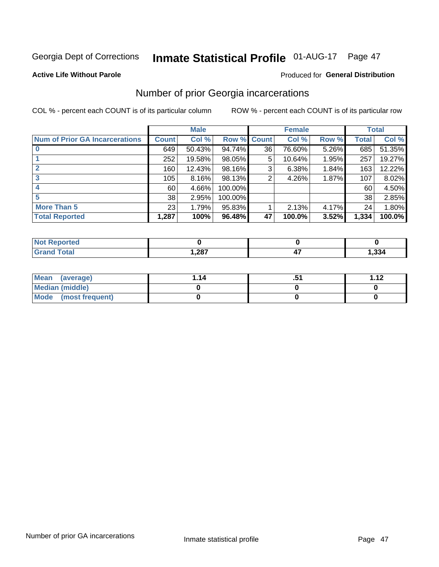## Inmate Statistical Profile 01-AUG-17 Page 47

#### **Active Life Without Parole**

#### Produced for General Distribution

#### Number of prior Georgia incarcerations

COL % - percent each COUNT is of its particular column

|                                       |              | <b>Male</b> |                    |    | <b>Female</b> | <b>Total</b> |       |        |
|---------------------------------------|--------------|-------------|--------------------|----|---------------|--------------|-------|--------|
| <b>Num of Prior GA Incarcerations</b> | <b>Count</b> | Col %       | <b>Row % Count</b> |    | Col %         | Row %        | Total | Col %  |
|                                       | 649          | 50.43%      | 94.74%             | 36 | 76.60%        | 5.26%        | 685   | 51.35% |
|                                       | 252          | 19.58%      | 98.05%             | 5  | 10.64%        | 1.95%        | 257   | 19.27% |
|                                       | 160          | 12.43%      | 98.16%             | 3  | 6.38%         | 1.84%        | 163   | 12.22% |
| 3                                     | 105          | 8.16%       | 98.13%             | 2  | 4.26%         | 1.87%        | 107   | 8.02%  |
| 4                                     | 60           | 4.66%       | 100.00%            |    |               |              | 60    | 4.50%  |
| 5                                     | 38           | 2.95%       | 100.00%            |    |               |              | 38    | 2.85%  |
| <b>More Than 5</b>                    | 23           | 1.79%       | 95.83%             |    | 2.13%         | 4.17%        | 24    | 1.80%  |
| <b>Total Reported</b>                 | 1,287        | 100%        | 96.48%             | 47 | 100.0%        | 3.52%        | 1,334 | 100.0% |

| ortea<br>N                |                |       |
|---------------------------|----------------|-------|
| 'otal<br>$\mathbf{v}$ and | 297<br>،201. ا | , 334 |

| Mean (average)       | 1.14 | <br><b>1 1つ</b> |
|----------------------|------|-----------------|
| Median (middle)      |      |                 |
| Mode (most frequent) |      |                 |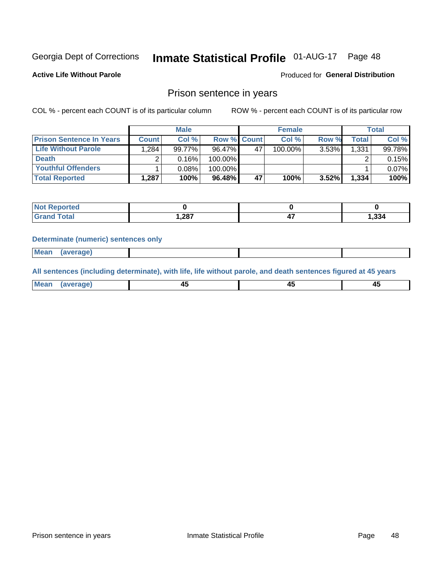#### Inmate Statistical Profile 01-AUG-17 Page 48

**Active Life Without Parole** 

Produced for General Distribution

#### Prison sentence in years

COL % - percent each COUNT is of its particular column

ROW % - percent each COUNT is of its particular row

|                                 | <b>Male</b>  |        |                    | <b>Female</b> |            |          | <b>Total</b>       |        |
|---------------------------------|--------------|--------|--------------------|---------------|------------|----------|--------------------|--------|
| <b>Prison Sentence In Years</b> | <b>Count</b> | Col %  | <b>Row % Count</b> |               | Col %      | Row %    | Total <sub>1</sub> | Col %  |
| Life Without Parole             | .284         | 99.77% | 96.47%             | 47            | $100.00\%$ | $3.53\%$ | 1,331              | 99.78% |
| <b>Death</b>                    |              | 0.16%  | 100.00%            |               |            |          |                    | 0.15%  |
| Youthful Offenders              |              | 0.08%  | 100.00%            |               |            |          |                    | 0.07%  |
| <b>Total Reported</b>           | 1,287        | 100%   | 96.48%             | 47            | 100%       | $3.52\%$ | 1,334              | 100%   |

| <b>Not Reported</b> |       |       |
|---------------------|-------|-------|
| <b>Total</b>        | 1,287 | 1,334 |

#### **Determinate (numeric) sentences only**

**Mean** (average)

All sentences (including determinate), with life, life without parole, and death sentences figured at 45 years

| l Mea | --     | --     |  |
|-------|--------|--------|--|
| апе   | $\sim$ | $\sim$ |  |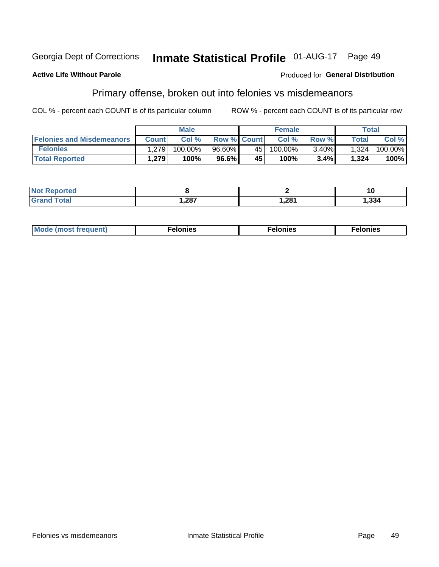#### Georgia Dept of Corrections **Inmate Statistical Profile 01-AUG-17** Page 49

#### **Active Life Without Parole**

#### **Produced for General Distribution**

### Primary offense, broken out into felonies vs misdemeanors

COL % - percent each COUNT is of its particular column

|                                  | <b>Male</b>  |         |                    | <b>Female</b> |         |          | Total        |         |
|----------------------------------|--------------|---------|--------------------|---------------|---------|----------|--------------|---------|
| <b>Felonies and Misdemeanors</b> | <b>Count</b> | Col%    | <b>Row % Count</b> |               | Col%    | Row %    | <b>Total</b> | Col %   |
| <b>Felonies</b>                  | 1,279        | 100.00% | $96.60\%$          | 45            | 100.00% | $3.40\%$ | 1,324        | 100.00% |
| <b>Total Reported</b>            | .279         | 100%    | 96.6%              | 45            | 100%    | 3.4%     | 1,324        | 100%    |

| <b>Not Reported</b>                  |       |       |      |
|--------------------------------------|-------|-------|------|
| <b>cotal</b><br>Gran<br><b>UIUIU</b> | 1,287 | 281,ا | .334 |

| Mode (most frequent)<br>elonies | Felonies | Felonies |
|---------------------------------|----------|----------|
|---------------------------------|----------|----------|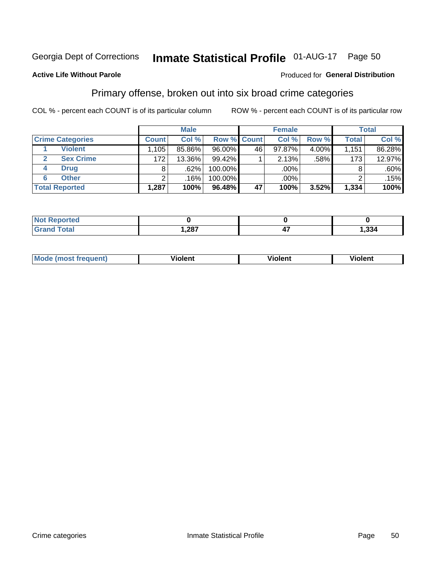## Inmate Statistical Profile 01-AUG-17 Page 50

#### **Active Life Without Parole**

#### **Produced for General Distribution**

#### Primary offense, broken out into six broad crime categories

COL % - percent each COUNT is of its particular column

|                         | <b>Male</b>  |        |         | <b>Female</b>      |        |          | <b>Total</b> |         |
|-------------------------|--------------|--------|---------|--------------------|--------|----------|--------------|---------|
| <b>Crime Categories</b> | <b>Count</b> | Col %  |         | <b>Row % Count</b> | Col %  | Row %    | <b>Total</b> | Col %   |
| <b>Violent</b>          | 1,105        | 85.86% | 96.00%  | 46                 | 97.87% | $4.00\%$ | 1,151        | 86.28%  |
| <b>Sex Crime</b><br>2   | 172          | 13.36% | 99.42%  |                    | 2.13%  | .58%     | 1731         | 12.97%  |
| <b>Drug</b><br>4        | 8            | .62%   | 100.00% |                    | .00%   |          | 8            | $.60\%$ |
| <b>Other</b><br>6       | 2            | .16%   | 100.00% |                    | .00%   |          | ົ            | .15%    |
| <b>Total Reported</b>   | 1,287        | 100%   | 96.48%  | 47                 | 100%   | 3.52%    | 1,334        | 100%    |

| <b>Not Reported</b> |      |                  |
|---------------------|------|------------------|
| $T0+0$              | ,287 | $\sim$<br>334. ا |

| <b>Mode (most frequent)</b> |         |                | --             |
|-----------------------------|---------|----------------|----------------|
|                             | violent | <b>Violent</b> | <b>Violent</b> |
|                             |         |                |                |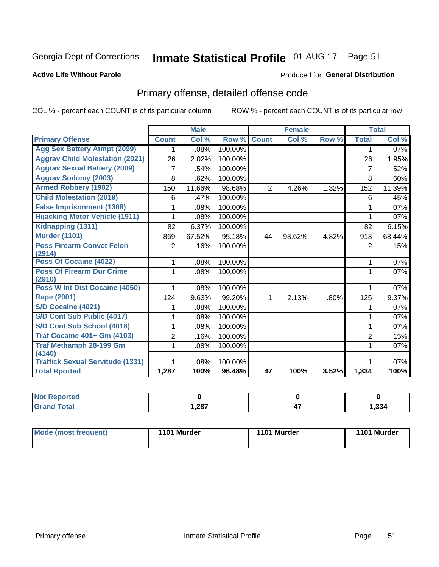#### **Inmate Statistical Profile 01-AUG-17** Page 51

#### **Active Life Without Parole**

#### **Produced for General Distribution**

### Primary offense, detailed offense code

COL % - percent each COUNT is of its particular column

|                                          |                | <b>Male</b> |         |                | <b>Female</b> |       |                | <b>Total</b> |
|------------------------------------------|----------------|-------------|---------|----------------|---------------|-------|----------------|--------------|
| <b>Primary Offense</b>                   | <b>Count</b>   | Col %       | Row %   | <b>Count</b>   | Col %         | Row % | <b>Total</b>   | Col %        |
| <b>Agg Sex Battery Atmpt (2099)</b>      | 1.             | .08%        | 100.00% |                |               |       | 1              | .07%         |
| <b>Aggrav Child Molestation (2021)</b>   | 26             | 2.02%       | 100.00% |                |               |       | 26             | 1.95%        |
| <b>Aggrav Sexual Battery (2009)</b>      | 7              | .54%        | 100.00% |                |               |       | $\overline{7}$ | .52%         |
| <b>Aggrav Sodomy (2003)</b>              | 8              | .62%        | 100.00% |                |               |       | 8              | .60%         |
| <b>Armed Robbery (1902)</b>              | 150            | 11.66%      | 98.68%  | $\overline{2}$ | 4.26%         | 1.32% | 152            | 11.39%       |
| <b>Child Molestation (2019)</b>          | 6              | .47%        | 100.00% |                |               |       | 6              | .45%         |
| <b>False Imprisonment (1308)</b>         | 1              | .08%        | 100.00% |                |               |       | 1              | .07%         |
| <b>Hijacking Motor Vehicle (1911)</b>    |                | .08%        | 100.00% |                |               |       |                | .07%         |
| Kidnapping (1311)                        | 82             | 6.37%       | 100.00% |                |               |       | 82             | 6.15%        |
| <b>Murder (1101)</b>                     | 869            | 67.52%      | 95.18%  | 44             | 93.62%        | 4.82% | 913            | 68.44%       |
| <b>Poss Firearm Convct Felon</b>         | $\overline{2}$ | .16%        | 100.00% |                |               |       | $\overline{2}$ | .15%         |
| (2914)                                   |                |             |         |                |               |       |                |              |
| Poss Of Cocaine (4022)                   | 1              | .08%        | 100.00% |                |               |       | 1              | .07%         |
| <b>Poss Of Firearm Dur Crime</b>         | 1              | .08%        | 100.00% |                |               |       | 1              | .07%         |
| (2910)<br>Poss W Int Dist Cocaine (4050) |                |             |         |                |               |       |                |              |
|                                          | 1              | .08%        | 100.00% |                |               |       | 1              | .07%         |
| <b>Rape (2001)</b>                       | 124            | 9.63%       | 99.20%  | 1              | 2.13%         | .80%  | 125            | 9.37%        |
| S/D Cocaine (4021)                       |                | .08%        | 100.00% |                |               |       | 1              | .07%         |
| S/D Cont Sub Public (4017)               | 1              | .08%        | 100.00% |                |               |       | 1              | .07%         |
| S/D Cont Sub School (4018)               | 1              | .08%        | 100.00% |                |               |       | 1              | .07%         |
| <b>Traf Cocaine 401+ Gm (4103)</b>       | 2              | .16%        | 100.00% |                |               |       | $\overline{2}$ | .15%         |
| <b>Traf Methamph 28-199 Gm</b>           | 1.             | .08%        | 100.00% |                |               |       |                | $.07\%$      |
| (4140)                                   |                |             |         |                |               |       |                |              |
| <b>Traffick Sexual Servitude (1331)</b>  |                | .08%        | 100.00% |                |               |       |                | .07%         |
| <b>Total Rported</b>                     | 1,287          | 100%        | 96.48%  | 47             | 100%          | 3.52% | 1,334          | 100%         |

| <b>Not Reported</b> |    |          |        |
|---------------------|----|----------|--------|
| <b>Total</b>        | ാഠ | "<br>- 1 | 334, ا |

| <b>Mode (most frequent)</b> | 1101 Murder | 1101 Murder | 1101 Murder |  |
|-----------------------------|-------------|-------------|-------------|--|
|                             |             |             |             |  |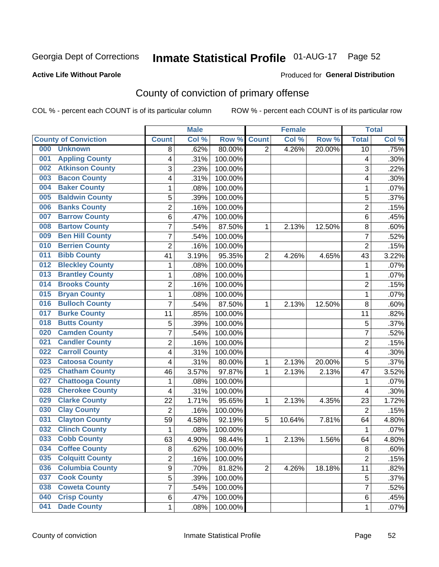### Inmate Statistical Profile 01-AUG-17 Page 52

#### **Active Life Without Parole**

#### Produced for General Distribution

### County of conviction of primary offense

COL % - percent each COUNT is of its particular column

|     |                             |                | <b>Male</b> |         |                | <b>Female</b> |        |                         | <b>Total</b> |
|-----|-----------------------------|----------------|-------------|---------|----------------|---------------|--------|-------------------------|--------------|
|     | <b>County of Conviction</b> | <b>Count</b>   | Col %       | Row %   | <b>Count</b>   | Col %         | Row %  | <b>Total</b>            | Col %        |
| 000 | <b>Unknown</b>              | 8              | .62%        | 80.00%  | $\overline{2}$ | 4.26%         | 20.00% | 10                      | .75%         |
| 001 | <b>Appling County</b>       | 4              | .31%        | 100.00% |                |               |        | 4                       | .30%         |
| 002 | <b>Atkinson County</b>      | 3              | .23%        | 100.00% |                |               |        | 3                       | .22%         |
| 003 | <b>Bacon County</b>         | 4              | .31%        | 100.00% |                |               |        | 4                       | .30%         |
| 004 | <b>Baker County</b>         | 1              | .08%        | 100.00% |                |               |        | 1                       | .07%         |
| 005 | <b>Baldwin County</b>       | 5              | .39%        | 100.00% |                |               |        | 5                       | .37%         |
| 006 | <b>Banks County</b>         | $\overline{2}$ | .16%        | 100.00% |                |               |        | $\overline{2}$          | .15%         |
| 007 | <b>Barrow County</b>        | 6              | .47%        | 100.00% |                |               |        | 6                       | .45%         |
| 008 | <b>Bartow County</b>        | $\overline{7}$ | .54%        | 87.50%  | 1              | 2.13%         | 12.50% | 8                       | .60%         |
| 009 | <b>Ben Hill County</b>      | $\overline{7}$ | .54%        | 100.00% |                |               |        | $\overline{7}$          | .52%         |
| 010 | <b>Berrien County</b>       | $\overline{2}$ | .16%        | 100.00% |                |               |        | $\overline{2}$          | .15%         |
| 011 | <b>Bibb County</b>          | 41             | 3.19%       | 95.35%  | $\overline{2}$ | 4.26%         | 4.65%  | 43                      | 3.22%        |
| 012 | <b>Bleckley County</b>      | 1              | .08%        | 100.00% |                |               |        | $\mathbf 1$             | .07%         |
| 013 | <b>Brantley County</b>      | 1              | .08%        | 100.00% |                |               |        | 1                       | .07%         |
| 014 | <b>Brooks County</b>        | $\overline{c}$ | .16%        | 100.00% |                |               |        | $\overline{2}$          | .15%         |
| 015 | <b>Bryan County</b>         | 1              | .08%        | 100.00% |                |               |        | 1                       | .07%         |
| 016 | <b>Bulloch County</b>       | $\overline{7}$ | .54%        | 87.50%  | 1              | 2.13%         | 12.50% | 8                       | .60%         |
| 017 | <b>Burke County</b>         | 11             | .85%        | 100.00% |                |               |        | 11                      | .82%         |
| 018 | <b>Butts County</b>         | 5              | .39%        | 100.00% |                |               |        | 5                       | .37%         |
| 020 | <b>Camden County</b>        | 7              | .54%        | 100.00% |                |               |        | 7                       | .52%         |
| 021 | <b>Candler County</b>       | $\overline{2}$ | .16%        | 100.00% |                |               |        | $\overline{2}$          | .15%         |
| 022 | <b>Carroll County</b>       | 4              | .31%        | 100.00% |                |               |        | $\overline{\mathbf{4}}$ | .30%         |
| 023 | <b>Catoosa County</b>       | 4              | .31%        | 80.00%  | 1              | 2.13%         | 20.00% | 5                       | .37%         |
| 025 | <b>Chatham County</b>       | 46             | 3.57%       | 97.87%  | 1              | 2.13%         | 2.13%  | 47                      | 3.52%        |
| 027 | <b>Chattooga County</b>     | 1              | .08%        | 100.00% |                |               |        | $\mathbf 1$             | .07%         |
| 028 | <b>Cherokee County</b>      | 4              | .31%        | 100.00% |                |               |        | 4                       | .30%         |
| 029 | <b>Clarke County</b>        | 22             | 1.71%       | 95.65%  | 1              | 2.13%         | 4.35%  | 23                      | 1.72%        |
| 030 | <b>Clay County</b>          | $\overline{2}$ | .16%        | 100.00% |                |               |        | $\overline{2}$          | .15%         |
| 031 | <b>Clayton County</b>       | 59             | 4.58%       | 92.19%  | 5              | 10.64%        | 7.81%  | 64                      | 4.80%        |
| 032 | <b>Clinch County</b>        | 1              | .08%        | 100.00% |                |               |        | $\mathbf{1}$            | .07%         |
| 033 | <b>Cobb County</b>          | 63             | 4.90%       | 98.44%  | 1              | 2.13%         | 1.56%  | 64                      | 4.80%        |
| 034 | <b>Coffee County</b>        | 8              | .62%        | 100.00% |                |               |        | 8                       | .60%         |
| 035 | <b>Colquitt County</b>      | 2              | .16%        | 100.00% |                |               |        | $\overline{2}$          | .15%         |
| 036 | <b>Columbia County</b>      | 9              | .70%        | 81.82%  | $\overline{2}$ | 4.26%         | 18.18% | 11                      | .82%         |
| 037 | <b>Cook County</b>          | 5              | .39%        | 100.00% |                |               |        | 5                       | .37%         |
| 038 | <b>Coweta County</b>        | 7              | .54%        | 100.00% |                |               |        | 7                       | .52%         |
| 040 | <b>Crisp County</b>         | 6              | .47%        | 100.00% |                |               |        | 6                       | .45%         |
| 041 | <b>Dade County</b>          | $\mathbf 1$    | .08%        | 100.00% |                |               |        | 1                       | .07%         |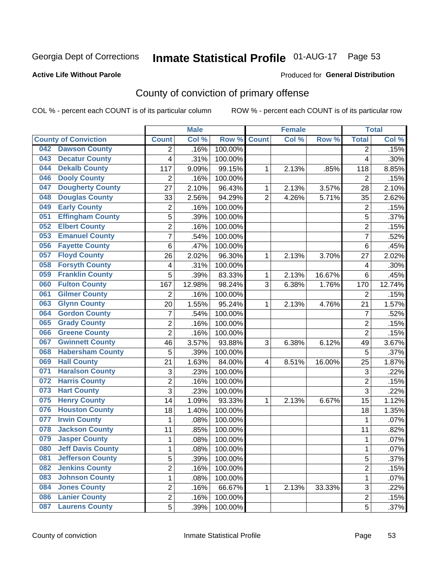### Inmate Statistical Profile 01-AUG-17 Page 53

#### **Active Life Without Parole**

#### Produced for General Distribution

### County of conviction of primary offense

COL % - percent each COUNT is of its particular column

|                                 |                | <b>Male</b> |         |                | <b>Female</b> |        |                | <b>Total</b> |
|---------------------------------|----------------|-------------|---------|----------------|---------------|--------|----------------|--------------|
| <b>County of Conviction</b>     | <b>Count</b>   | Col %       | Row %   | <b>Count</b>   | Col %         | Row %  | <b>Total</b>   | Col %        |
| <b>Dawson County</b><br>042     | 2              | .16%        | 100.00% |                |               |        | 2              | .15%         |
| <b>Decatur County</b><br>043    | 4              | .31%        | 100.00% |                |               |        | 4              | .30%         |
| <b>Dekalb County</b><br>044     | 117            | 9.09%       | 99.15%  | 1              | 2.13%         | .85%   | 118            | 8.85%        |
| <b>Dooly County</b><br>046      | $\overline{2}$ | .16%        | 100.00% |                |               |        | 2              | .15%         |
| <b>Dougherty County</b><br>047  | 27             | 2.10%       | 96.43%  | 1              | 2.13%         | 3.57%  | 28             | 2.10%        |
| <b>Douglas County</b><br>048    | 33             | 2.56%       | 94.29%  | $\overline{2}$ | 4.26%         | 5.71%  | 35             | 2.62%        |
| <b>Early County</b><br>049      | $\overline{c}$ | .16%        | 100.00% |                |               |        | $\overline{2}$ | .15%         |
| <b>Effingham County</b><br>051  | 5              | .39%        | 100.00% |                |               |        | 5              | .37%         |
| <b>Elbert County</b><br>052     | 2              | .16%        | 100.00% |                |               |        | $\overline{2}$ | .15%         |
| <b>Emanuel County</b><br>053    | $\overline{7}$ | .54%        | 100.00% |                |               |        | 7              | .52%         |
| <b>Fayette County</b><br>056    | 6              | .47%        | 100.00% |                |               |        | 6              | .45%         |
| <b>Floyd County</b><br>057      | 26             | 2.02%       | 96.30%  | 1              | 2.13%         | 3.70%  | 27             | 2.02%        |
| <b>Forsyth County</b><br>058    | 4              | .31%        | 100.00% |                |               |        | 4              | .30%         |
| <b>Franklin County</b><br>059   | 5              | .39%        | 83.33%  | 1              | 2.13%         | 16.67% | 6              | .45%         |
| <b>Fulton County</b><br>060     | 167            | 12.98%      | 98.24%  | 3              | 6.38%         | 1.76%  | 170            | 12.74%       |
| <b>Gilmer County</b><br>061     | $\overline{2}$ | .16%        | 100.00% |                |               |        | $\overline{2}$ | .15%         |
| <b>Glynn County</b><br>063      | 20             | 1.55%       | 95.24%  | 1              | 2.13%         | 4.76%  | 21             | 1.57%        |
| <b>Gordon County</b><br>064     | $\overline{7}$ | .54%        | 100.00% |                |               |        | $\overline{7}$ | .52%         |
| <b>Grady County</b><br>065      | $\overline{2}$ | .16%        | 100.00% |                |               |        | $\overline{2}$ | .15%         |
| <b>Greene County</b><br>066     | $\overline{2}$ | .16%        | 100.00% |                |               |        | $\overline{2}$ | .15%         |
| <b>Gwinnett County</b><br>067   | 46             | 3.57%       | 93.88%  | 3              | 6.38%         | 6.12%  | 49             | 3.67%        |
| <b>Habersham County</b><br>068  | 5              | .39%        | 100.00% |                |               |        | 5              | .37%         |
| <b>Hall County</b><br>069       | 21             | 1.63%       | 84.00%  | 4              | 8.51%         | 16.00% | 25             | 1.87%        |
| <b>Haralson County</b><br>071   | 3              | .23%        | 100.00% |                |               |        | $\sqrt{3}$     | .22%         |
| <b>Harris County</b><br>072     | 2              | .16%        | 100.00% |                |               |        | $\overline{2}$ | .15%         |
| <b>Hart County</b><br>073       | 3              | .23%        | 100.00% |                |               |        | 3              | .22%         |
| <b>Henry County</b><br>075      | 14             | 1.09%       | 93.33%  | 1              | 2.13%         | 6.67%  | 15             | 1.12%        |
| <b>Houston County</b><br>076    | 18             | 1.40%       | 100.00% |                |               |        | 18             | 1.35%        |
| <b>Irwin County</b><br>077      | $\mathbf{1}$   | .08%        | 100.00% |                |               |        | $\mathbf{1}$   | .07%         |
| <b>Jackson County</b><br>078    | 11             | .85%        | 100.00% |                |               |        | 11             | .82%         |
| <b>Jasper County</b><br>079     | $\mathbf{1}$   | .08%        | 100.00% |                |               |        | 1              | .07%         |
| <b>Jeff Davis County</b><br>080 | 1              | .08%        | 100.00% |                |               |        | 1              | $.07\%$      |
| <b>Jefferson County</b><br>081  | 5              | .39%        | 100.00% |                |               |        | 5              | .37%         |
| <b>Jenkins County</b><br>082    | $\overline{2}$ | .16%        | 100.00% |                |               |        | $\overline{2}$ | .15%         |
| <b>Johnson County</b><br>083    | $\mathbf{1}$   | .08%        | 100.00% |                |               |        | $\mathbf{1}$   | .07%         |
| <b>Jones County</b><br>084      | $\overline{c}$ | .16%        | 66.67%  | 1              | 2.13%         | 33.33% | 3              | .22%         |
| <b>Lanier County</b><br>086     | $\overline{2}$ | .16%        | 100.00% |                |               |        | $\overline{2}$ | .15%         |
| <b>Laurens County</b><br>087    | $\overline{5}$ | .39%        | 100.00% |                |               |        | 5              | .37%         |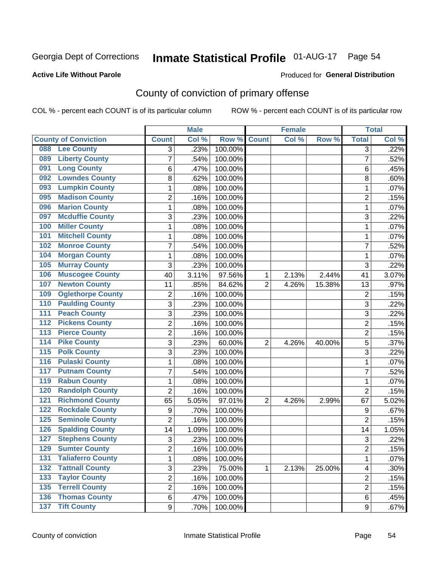### Inmate Statistical Profile 01-AUG-17 Page 54

#### **Active Life Without Parole**

#### Produced for General Distribution

### County of conviction of primary offense

COL % - percent each COUNT is of its particular column

|                  |                             |                | <b>Male</b> |         |                | <b>Female</b> |        |                | <b>Total</b> |
|------------------|-----------------------------|----------------|-------------|---------|----------------|---------------|--------|----------------|--------------|
|                  | <b>County of Conviction</b> | <b>Count</b>   | Col %       | Row %   | <b>Count</b>   | Col %         | Row %  | <b>Total</b>   | Col %        |
| 088              | <b>Lee County</b>           | 3              | .23%        | 100.00% |                |               |        | 3              | .22%         |
| 089              | <b>Liberty County</b>       | $\overline{7}$ | .54%        | 100.00% |                |               |        | $\overline{7}$ | .52%         |
| 091              | <b>Long County</b>          | 6              | .47%        | 100.00% |                |               |        | 6              | .45%         |
| 092              | <b>Lowndes County</b>       | 8              | .62%        | 100.00% |                |               |        | 8              | .60%         |
| 093              | <b>Lumpkin County</b>       | 1              | .08%        | 100.00% |                |               |        | 1              | .07%         |
| 095              | <b>Madison County</b>       | $\overline{2}$ | .16%        | 100.00% |                |               |        | $\overline{2}$ | .15%         |
| 096              | <b>Marion County</b>        | 1              | .08%        | 100.00% |                |               |        | $\mathbf{1}$   | .07%         |
| 097              | <b>Mcduffie County</b>      | 3              | .23%        | 100.00% |                |               |        | 3              | .22%         |
| 100              | <b>Miller County</b>        | 1              | .08%        | 100.00% |                |               |        | 1              | .07%         |
| 101              | <b>Mitchell County</b>      | 1              | .08%        | 100.00% |                |               |        | 1              | .07%         |
| 102              | <b>Monroe County</b>        | 7              | .54%        | 100.00% |                |               |        | $\overline{7}$ | .52%         |
| 104              | <b>Morgan County</b>        | 1              | .08%        | 100.00% |                |               |        | $\mathbf{1}$   | .07%         |
| 105              | <b>Murray County</b>        | 3              | .23%        | 100.00% |                |               |        | 3              | .22%         |
| 106              | <b>Muscogee County</b>      | 40             | 3.11%       | 97.56%  | 1              | 2.13%         | 2.44%  | 41             | 3.07%        |
| 107              | <b>Newton County</b>        | 11             | .85%        | 84.62%  | $\overline{2}$ | 4.26%         | 15.38% | 13             | .97%         |
| 109              | <b>Oglethorpe County</b>    | $\overline{2}$ | .16%        | 100.00% |                |               |        | $\overline{2}$ | .15%         |
| 110              | <b>Paulding County</b>      | 3              | .23%        | 100.00% |                |               |        | 3              | .22%         |
| 111              | <b>Peach County</b>         | 3              | .23%        | 100.00% |                |               |        | 3              | .22%         |
| $\overline{112}$ | <b>Pickens County</b>       | $\overline{2}$ | .16%        | 100.00% |                |               |        | $\overline{c}$ | .15%         |
| 113              | <b>Pierce County</b>        | $\overline{2}$ | .16%        | 100.00% |                |               |        | $\overline{2}$ | .15%         |
| 114              | <b>Pike County</b>          | 3              | .23%        | 60.00%  | $\overline{2}$ | 4.26%         | 40.00% | 5              | .37%         |
| 115              | <b>Polk County</b>          | 3              | .23%        | 100.00% |                |               |        | 3              | .22%         |
| $\overline{116}$ | <b>Pulaski County</b>       | 1              | .08%        | 100.00% |                |               |        | $\mathbf{1}$   | .07%         |
| 117              | <b>Putnam County</b>        | $\overline{7}$ | .54%        | 100.00% |                |               |        | $\overline{7}$ | .52%         |
| 119              | <b>Rabun County</b>         | 1              | .08%        | 100.00% |                |               |        | 1              | .07%         |
| 120              | <b>Randolph County</b>      | $\overline{2}$ | .16%        | 100.00% |                |               |        | $\overline{2}$ | .15%         |
| $\overline{121}$ | <b>Richmond County</b>      | 65             | 5.05%       | 97.01%  | $\overline{2}$ | 4.26%         | 2.99%  | 67             | 5.02%        |
| 122              | <b>Rockdale County</b>      | 9              | .70%        | 100.00% |                |               |        | 9              | .67%         |
| 125              | <b>Seminole County</b>      | 2              | .16%        | 100.00% |                |               |        | 2              | .15%         |
| 126              | <b>Spalding County</b>      | 14             | 1.09%       | 100.00% |                |               |        | 14             | 1.05%        |
| 127              | <b>Stephens County</b>      | 3              | .23%        | 100.00% |                |               |        | 3              | .22%         |
| 129              | <b>Sumter County</b>        | $\overline{2}$ | .16%        | 100.00% |                |               |        | 2              | .15%         |
| 131              | <b>Taliaferro County</b>    | 1              | .08%        | 100.00% |                |               |        | $\mathbf{1}$   | .07%         |
| $\overline{132}$ | <b>Tattnall County</b>      | 3              | .23%        | 75.00%  | 1              | 2.13%         | 25.00% | 4              | .30%         |
| 133              | <b>Taylor County</b>        | $\overline{2}$ | .16%        | 100.00% |                |               |        | $\overline{2}$ | .15%         |
| 135              | <b>Terrell County</b>       | $\overline{2}$ | .16%        | 100.00% |                |               |        | $\overline{2}$ | .15%         |
|                  | <b>136 Thomas County</b>    | 6              | .47%        | 100.00% |                |               |        | 6              | .45%         |
|                  | 137 Tift County             | 9              | .70%        | 100.00% |                |               |        | 9              | .67%         |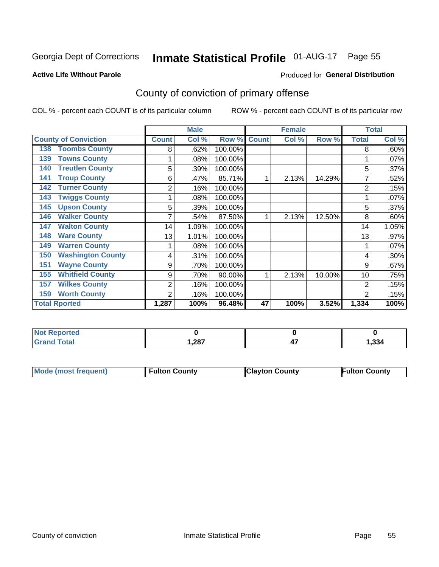### Inmate Statistical Profile 01-AUG-17 Page 55

#### **Active Life Without Parole**

#### **Produced for General Distribution**

### County of conviction of primary offense

COL % - percent each COUNT is of its particular column

|                                 |              | <b>Male</b> |         |              | <b>Female</b> |        |                | <b>Total</b> |
|---------------------------------|--------------|-------------|---------|--------------|---------------|--------|----------------|--------------|
| <b>County of Conviction</b>     | <b>Count</b> | Col %       | Row %   | <b>Count</b> | Col %         | Row %  | <b>Total</b>   | Col %        |
| <b>Toombs County</b><br>138     | 8            | .62%        | 100.00% |              |               |        | 8              | .60%         |
| <b>Towns County</b><br>139      |              | .08%        | 100.00% |              |               |        |                | .07%         |
| <b>Treutlen County</b><br>140   | 5            | .39%        | 100.00% |              |               |        | 5              | .37%         |
| <b>Troup County</b><br>141      | 6            | .47%        | 85.71%  |              | 2.13%         | 14.29% | 7              | .52%         |
| <b>Turner County</b><br>142     | 2            | .16%        | 100.00% |              |               |        | 2              | .15%         |
| <b>Twiggs County</b><br>143     |              | .08%        | 100.00% |              |               |        |                | .07%         |
| <b>Upson County</b><br>145      | 5            | .39%        | 100.00% |              |               |        | 5              | .37%         |
| <b>Walker County</b><br>146     |              | .54%        | 87.50%  |              | 2.13%         | 12.50% | 8              | .60%         |
| <b>Walton County</b><br>147     | 14           | 1.09%       | 100.00% |              |               |        | 14             | 1.05%        |
| <b>Ware County</b><br>148       | 13           | 1.01%       | 100.00% |              |               |        | 13             | .97%         |
| <b>Warren County</b><br>149     |              | .08%        | 100.00% |              |               |        |                | .07%         |
| <b>Washington County</b><br>150 | 4            | .31%        | 100.00% |              |               |        | 4              | .30%         |
| <b>Wayne County</b><br>151      | 9            | .70%        | 100.00% |              |               |        | 9              | .67%         |
| <b>Whitfield County</b><br>155  | 9            | .70%        | 90.00%  |              | 2.13%         | 10.00% | 10             | .75%         |
| <b>Wilkes County</b><br>157     | 2            | .16%        | 100.00% |              |               |        | $\overline{2}$ | .15%         |
| <b>Worth County</b><br>159      | 2            | .16%        | 100.00% |              |               |        | $\overline{2}$ | .15%         |
| <b>Total Rported</b>            | 1,287        | 100%        | 96.48%  | 47           | 100%          | 3.52%  | 1,334          | 100%         |

| <b>Not Reported</b> |       |                |       |
|---------------------|-------|----------------|-------|
| 「otal               | 1,287 | <br>. .<br>- 1 | 1,334 |

| Mode (most frequent) | <b>Fulton County</b> | <b>Clayton County</b> | <b>Fulton County</b> |
|----------------------|----------------------|-----------------------|----------------------|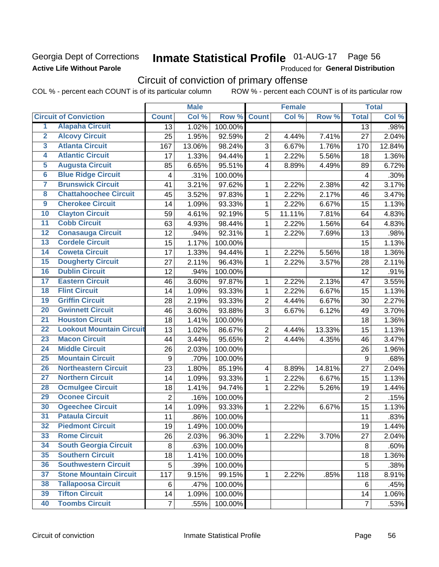#### Georgia Dept of Corrections **Active Life Without Parole**

## Inmate Statistical Profile 01-AUG-17 Page 56

Produced for General Distribution

### Circuit of conviction of primary offense

COL % - percent each COUNT is of its particular column ROW % - percent each COUNT is of its particular row

|                         |                                 |                         | <b>Male</b> |         |                          | <b>Female</b> |        |                | <b>Total</b> |
|-------------------------|---------------------------------|-------------------------|-------------|---------|--------------------------|---------------|--------|----------------|--------------|
|                         | <b>Circuit of Conviction</b>    | <b>Count</b>            | Col %       | Row %   | <b>Count</b>             | Col %         | Row %  | <b>Total</b>   | Col %        |
| 1                       | <b>Alapaha Circuit</b>          | $\overline{13}$         | 1.02%       | 100.00% |                          |               |        | 13             | .98%         |
| $\overline{2}$          | <b>Alcovy Circuit</b>           | 25                      | 1.95%       | 92.59%  | $\overline{2}$           | 4.44%         | 7.41%  | 27             | 2.04%        |
| $\overline{\mathbf{3}}$ | <b>Atlanta Circuit</b>          | 167                     | 13.06%      | 98.24%  | 3                        | 6.67%         | 1.76%  | 170            | 12.84%       |
| 4                       | <b>Atlantic Circuit</b>         | 17                      | 1.33%       | 94.44%  | $\mathbf 1$              | 2.22%         | 5.56%  | 18             | 1.36%        |
| 5                       | <b>Augusta Circuit</b>          | 85                      | 6.65%       | 95.51%  | $\overline{\mathbf{4}}$  | 8.89%         | 4.49%  | 89             | 6.72%        |
| $\overline{6}$          | <b>Blue Ridge Circuit</b>       | $\overline{\mathbf{4}}$ | .31%        | 100.00% |                          |               |        | $\overline{4}$ | .30%         |
| 7                       | <b>Brunswick Circuit</b>        | 41                      | 3.21%       | 97.62%  | 1                        | 2.22%         | 2.38%  | 42             | 3.17%        |
| 8                       | <b>Chattahoochee Circuit</b>    | 45                      | 3.52%       | 97.83%  | $\mathbf 1$              | 2.22%         | 2.17%  | 46             | 3.47%        |
| $\overline{9}$          | <b>Cherokee Circuit</b>         | 14                      | 1.09%       | 93.33%  | $\mathbf{1}$             | 2.22%         | 6.67%  | 15             | 1.13%        |
| 10                      | <b>Clayton Circuit</b>          | 59                      | 4.61%       | 92.19%  | 5                        | 11.11%        | 7.81%  | 64             | 4.83%        |
| $\overline{11}$         | <b>Cobb Circuit</b>             | 63                      | 4.93%       | 98.44%  | $\mathbf{1}$             | 2.22%         | 1.56%  | 64             | 4.83%        |
| 12                      | <b>Conasauga Circuit</b>        | 12                      | .94%        | 92.31%  | 1                        | 2.22%         | 7.69%  | 13             | .98%         |
| 13                      | <b>Cordele Circuit</b>          | 15                      | 1.17%       | 100.00% |                          |               |        | 15             | 1.13%        |
| $\overline{14}$         | <b>Coweta Circuit</b>           | 17                      | 1.33%       | 94.44%  | $\mathbf{1}$             | 2.22%         | 5.56%  | 18             | 1.36%        |
| $\overline{15}$         | <b>Dougherty Circuit</b>        | 27                      | 2.11%       | 96.43%  | $\mathbf{1}$             | 2.22%         | 3.57%  | 28             | 2.11%        |
| 16                      | <b>Dublin Circuit</b>           | 12                      | .94%        | 100.00% |                          |               |        | 12             | .91%         |
| 17                      | <b>Eastern Circuit</b>          | 46                      | 3.60%       | 97.87%  | 1                        | 2.22%         | 2.13%  | 47             | 3.55%        |
| 18                      | <b>Flint Circuit</b>            | 14                      | 1.09%       | 93.33%  | $\mathbf{1}$             | 2.22%         | 6.67%  | 15             | 1.13%        |
| 19                      | <b>Griffin Circuit</b>          | 28                      | 2.19%       | 93.33%  | $\overline{2}$           | 4.44%         | 6.67%  | 30             | 2.27%        |
| $\overline{20}$         | <b>Gwinnett Circuit</b>         | 46                      | 3.60%       | 93.88%  | 3                        | 6.67%         | 6.12%  | 49             | 3.70%        |
| $\overline{21}$         | <b>Houston Circuit</b>          | 18                      | 1.41%       | 100.00% |                          |               |        | 18             | 1.36%        |
| $\overline{22}$         | <b>Lookout Mountain Circuit</b> | 13                      | 1.02%       | 86.67%  | $\boldsymbol{2}$         | 4.44%         | 13.33% | 15             | 1.13%        |
| 23                      | <b>Macon Circuit</b>            | 44                      | 3.44%       | 95.65%  | $\overline{2}$           | 4.44%         | 4.35%  | 46             | 3.47%        |
| $\overline{24}$         | <b>Middle Circuit</b>           | 26                      | 2.03%       | 100.00% |                          |               |        | 26             | 1.96%        |
| 25                      | <b>Mountain Circuit</b>         | $\boldsymbol{9}$        | .70%        | 100.00% |                          |               |        | $9\,$          | .68%         |
| 26                      | <b>Northeastern Circuit</b>     | 23                      | 1.80%       | 85.19%  | $\overline{\mathcal{A}}$ | 8.89%         | 14.81% | 27             | 2.04%        |
| $\overline{27}$         | <b>Northern Circuit</b>         | 14                      | 1.09%       | 93.33%  | 1                        | 2.22%         | 6.67%  | 15             | 1.13%        |
| 28                      | <b>Ocmulgee Circuit</b>         | 18                      | 1.41%       | 94.74%  | 1                        | 2.22%         | 5.26%  | 19             | 1.44%        |
| 29                      | <b>Oconee Circuit</b>           | $\overline{2}$          | .16%        | 100.00% |                          |               |        | $\overline{2}$ | .15%         |
| 30                      | <b>Ogeechee Circuit</b>         | 14                      | 1.09%       | 93.33%  | 1                        | 2.22%         | 6.67%  | 15             | 1.13%        |
| $\overline{31}$         | <b>Pataula Circuit</b>          | 11                      | .86%        | 100.00% |                          |               |        | 11             | .83%         |
| 32                      | <b>Piedmont Circuit</b>         | 19                      | 1.49%       | 100.00% |                          |               |        | 19             | 1.44%        |
| 33                      | <b>Rome Circuit</b>             | 26                      | 2.03%       | 96.30%  | $\mathbf{1}$             | 2.22%         | 3.70%  | 27             | 2.04%        |
| 34                      | <b>South Georgia Circuit</b>    | 8                       | .63%        | 100.00% |                          |               |        | 8              | .60%         |
| 35                      | <b>Southern Circuit</b>         | 18                      | 1.41%       | 100.00% |                          |               |        | 18             | 1.36%        |
| 36                      | <b>Southwestern Circuit</b>     | 5                       | .39%        | 100.00% |                          |               |        | 5              | .38%         |
| 37                      | <b>Stone Mountain Circuit</b>   | 117                     | 9.15%       | 99.15%  | 1                        | 2.22%         | .85%   | 118            | 8.91%        |
| 38                      | <b>Tallapoosa Circuit</b>       | 6                       | .47%        | 100.00% |                          |               |        | 6              | .45%         |
| 39                      | <b>Tifton Circuit</b>           | 14                      | 1.09%       | 100.00% |                          |               |        | 14             | 1.06%        |
| 40                      | <b>Toombs Circuit</b>           | $\overline{7}$          | .55%        | 100.00% |                          |               |        | $\overline{7}$ | .53%         |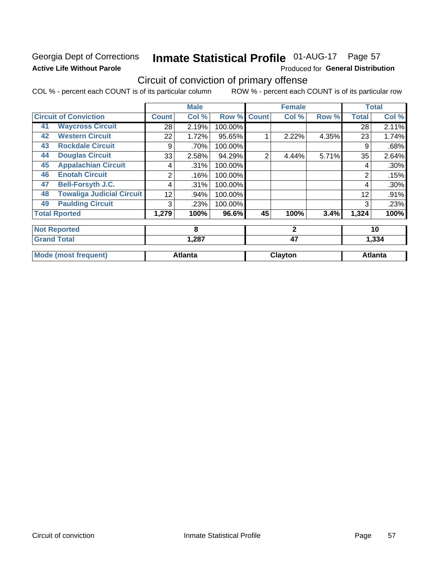#### Georgia Dept of Corrections **Active Life Without Parole**

## Inmate Statistical Profile 01-AUG-17 Page 57

Produced for General Distribution

### Circuit of conviction of primary offense

COL % - percent each COUNT is of its particular column ROW % - percent each COUNT is of its particular row

|    |                                  |              | <b>Male</b>    |         |                | <b>Female</b> |       |              | <b>Total</b>   |
|----|----------------------------------|--------------|----------------|---------|----------------|---------------|-------|--------------|----------------|
|    | <b>Circuit of Conviction</b>     | <b>Count</b> | Col %          | Row %   | <b>Count</b>   | Col %         | Row % | <b>Total</b> | Col %          |
| 41 | <b>Waycross Circuit</b>          | 28           | 2.19%          | 100.00% |                |               |       | 28           | 2.11%          |
| 42 | <b>Western Circuit</b>           | 22           | 1.72%          | 95.65%  |                | 2.22%         | 4.35% | 23           | 1.74%          |
| 43 | <b>Rockdale Circuit</b>          | 9            | .70%           | 100.00% |                |               |       | 9            | .68%           |
| 44 | <b>Douglas Circuit</b>           | 33           | 2.58%          | 94.29%  | $\overline{2}$ | 4.44%         | 5.71% | 35           | 2.64%          |
| 45 | <b>Appalachian Circuit</b>       | 4            | .31%           | 100.00% |                |               |       | 4            | .30%           |
| 46 | <b>Enotah Circuit</b>            | 2            | .16%           | 100.00% |                |               |       | 2            | .15%           |
| 47 | <b>Bell-Forsyth J.C.</b>         | 4            | .31%           | 100.00% |                |               |       | 4            | $.30\%$        |
| 48 | <b>Towaliga Judicial Circuit</b> | 12           | .94%           | 100.00% |                |               |       | 12           | .91%           |
| 49 | <b>Paulding Circuit</b>          | 3            | .23%           | 100.00% |                |               |       | 3            | .23%           |
|    | <b>Total Rported</b>             | 1,279        | 100%           | 96.6%   | 45             | 100%          | 3.4%  | 1,324        | 100%           |
|    | <b>Not Reported</b>              |              | 8              |         |                | $\mathbf{2}$  |       |              | 10             |
|    | <b>Grand Total</b>               |              | 1,287          |         |                | 47            |       |              | 1,334          |
|    | <b>Mode (most frequent)</b>      |              | <b>Atlanta</b> |         |                | Clayton       |       |              | <b>Atlanta</b> |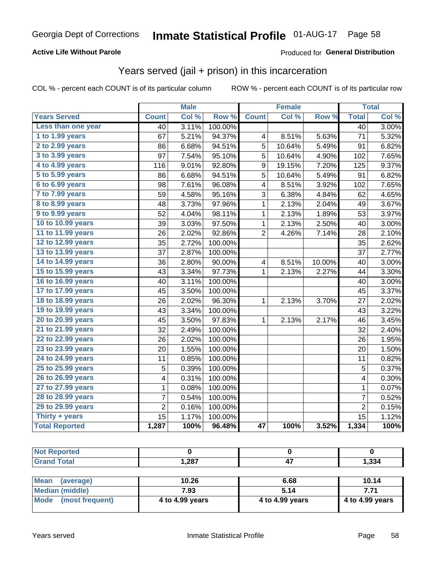#### **Active Life Without Parole**

#### Produced for General Distribution

### Years served (jail + prison) in this incarceration

COL % - percent each COUNT is of its particular column

|                        |                 | <b>Male</b> |         |                         | <b>Female</b> |        |                 | <b>Total</b> |
|------------------------|-----------------|-------------|---------|-------------------------|---------------|--------|-----------------|--------------|
| <b>Years Served</b>    | <b>Count</b>    | Col %       | Row %   | <b>Count</b>            | Col %         | Row %  | <b>Total</b>    | Col %        |
| Less than one year     | $\overline{40}$ | 3.11%       | 100.00% |                         |               |        | $\overline{40}$ | 3.00%        |
| 1 to 1.99 years        | 67              | 5.21%       | 94.37%  | 4                       | 8.51%         | 5.63%  | 71              | 5.32%        |
| 2 to 2.99 years        | 86              | 6.68%       | 94.51%  | 5                       | 10.64%        | 5.49%  | 91              | 6.82%        |
| 3 to 3.99 years        | 97              | 7.54%       | 95.10%  | 5                       | 10.64%        | 4.90%  | 102             | 7.65%        |
| 4 to 4.99 years        | 116             | 9.01%       | 92.80%  | 9                       | 19.15%        | 7.20%  | 125             | 9.37%        |
| 5 to 5.99 years        | 86              | 6.68%       | 94.51%  | 5                       | 10.64%        | 5.49%  | 91              | 6.82%        |
| 6 to 6.99 years        | 98              | 7.61%       | 96.08%  | 4                       | 8.51%         | 3.92%  | 102             | 7.65%        |
| 7 to 7.99 years        | 59              | 4.58%       | 95.16%  | 3                       | 6.38%         | 4.84%  | 62              | 4.65%        |
| <b>8 to 8.99 years</b> | 48              | 3.73%       | 97.96%  | 1                       | 2.13%         | 2.04%  | 49              | 3.67%        |
| 9 to 9.99 years        | 52              | 4.04%       | 98.11%  | $\mathbf 1$             | 2.13%         | 1.89%  | 53              | 3.97%        |
| 10 to 10.99 years      | 39              | 3.03%       | 97.50%  | $\mathbf 1$             | 2.13%         | 2.50%  | 40              | 3.00%        |
| 11 to 11.99 years      | 26              | 2.02%       | 92.86%  | $\overline{2}$          | 4.26%         | 7.14%  | 28              | 2.10%        |
| 12 to 12.99 years      | 35              | 2.72%       | 100.00% |                         |               |        | 35              | 2.62%        |
| 13 to 13.99 years      | 37              | 2.87%       | 100.00% |                         |               |        | 37              | 2.77%        |
| 14 to 14.99 years      | 36              | 2.80%       | 90.00%  | $\overline{\mathbf{4}}$ | 8.51%         | 10.00% | 40              | 3.00%        |
| 15 to 15.99 years      | 43              | 3.34%       | 97.73%  | 1                       | 2.13%         | 2.27%  | 44              | 3.30%        |
| 16 to 16.99 years      | 40              | 3.11%       | 100.00% |                         |               |        | 40              | 3.00%        |
| 17 to 17.99 years      | 45              | 3.50%       | 100.00% |                         |               |        | 45              | 3.37%        |
| 18 to 18.99 years      | 26              | 2.02%       | 96.30%  | 1                       | 2.13%         | 3.70%  | 27              | 2.02%        |
| 19 to 19.99 years      | 43              | 3.34%       | 100.00% |                         |               |        | 43              | 3.22%        |
| 20 to 20.99 years      | 45              | 3.50%       | 97.83%  | 1                       | 2.13%         | 2.17%  | 46              | 3.45%        |
| 21 to 21.99 years      | 32              | 2.49%       | 100.00% |                         |               |        | 32              | 2.40%        |
| 22 to 22.99 years      | 26              | 2.02%       | 100.00% |                         |               |        | 26              | 1.95%        |
| 23 to 23.99 years      | 20              | 1.55%       | 100.00% |                         |               |        | 20              | 1.50%        |
| 24 to 24.99 years      | 11              | 0.85%       | 100.00% |                         |               |        | 11              | 0.82%        |
| 25 to 25.99 years      | 5               | 0.39%       | 100.00% |                         |               |        | 5               | 0.37%        |
| 26 to 26.99 years      | 4               | 0.31%       | 100.00% |                         |               |        | 4               | 0.30%        |
| 27 to 27.99 years      | $\mathbf 1$     | 0.08%       | 100.00% |                         |               |        | $\mathbf 1$     | 0.07%        |
| 28 to 28.99 years      | $\overline{7}$  | 0.54%       | 100.00% |                         |               |        | $\overline{7}$  | 0.52%        |
| 29 to 29.99 years      | $\overline{2}$  | 0.16%       | 100.00% |                         |               |        | $\overline{2}$  | 0.15%        |
| Thirty + years         | 15              | 1.17%       | 100.00% |                         |               |        | 15              | 1.12%        |
| <b>Total Reported</b>  | 1,287           | 100%        | 96.48%  | $\overline{47}$         | 100%          | 3.52%  | 1,334           | 100%         |

| teto    |                  |       |
|---------|------------------|-------|
| $C = 4$ | - 207<br>، ه∡, ا | 1,334 |

| <b>Mean</b><br>(average) | 10.26           | 6.68            | 10.14           |
|--------------------------|-----------------|-----------------|-----------------|
| Median (middle)          | 7.93            | 5.14            | 7.71            |
| Mode (most frequent)     | 4 to 4.99 years | 4 to 4.99 years | 4 to 4.99 years |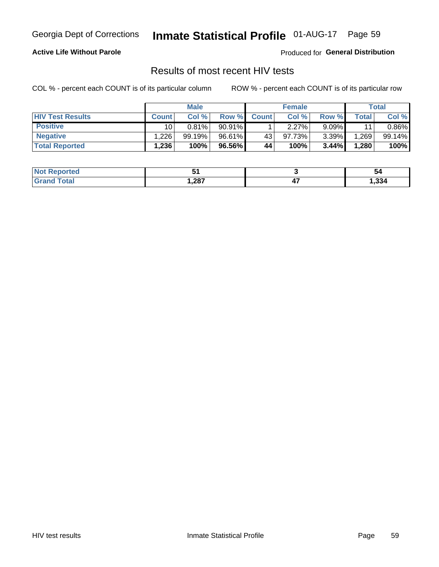## Inmate Statistical Profile 01-AUG-17 Page 59

#### **Active Life Without Parole**

Produced for General Distribution

#### Results of most recent HIV tests

COL % - percent each COUNT is of its particular column

|                         |                 | <b>Male</b> |        |              | <b>Female</b> |          |       | Total  |
|-------------------------|-----------------|-------------|--------|--------------|---------------|----------|-------|--------|
| <b>HIV Test Results</b> | <b>Count</b>    | Col %       | Row %I | <b>Count</b> | Col %         | Row %    | Total | Col %  |
| <b>Positive</b>         | 10 <sub>1</sub> | 0.81%       | 90.91% |              | 2.27%         | $9.09\%$ | 11    | 0.86%  |
| <b>Negative</b>         | .226            | 99.19%      | 96.61% | 43           | 97.73%        | $3.39\%$ | .269  | 99.14% |
| <b>Total Reported</b>   | ' 236.،         | 100%        | 96.56% | 44           | 100%          | 3.44%    | 1,280 | 100%   |

| <b>Not Reported</b> |      | 54   |
|---------------------|------|------|
| <b>c</b> otal       | .287 | .334 |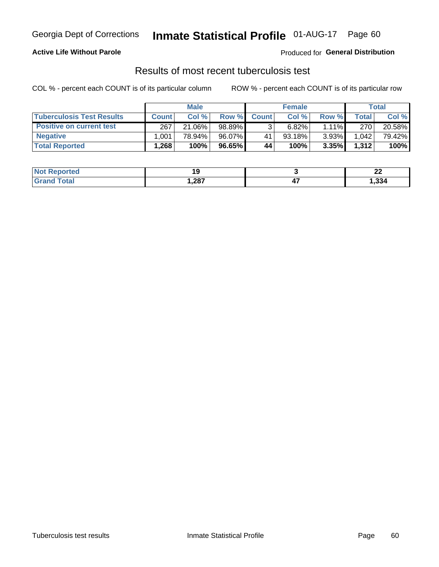### Georgia Dept of Corrections **Inmate Statistical Profile** 01-AUG-17 Page 60

#### **Active Life Without Parole**

Produced for **General Distribution**

### Results of most recent tuberculosis test

COL % - percent each COUNT is of its particular column ROW % - percent each COUNT is of its particular row

|                                  | <b>Male</b>  |        |        | <b>Female</b> |           |          | Total        |        |
|----------------------------------|--------------|--------|--------|---------------|-----------|----------|--------------|--------|
| <b>Tuberculosis Test Results</b> | <b>Count</b> | Col%   | Row %I | <b>Count</b>  | Col %     | Row %    | <b>Total</b> | Col %  |
| <b>Positive on current test</b>  | 267          | 21.06% | 98.89% |               | 6.82%     | $1.11\%$ | 270          | 20.58% |
| <b>Negative</b>                  | .001         | 78.94% | 96.07% | 41            | $93.18\%$ | 3.93%    | 1,042        | 79.42% |
| <b>Total Reported</b>            | .268         | 100%   | 96.65% | 44            | 100%      | 3.35%    | 1,312        | 100%   |

| <b>Not Reported</b> |      | n,<br>--- |
|---------------------|------|-----------|
| Total               | .287 | 334,ا     |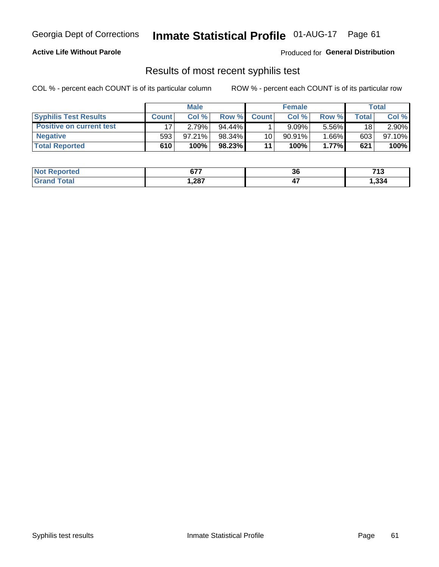### Georgia Dept of Corrections **Inmate Statistical Profile** 01-AUG-17 Page 61

#### **Active Life Without Parole**

Produced for **General Distribution**

#### Results of most recent syphilis test

COL % - percent each COUNT is of its particular column ROW % - percent each COUNT is of its particular row

|                                 | <b>Male</b>  |        |           | <b>Female</b>   |          |        | Total |        |
|---------------------------------|--------------|--------|-----------|-----------------|----------|--------|-------|--------|
| <b>Syphilis Test Results</b>    | <b>Count</b> | Col%   | Row %I    | <b>Count</b>    | Col%     | Row %  | Total | Col %  |
| <b>Positive on current test</b> |              | 2.79%  | $94.44\%$ |                 | $9.09\%$ | 5.56%  | 18    | 2.90%  |
| <b>Negative</b>                 | 593          | 97.21% | 98.34%    | 10 <sub>1</sub> | 90.91%   | 1.66%l | 603   | 97.10% |
| <b>Total Reported</b>           | 610          | 100%   | 98.23%    | 11              | $100\%$  | 1.77%  | 621   | 100%   |

| <b>Not Reported</b>              | $\sim$<br>07 I | 36  | 74.2<br>. |
|----------------------------------|----------------|-----|-----------|
| <b>Fotal</b><br>Gra <sup>r</sup> | 287, ا         | - 1 | 1,334     |